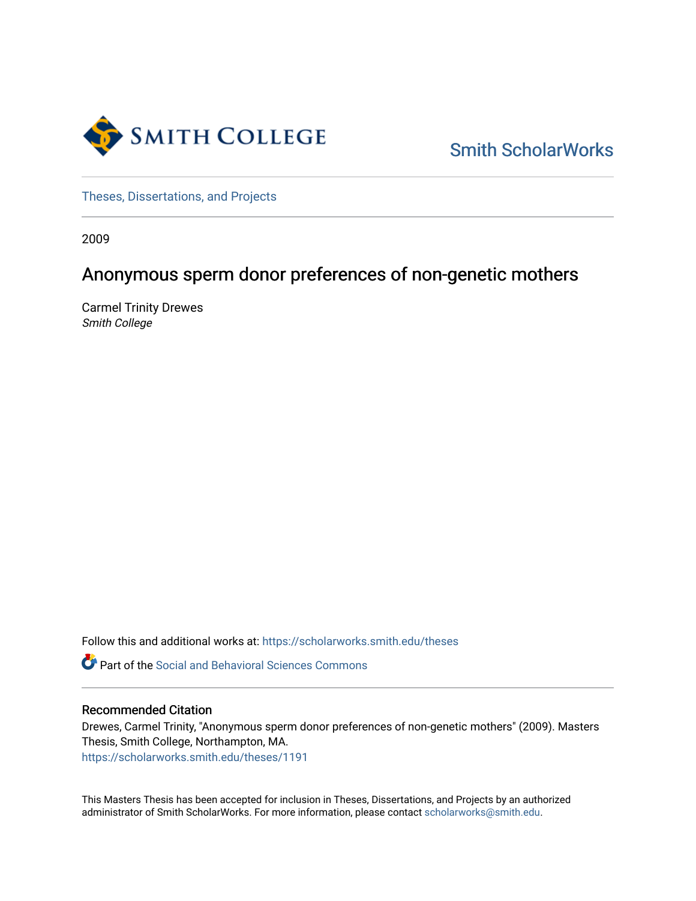

[Smith ScholarWorks](https://scholarworks.smith.edu/) 

[Theses, Dissertations, and Projects](https://scholarworks.smith.edu/theses) 

2009

# Anonymous sperm donor preferences of non-genetic mothers

Carmel Trinity Drewes Smith College

Follow this and additional works at: [https://scholarworks.smith.edu/theses](https://scholarworks.smith.edu/theses?utm_source=scholarworks.smith.edu%2Ftheses%2F1191&utm_medium=PDF&utm_campaign=PDFCoverPages) 

Part of the [Social and Behavioral Sciences Commons](http://network.bepress.com/hgg/discipline/316?utm_source=scholarworks.smith.edu%2Ftheses%2F1191&utm_medium=PDF&utm_campaign=PDFCoverPages) 

#### Recommended Citation

Drewes, Carmel Trinity, "Anonymous sperm donor preferences of non-genetic mothers" (2009). Masters Thesis, Smith College, Northampton, MA. [https://scholarworks.smith.edu/theses/1191](https://scholarworks.smith.edu/theses/1191?utm_source=scholarworks.smith.edu%2Ftheses%2F1191&utm_medium=PDF&utm_campaign=PDFCoverPages)

This Masters Thesis has been accepted for inclusion in Theses, Dissertations, and Projects by an authorized administrator of Smith ScholarWorks. For more information, please contact [scholarworks@smith.edu](mailto:scholarworks@smith.edu).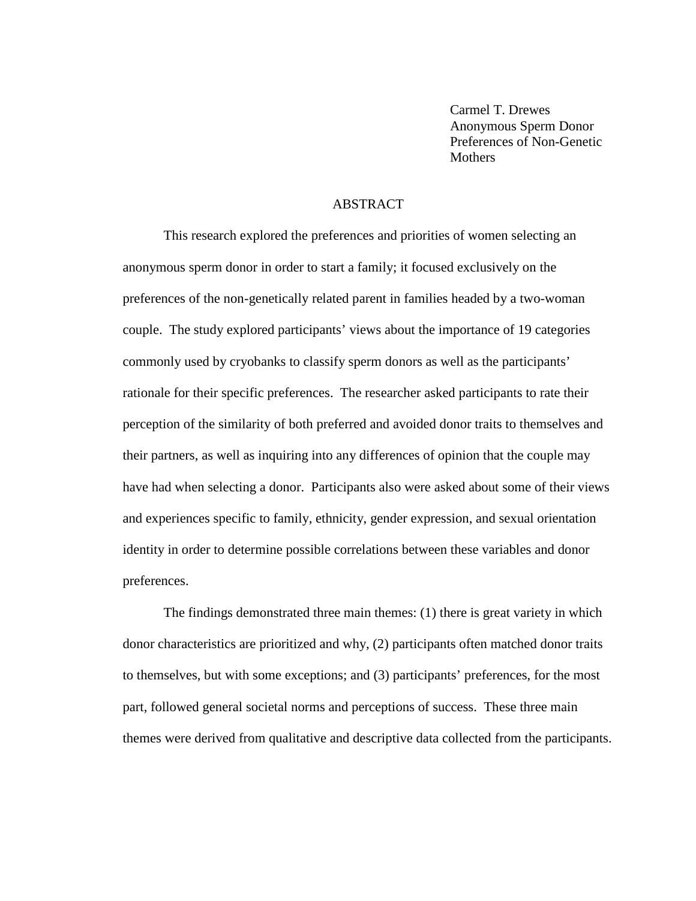Carmel T. Drewes Anonymous Sperm Donor Preferences of Non-Genetic **Mothers** 

#### ABSTRACT

This research explored the preferences and priorities of women selecting an anonymous sperm donor in order to start a family; it focused exclusively on the preferences of the non-genetically related parent in families headed by a two-woman couple. The study explored participants' views about the importance of 19 categories commonly used by cryobanks to classify sperm donors as well as the participants' rationale for their specific preferences. The researcher asked participants to rate their perception of the similarity of both preferred and avoided donor traits to themselves and their partners, as well as inquiring into any differences of opinion that the couple may have had when selecting a donor. Participants also were asked about some of their views and experiences specific to family, ethnicity, gender expression, and sexual orientation identity in order to determine possible correlations between these variables and donor preferences.

The findings demonstrated three main themes: (1) there is great variety in which donor characteristics are prioritized and why, (2) participants often matched donor traits to themselves, but with some exceptions; and (3) participants' preferences, for the most part, followed general societal norms and perceptions of success. These three main themes were derived from qualitative and descriptive data collected from the participants.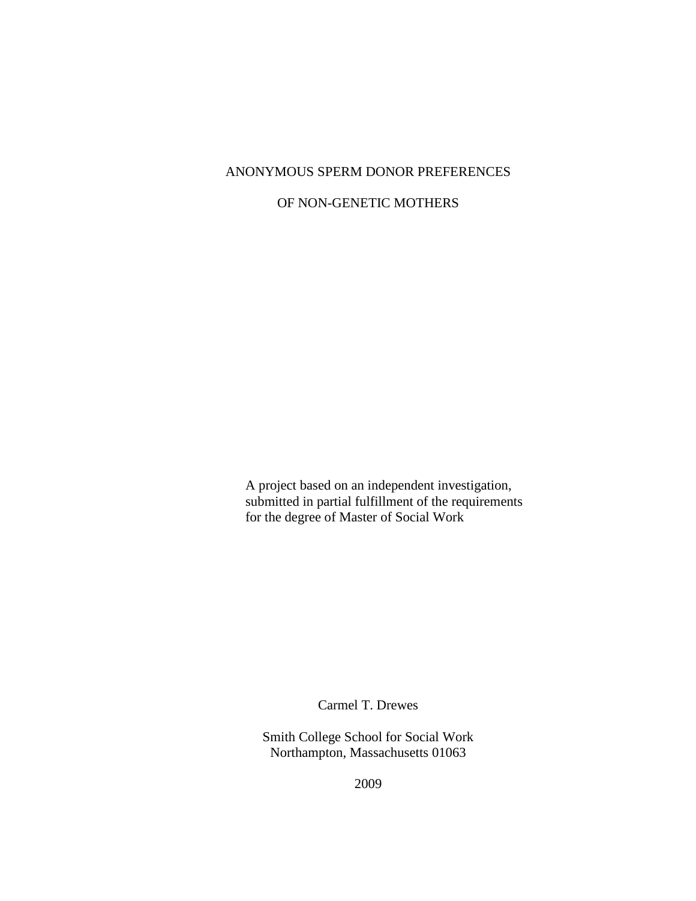### ANONYMOUS SPERM DONOR PREFERENCES

### OF NON-GENETIC MOTHERS

A project based on an independent investigation, submitted in partial fulfillment of the requirements for the degree of Master of Social Work

Carmel T. Drewes

Smith College School for Social Work Northampton, Massachusetts 01063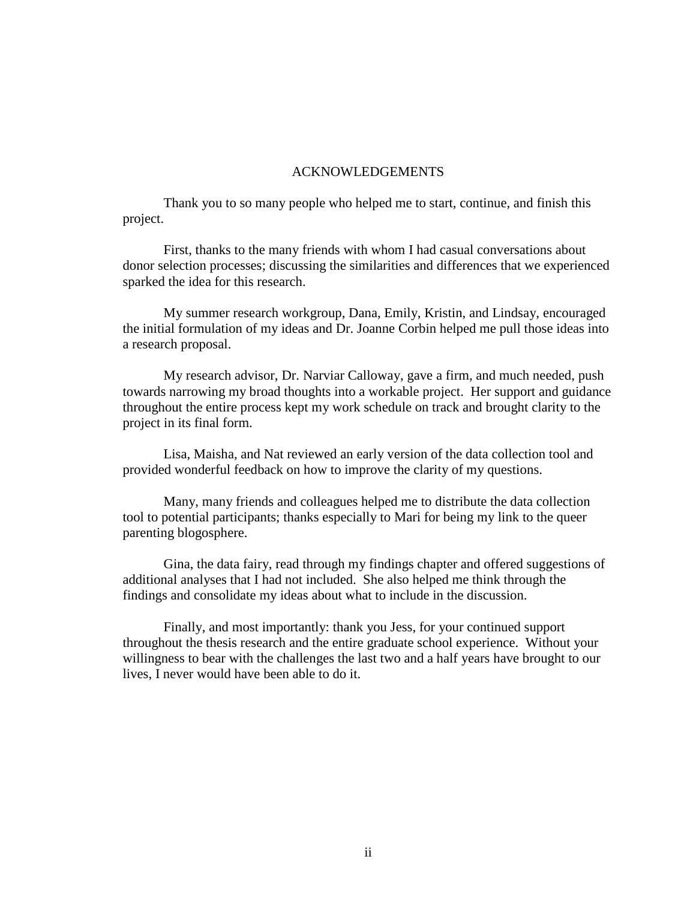#### ACKNOWLEDGEMENTS

Thank you to so many people who helped me to start, continue, and finish this project.

First, thanks to the many friends with whom I had casual conversations about donor selection processes; discussing the similarities and differences that we experienced sparked the idea for this research.

My summer research workgroup, Dana, Emily, Kristin, and Lindsay, encouraged the initial formulation of my ideas and Dr. Joanne Corbin helped me pull those ideas into a research proposal.

My research advisor, Dr. Narviar Calloway, gave a firm, and much needed, push towards narrowing my broad thoughts into a workable project. Her support and guidance throughout the entire process kept my work schedule on track and brought clarity to the project in its final form.

Lisa, Maisha, and Nat reviewed an early version of the data collection tool and provided wonderful feedback on how to improve the clarity of my questions.

Many, many friends and colleagues helped me to distribute the data collection tool to potential participants; thanks especially to Mari for being my link to the queer parenting blogosphere.

Gina, the data fairy, read through my findings chapter and offered suggestions of additional analyses that I had not included. She also helped me think through the findings and consolidate my ideas about what to include in the discussion.

Finally, and most importantly: thank you Jess, for your continued support throughout the thesis research and the entire graduate school experience. Without your willingness to bear with the challenges the last two and a half years have brought to our lives, I never would have been able to do it.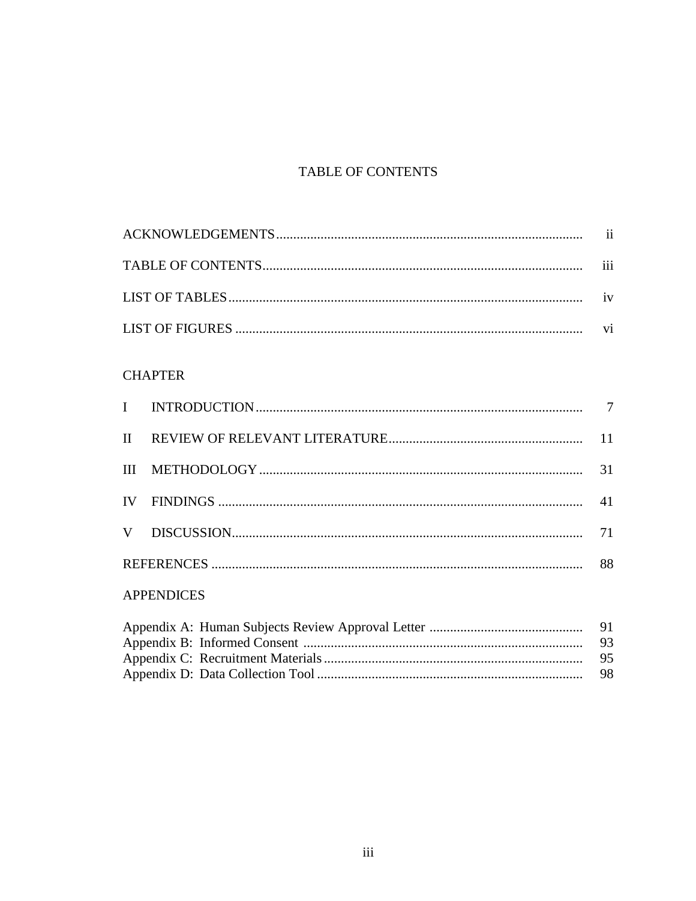# TABLE OF CONTENTS

| 111 |
|-----|
|     |
|     |

## **CHAPTER**

|  | 31 |
|--|----|
|  |    |
|  | 71 |
|  | 88 |

### **APPENDICES**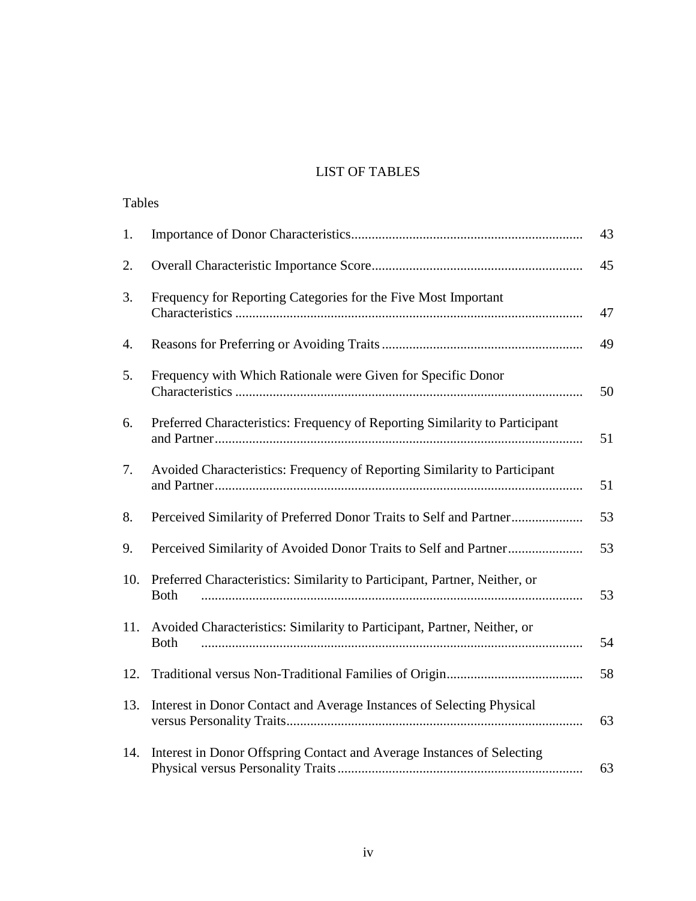### LIST OF TABLES

| <b>Tables</b> |                                                                                           |    |
|---------------|-------------------------------------------------------------------------------------------|----|
| 1.            |                                                                                           | 43 |
| 2.            |                                                                                           | 45 |
| 3.            | Frequency for Reporting Categories for the Five Most Important                            | 47 |
| 4.            |                                                                                           | 49 |
| 5.            | Frequency with Which Rationale were Given for Specific Donor                              | 50 |
| 6.            | Preferred Characteristics: Frequency of Reporting Similarity to Participant               | 51 |
| 7.            | Avoided Characteristics: Frequency of Reporting Similarity to Participant                 | 51 |
| 8.            | Perceived Similarity of Preferred Donor Traits to Self and Partner                        | 53 |
| 9.            | Perceived Similarity of Avoided Donor Traits to Self and Partner                          | 53 |
| 10.           | Preferred Characteristics: Similarity to Participant, Partner, Neither, or<br><b>Both</b> | 53 |
| 11.           | Avoided Characteristics: Similarity to Participant, Partner, Neither, or<br><b>Both</b>   | 54 |
| 12.           |                                                                                           | 58 |
| 13.           | Interest in Donor Contact and Average Instances of Selecting Physical                     | 63 |
| 14.           | Interest in Donor Offspring Contact and Average Instances of Selecting                    | 63 |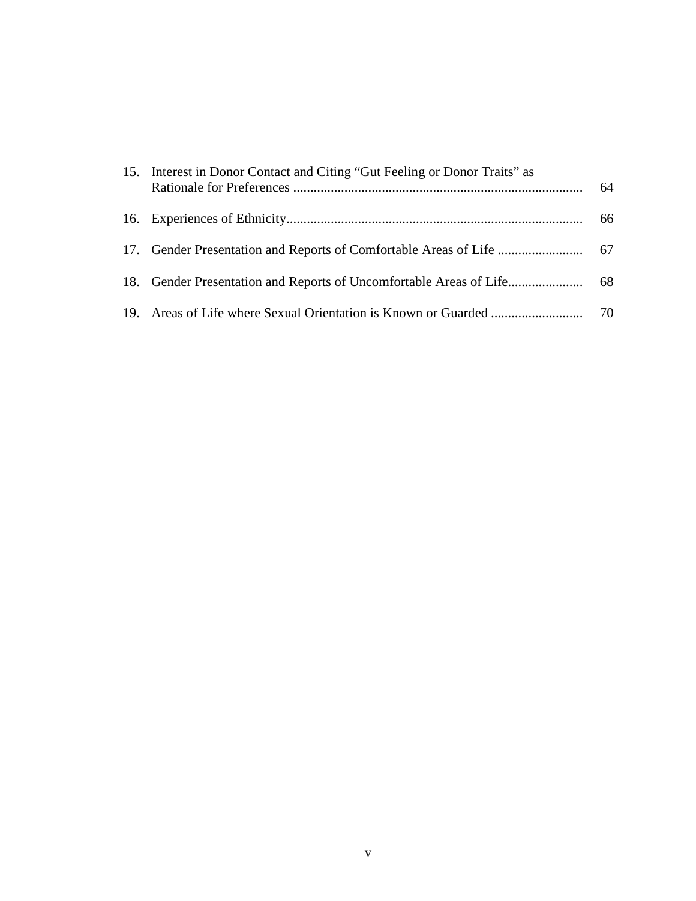| 15. Interest in Donor Contact and Citing "Gut Feeling or Donor Traits" as | 64 |
|---------------------------------------------------------------------------|----|
|                                                                           | 66 |
|                                                                           |    |
|                                                                           |    |
|                                                                           |    |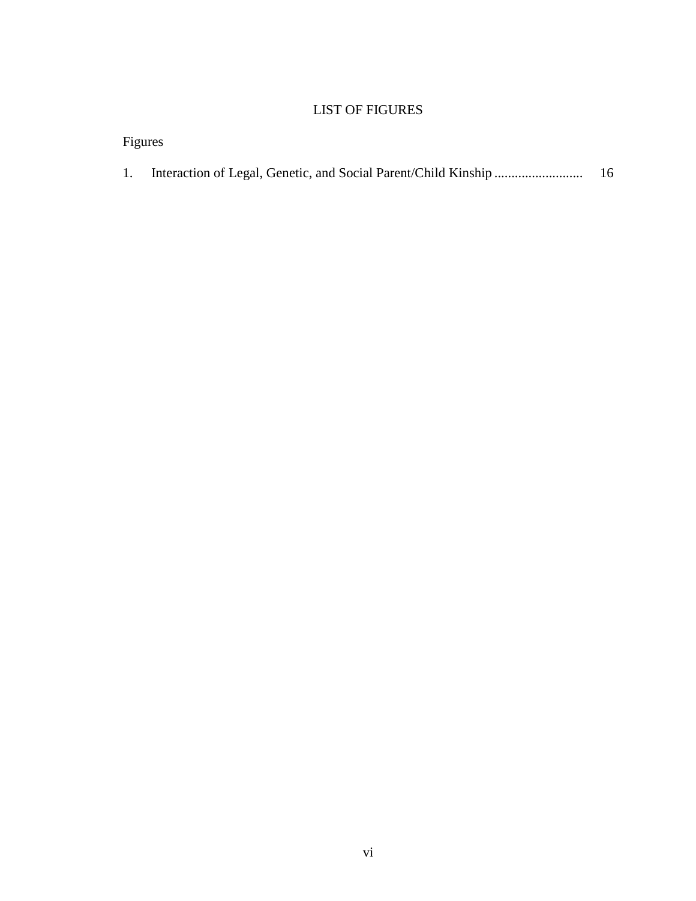### LIST OF FIGURES

| Figures |                                                                   |     |
|---------|-------------------------------------------------------------------|-----|
|         | 1. Interaction of Legal, Genetic, and Social Parent/Child Kinship | -16 |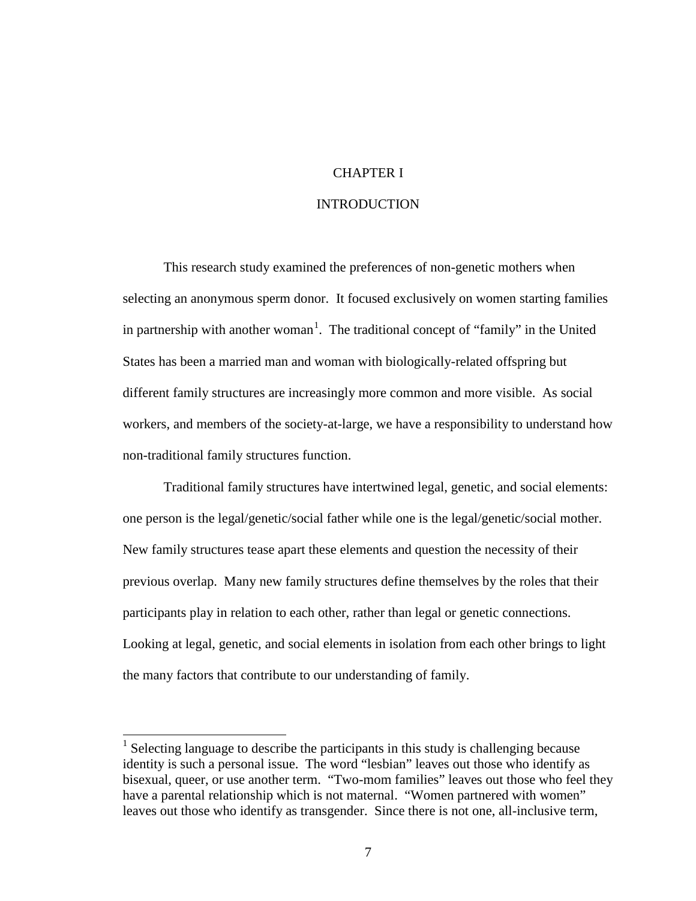#### CHAPTER I

#### INTRODUCTION

This research study examined the preferences of non-genetic mothers when selecting an anonymous sperm donor. It focused exclusively on women starting families in partnership with another woman<sup>[1](#page-8-0)</sup>. The traditional concept of "family" in the United States has been a married man and woman with biologically-related offspring but different family structures are increasingly more common and more visible. As social workers, and members of the society-at-large, we have a responsibility to understand how non-traditional family structures function.

Traditional family structures have intertwined legal, genetic, and social elements: one person is the legal/genetic/social father while one is the legal/genetic/social mother. New family structures tease apart these elements and question the necessity of their previous overlap. Many new family structures define themselves by the roles that their participants play in relation to each other, rather than legal or genetic connections. Looking at legal, genetic, and social elements in isolation from each other brings to light the many factors that contribute to our understanding of family.

<span id="page-8-0"></span><sup>&</sup>lt;sup>1</sup> Selecting language to describe the participants in this study is challenging because identity is such a personal issue. The word "lesbian" leaves out those who identify as bisexual, queer, or use another term. "Two-mom families" leaves out those who feel they have a parental relationship which is not maternal. "Women partnered with women" leaves out those who identify as transgender. Since there is not one, all-inclusive term,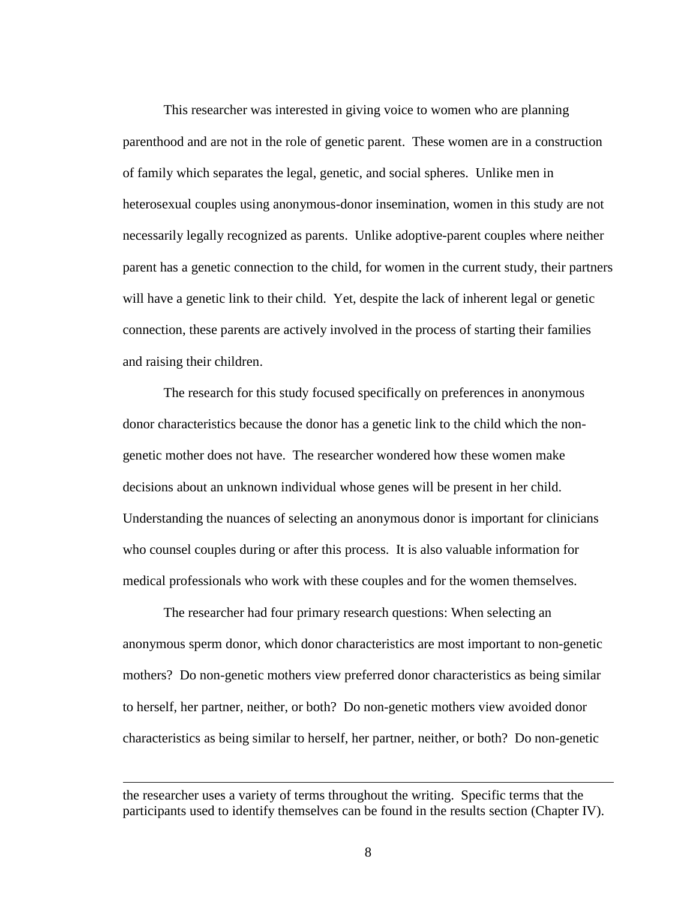This researcher was interested in giving voice to women who are planning parenthood and are not in the role of genetic parent. These women are in a construction of family which separates the legal, genetic, and social spheres. Unlike men in heterosexual couples using anonymous-donor insemination, women in this study are not necessarily legally recognized as parents. Unlike adoptive-parent couples where neither parent has a genetic connection to the child, for women in the current study, their partners will have a genetic link to their child. Yet, despite the lack of inherent legal or genetic connection, these parents are actively involved in the process of starting their families and raising their children.

The research for this study focused specifically on preferences in anonymous donor characteristics because the donor has a genetic link to the child which the nongenetic mother does not have. The researcher wondered how these women make decisions about an unknown individual whose genes will be present in her child. Understanding the nuances of selecting an anonymous donor is important for clinicians who counsel couples during or after this process. It is also valuable information for medical professionals who work with these couples and for the women themselves.

The researcher had four primary research questions: When selecting an anonymous sperm donor, which donor characteristics are most important to non-genetic mothers?Do non-genetic mothers view preferred donor characteristics as being similar to herself, her partner, neither, or both? Do non-genetic mothers view avoided donor characteristics as being similar to herself, her partner, neither, or both? Do non-genetic

 $\overline{a}$ 

the researcher uses a variety of terms throughout the writing. Specific terms that the participants used to identify themselves can be found in the results section (Chapter IV).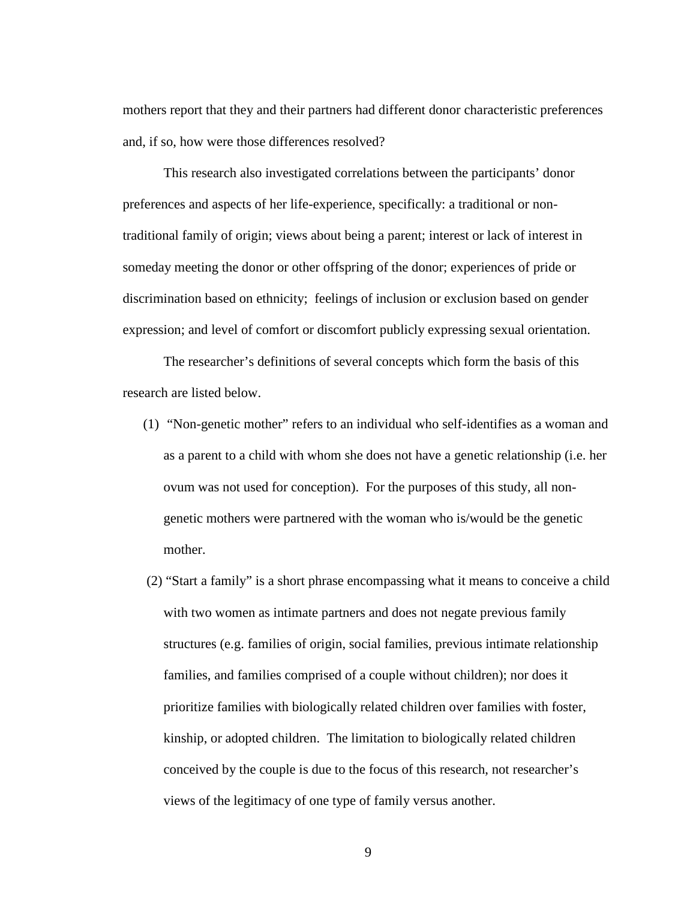mothers report that they and their partners had different donor characteristic preferences and, if so, how were those differences resolved?

This research also investigated correlations between the participants' donor preferences and aspects of her life-experience, specifically: a traditional or nontraditional family of origin; views about being a parent; interest or lack of interest in someday meeting the donor or other offspring of the donor; experiences of pride or discrimination based on ethnicity; feelings of inclusion or exclusion based on gender expression; and level of comfort or discomfort publicly expressing sexual orientation.

The researcher's definitions of several concepts which form the basis of this research are listed below.

- (1) "Non-genetic mother" refers to an individual who self-identifies as a woman and as a parent to a child with whom she does not have a genetic relationship (i.e. her ovum was not used for conception). For the purposes of this study, all nongenetic mothers were partnered with the woman who is/would be the genetic mother.
- (2) "Start a family" is a short phrase encompassing what it means to conceive a child with two women as intimate partners and does not negate previous family structures (e.g. families of origin, social families, previous intimate relationship families, and families comprised of a couple without children); nor does it prioritize families with biologically related children over families with foster, kinship, or adopted children. The limitation to biologically related children conceived by the couple is due to the focus of this research, not researcher's views of the legitimacy of one type of family versus another.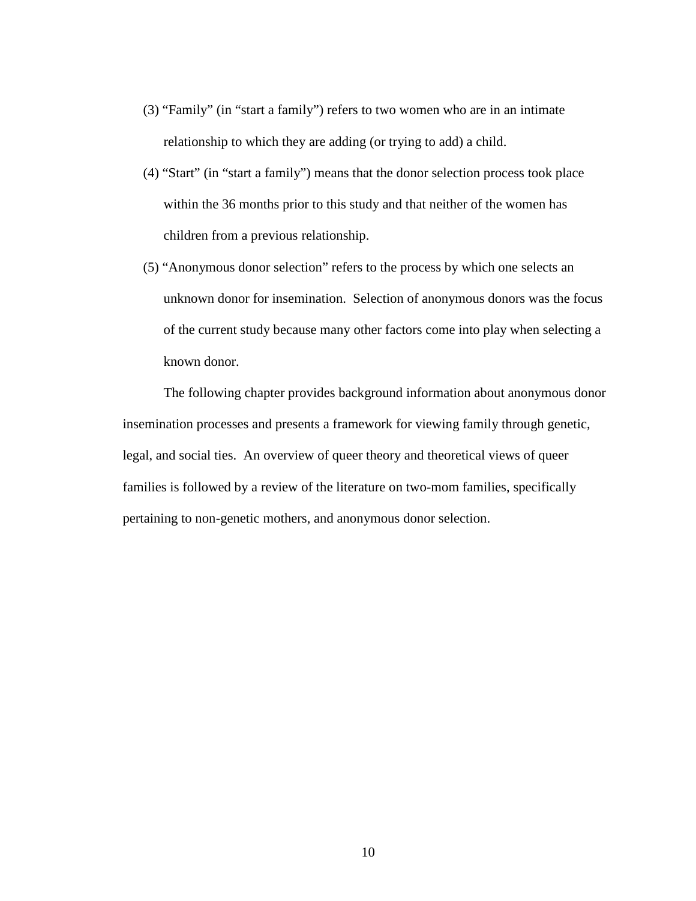- (3) "Family" (in "start a family") refers to two women who are in an intimate relationship to which they are adding (or trying to add) a child.
- (4) "Start" (in "start a family") means that the donor selection process took place within the 36 months prior to this study and that neither of the women has children from a previous relationship.
- (5) "Anonymous donor selection" refers to the process by which one selects an unknown donor for insemination. Selection of anonymous donors was the focus of the current study because many other factors come into play when selecting a known donor.

The following chapter provides background information about anonymous donor insemination processes and presents a framework for viewing family through genetic, legal, and social ties. An overview of queer theory and theoretical views of queer families is followed by a review of the literature on two-mom families, specifically pertaining to non-genetic mothers, and anonymous donor selection.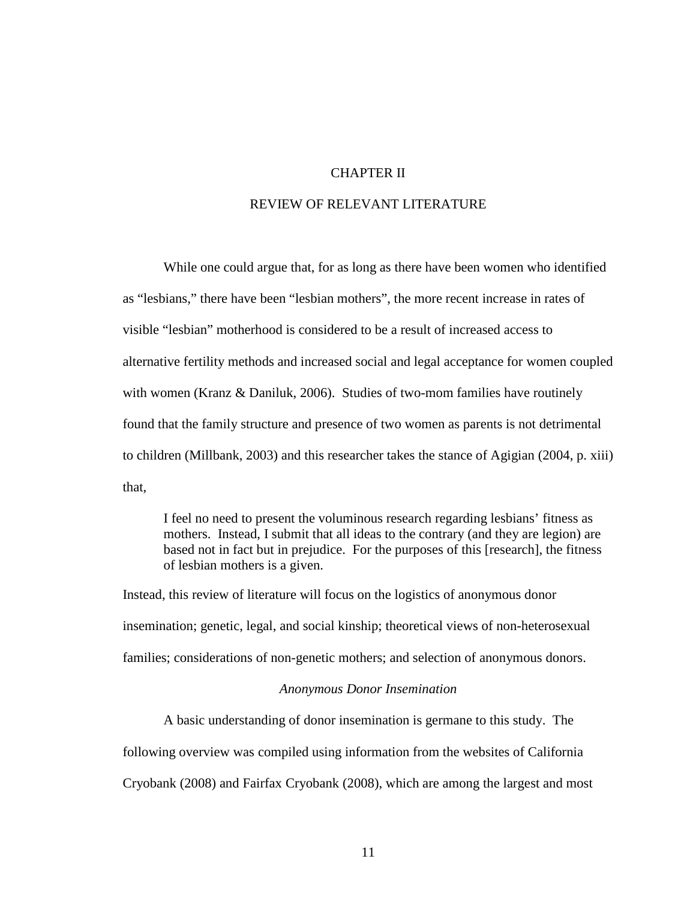#### CHAPTER II

#### REVIEW OF RELEVANT LITERATURE

While one could argue that, for as long as there have been women who identified as "lesbians," there have been "lesbian mothers", the more recent increase in rates of visible "lesbian" motherhood is considered to be a result of increased access to alternative fertility methods and increased social and legal acceptance for women coupled with women (Kranz & Daniluk, 2006). Studies of two-mom families have routinely found that the family structure and presence of two women as parents is not detrimental to children (Millbank, 2003) and this researcher takes the stance of Agigian (2004, p. xiii) that,

I feel no need to present the voluminous research regarding lesbians' fitness as mothers. Instead, I submit that all ideas to the contrary (and they are legion) are based not in fact but in prejudice. For the purposes of this [research], the fitness of lesbian mothers is a given.

Instead, this review of literature will focus on the logistics of anonymous donor insemination; genetic, legal, and social kinship; theoretical views of non-heterosexual families; considerations of non-genetic mothers; and selection of anonymous donors.

#### *Anonymous Donor Insemination*

A basic understanding of donor insemination is germane to this study. The following overview was compiled using information from the websites of California Cryobank (2008) and Fairfax Cryobank (2008), which are among the largest and most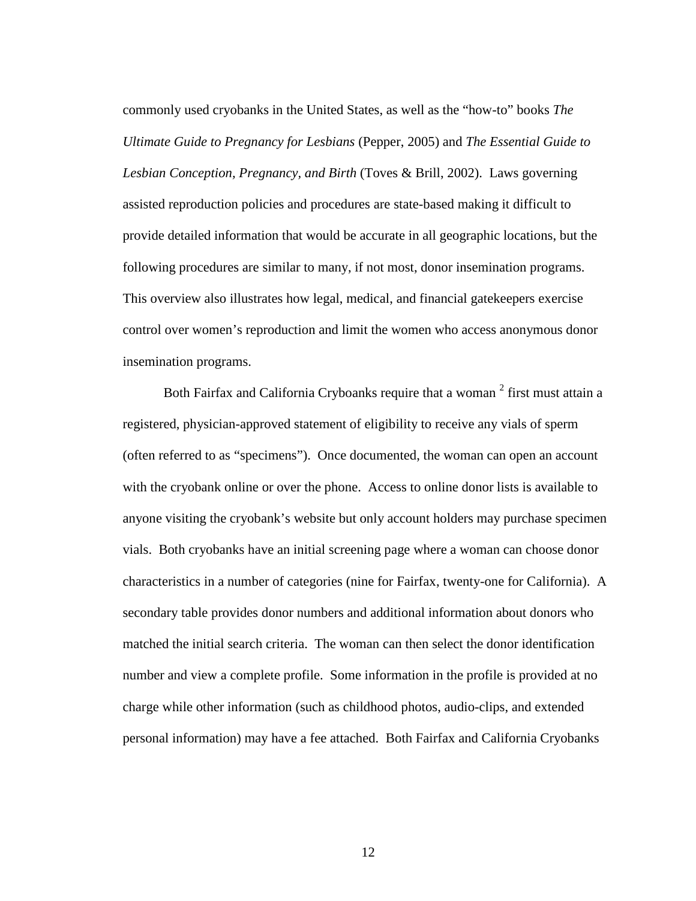commonly used cryobanks in the United States, as well as the "how-to" books *The Ultimate Guide to Pregnancy for Lesbians* (Pepper, 2005) and *The Essential Guide to Lesbian Conception, Pregnancy, and Birth* (Toves & Brill, 2002). Laws governing assisted reproduction policies and procedures are state-based making it difficult to provide detailed information that would be accurate in all geographic locations, but the following procedures are similar to many, if not most, donor insemination programs. This overview also illustrates how legal, medical, and financial gatekeepers exercise control over women's reproduction and limit the women who access anonymous donor insemination programs.

Both Fairfax and California Cryboanks require that a woman <sup>[2](#page-70-0)</sup> first must attain a registered, physician-approved statement of eligibility to receive any vials of sperm (often referred to as "specimens"). Once documented, the woman can open an account with the cryobank online or over the phone. Access to online donor lists is available to anyone visiting the cryobank's website but only account holders may purchase specimen vials. Both cryobanks have an initial screening page where a woman can choose donor characteristics in a number of categories (nine for Fairfax, twenty-one for California). A secondary table provides donor numbers and additional information about donors who matched the initial search criteria. The woman can then select the donor identification number and view a complete profile. Some information in the profile is provided at no charge while other information (such as childhood photos, audio-clips, and extended personal information) may have a fee attached. Both Fairfax and California Cryobanks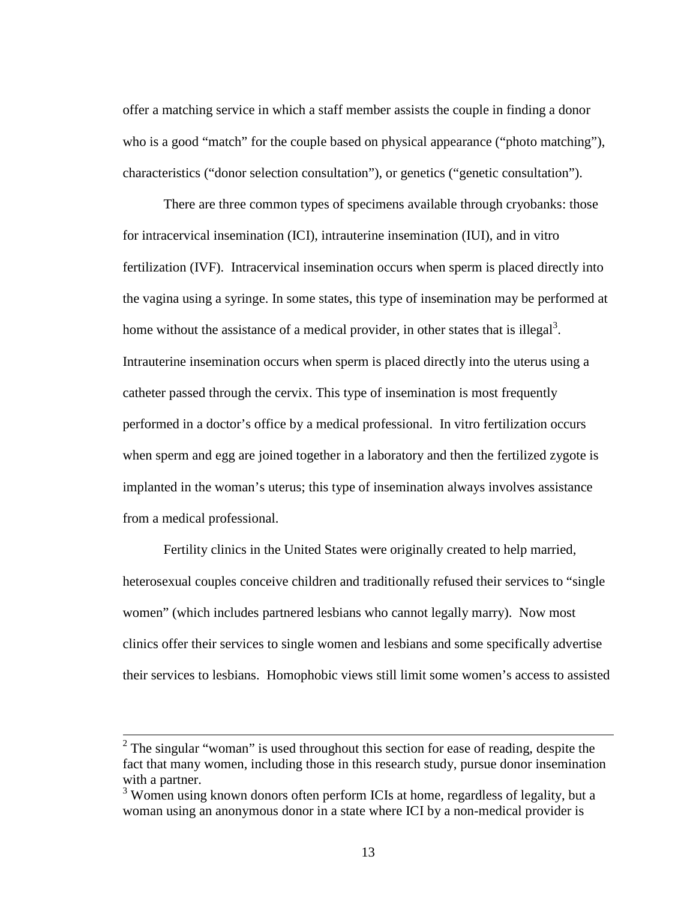offer a matching service in which a staff member assists the couple in finding a donor who is a good "match" for the couple based on physical appearance ("photo matching"), characteristics ("donor selection consultation"), or genetics ("genetic consultation").

There are three common types of specimens available through cryobanks: those for intracervical insemination (ICI), intrauterine insemination (IUI), and in vitro fertilization (IVF). Intracervical insemination occurs when sperm is placed directly into the vagina using a syringe. In some states, this type of insemination may be performed at home without the assistance of a medical provider, in other states that is illegal<sup>3</sup>. Intrauterine insemination occurs when sperm is placed directly into the uterus using a catheter passed through the cervix. This type of insemination is most frequently performed in a doctor's office by a medical professional. In vitro fertilization occurs when sperm and egg are joined together in a laboratory and then the fertilized zygote is implanted in the woman's uterus; this type of insemination always involves assistance from a medical professional.

Fertility clinics in the United States were originally created to help married, heterosexual couples conceive children and traditionally refused their services to "single women" (which includes partnered lesbians who cannot legally marry). Now most clinics offer their services to single women and lesbians and some specifically advertise their services to lesbians. Homophobic views still limit some women's access to assisted

 $2^2$  The singular "woman" is used throughout this section for ease of reading, despite the fact that many women, including those in this research study, pursue donor insemination with a partner.

<sup>&</sup>lt;sup>3</sup> Women using known donors often perform ICIs at home, regardless of legality, but a woman using an anonymous donor in a state where ICI by a non-medical provider is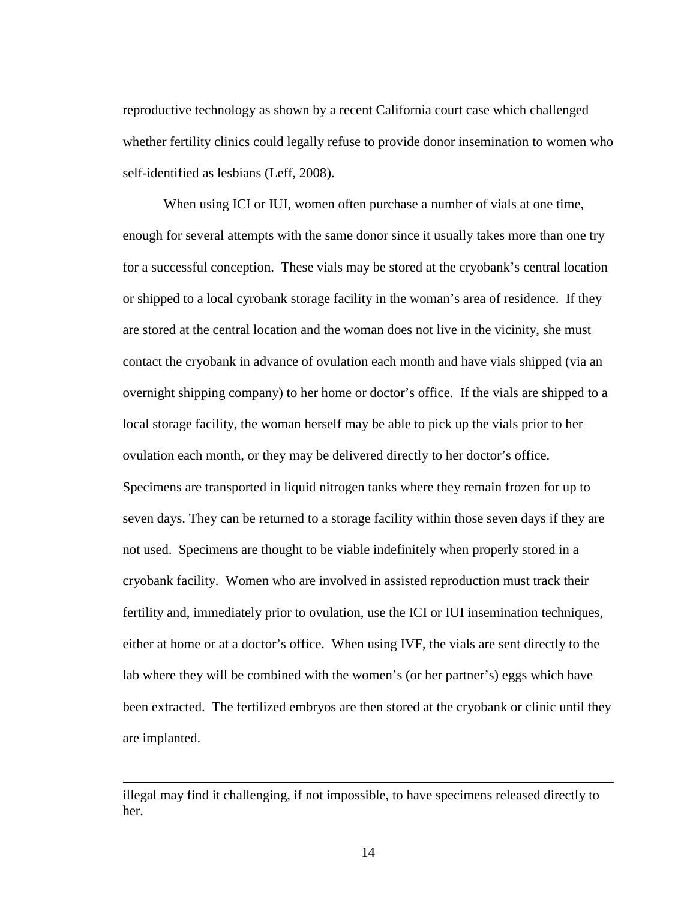reproductive technology as shown by a recent California court case which challenged whether fertility clinics could legally refuse to provide donor insemination to women who self-identified as lesbians (Leff, 2008).

When using ICI or IUI, women often purchase a number of vials at one time, enough for several attempts with the same donor since it usually takes more than one try for a successful conception. These vials may be stored at the cryobank's central location or shipped to a local cyrobank storage facility in the woman's area of residence. If they are stored at the central location and the woman does not live in the vicinity, she must contact the cryobank in advance of ovulation each month and have vials shipped (via an overnight shipping company) to her home or doctor's office. If the vials are shipped to a local storage facility, the woman herself may be able to pick up the vials prior to her ovulation each month, or they may be delivered directly to her doctor's office. Specimens are transported in liquid nitrogen tanks where they remain frozen for up to seven days. They can be returned to a storage facility within those seven days if they are not used. Specimens are thought to be viable indefinitely when properly stored in a cryobank facility. Women who are involved in assisted reproduction must track their fertility and, immediately prior to ovulation, use the ICI or IUI insemination techniques, either at home or at a doctor's office. When using IVF, the vials are sent directly to the lab where they will be combined with the women's (or her partner's) eggs which have been extracted. The fertilized embryos are then stored at the cryobank or clinic until they are implanted.

 $\overline{a}$ 

illegal may find it challenging, if not impossible, to have specimens released directly to her.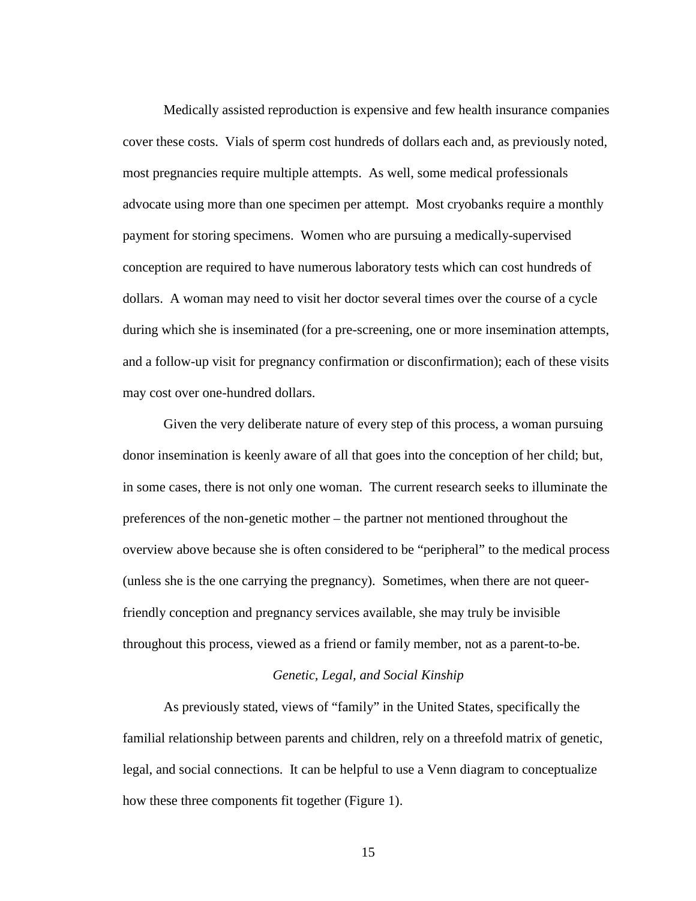Medically assisted reproduction is expensive and few health insurance companies cover these costs. Vials of sperm cost hundreds of dollars each and, as previously noted, most pregnancies require multiple attempts. As well, some medical professionals advocate using more than one specimen per attempt. Most cryobanks require a monthly payment for storing specimens. Women who are pursuing a medically-supervised conception are required to have numerous laboratory tests which can cost hundreds of dollars. A woman may need to visit her doctor several times over the course of a cycle during which she is inseminated (for a pre-screening, one or more insemination attempts, and a follow-up visit for pregnancy confirmation or disconfirmation); each of these visits may cost over one-hundred dollars.

Given the very deliberate nature of every step of this process, a woman pursuing donor insemination is keenly aware of all that goes into the conception of her child; but, in some cases, there is not only one woman. The current research seeks to illuminate the preferences of the non-genetic mother – the partner not mentioned throughout the overview above because she is often considered to be "peripheral" to the medical process (unless she is the one carrying the pregnancy). Sometimes, when there are not queerfriendly conception and pregnancy services available, she may truly be invisible throughout this process, viewed as a friend or family member, not as a parent-to-be.

#### *Genetic, Legal, and Social Kinship*

As previously stated, views of "family" in the United States, specifically the familial relationship between parents and children, rely on a threefold matrix of genetic, legal, and social connections. It can be helpful to use a Venn diagram to conceptualize how these three components fit together (Figure 1).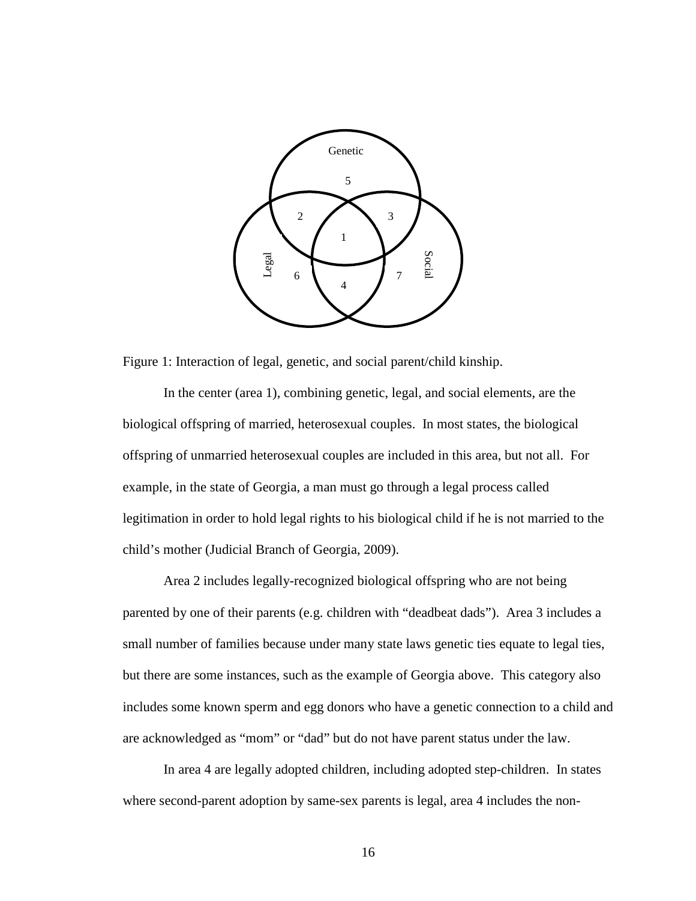

Figure 1: Interaction of legal, genetic, and social parent/child kinship.

In the center (area 1), combining genetic, legal, and social elements, are the biological offspring of married, heterosexual couples. In most states, the biological offspring of unmarried heterosexual couples are included in this area, but not all. For example, in the state of Georgia, a man must go through a legal process called legitimation in order to hold legal rights to his biological child if he is not married to the child's mother (Judicial Branch of Georgia, 2009).

Area 2 includes legally-recognized biological offspring who are not being parented by one of their parents (e.g. children with "deadbeat dads"). Area 3 includes a small number of families because under many state laws genetic ties equate to legal ties, but there are some instances, such as the example of Georgia above. This category also includes some known sperm and egg donors who have a genetic connection to a child and are acknowledged as "mom" or "dad" but do not have parent status under the law.

In area 4 are legally adopted children, including adopted step-children. In states where second-parent adoption by same-sex parents is legal, area 4 includes the non-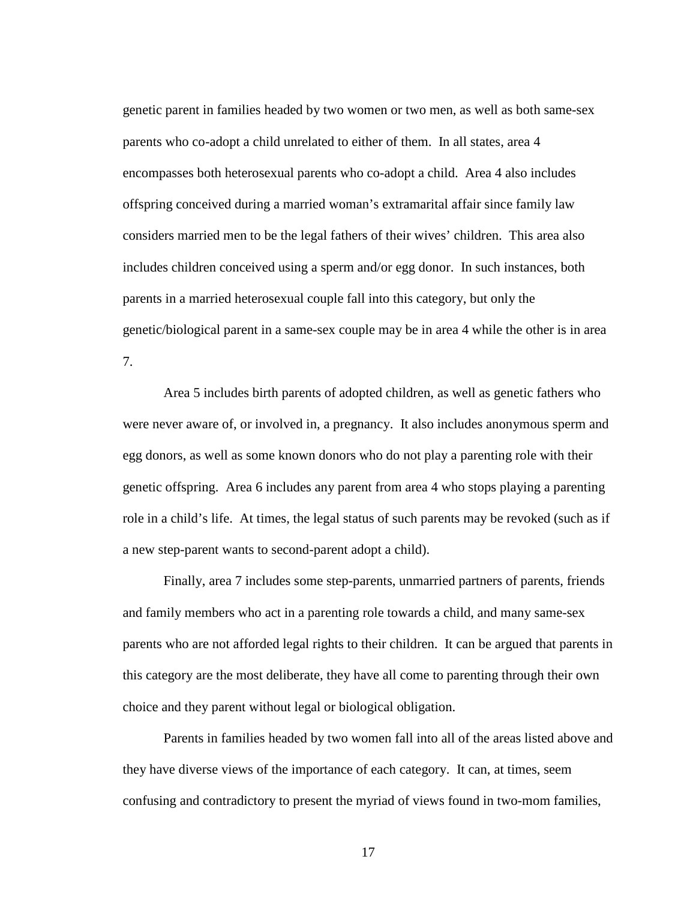genetic parent in families headed by two women or two men, as well as both same-sex parents who co-adopt a child unrelated to either of them. In all states, area 4 encompasses both heterosexual parents who co-adopt a child. Area 4 also includes offspring conceived during a married woman's extramarital affair since family law considers married men to be the legal fathers of their wives' children. This area also includes children conceived using a sperm and/or egg donor. In such instances, both parents in a married heterosexual couple fall into this category, but only the genetic/biological parent in a same-sex couple may be in area 4 while the other is in area 7.

Area 5 includes birth parents of adopted children, as well as genetic fathers who were never aware of, or involved in, a pregnancy. It also includes anonymous sperm and egg donors, as well as some known donors who do not play a parenting role with their genetic offspring. Area 6 includes any parent from area 4 who stops playing a parenting role in a child's life. At times, the legal status of such parents may be revoked (such as if a new step-parent wants to second-parent adopt a child).

Finally, area 7 includes some step-parents, unmarried partners of parents, friends and family members who act in a parenting role towards a child, and many same-sex parents who are not afforded legal rights to their children. It can be argued that parents in this category are the most deliberate, they have all come to parenting through their own choice and they parent without legal or biological obligation.

Parents in families headed by two women fall into all of the areas listed above and they have diverse views of the importance of each category. It can, at times, seem confusing and contradictory to present the myriad of views found in two-mom families,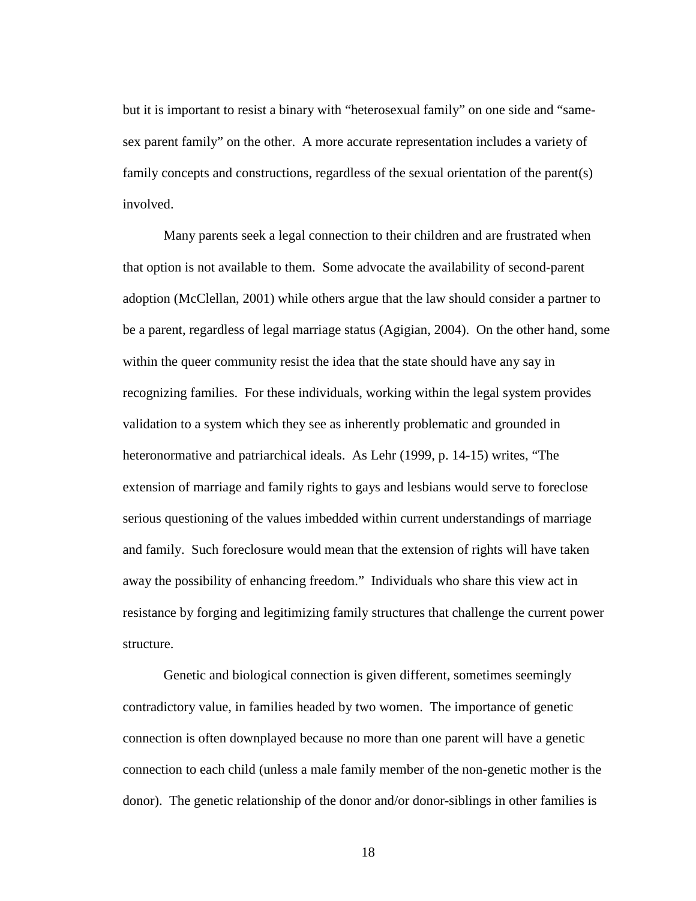but it is important to resist a binary with "heterosexual family" on one side and "samesex parent family" on the other. A more accurate representation includes a variety of family concepts and constructions, regardless of the sexual orientation of the parent(s) involved.

Many parents seek a legal connection to their children and are frustrated when that option is not available to them. Some advocate the availability of second-parent adoption (McClellan, 2001) while others argue that the law should consider a partner to be a parent, regardless of legal marriage status (Agigian, 2004). On the other hand, some within the queer community resist the idea that the state should have any say in recognizing families. For these individuals, working within the legal system provides validation to a system which they see as inherently problematic and grounded in heteronormative and patriarchical ideals. As Lehr (1999, p. 14-15) writes, "The extension of marriage and family rights to gays and lesbians would serve to foreclose serious questioning of the values imbedded within current understandings of marriage and family. Such foreclosure would mean that the extension of rights will have taken away the possibility of enhancing freedom." Individuals who share this view act in resistance by forging and legitimizing family structures that challenge the current power structure.

Genetic and biological connection is given different, sometimes seemingly contradictory value, in families headed by two women. The importance of genetic connection is often downplayed because no more than one parent will have a genetic connection to each child (unless a male family member of the non-genetic mother is the donor). The genetic relationship of the donor and/or donor-siblings in other families is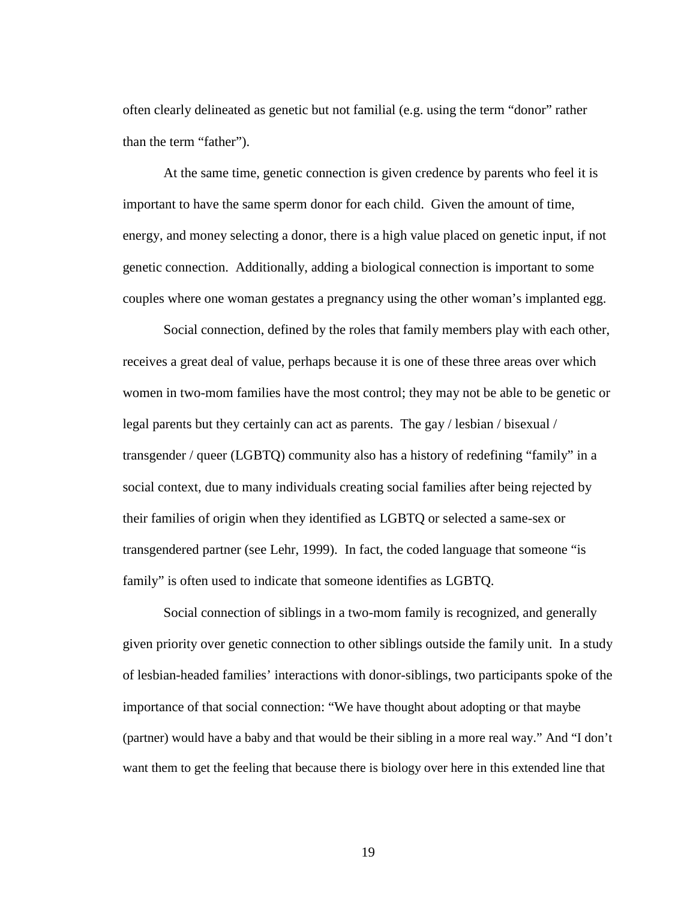often clearly delineated as genetic but not familial (e.g. using the term "donor" rather than the term "father").

At the same time, genetic connection is given credence by parents who feel it is important to have the same sperm donor for each child. Given the amount of time, energy, and money selecting a donor, there is a high value placed on genetic input, if not genetic connection. Additionally, adding a biological connection is important to some couples where one woman gestates a pregnancy using the other woman's implanted egg.

Social connection, defined by the roles that family members play with each other, receives a great deal of value, perhaps because it is one of these three areas over which women in two-mom families have the most control; they may not be able to be genetic or legal parents but they certainly can act as parents. The gay / lesbian / bisexual / transgender / queer (LGBTQ) community also has a history of redefining "family" in a social context, due to many individuals creating social families after being rejected by their families of origin when they identified as LGBTQ or selected a same-sex or transgendered partner (see Lehr, 1999). In fact, the coded language that someone "is family" is often used to indicate that someone identifies as LGBTQ.

Social connection of siblings in a two-mom family is recognized, and generally given priority over genetic connection to other siblings outside the family unit. In a study of lesbian-headed families' interactions with donor-siblings, two participants spoke of the importance of that social connection: "We have thought about adopting or that maybe (partner) would have a baby and that would be their sibling in a more real way." And "I don't want them to get the feeling that because there is biology over here in this extended line that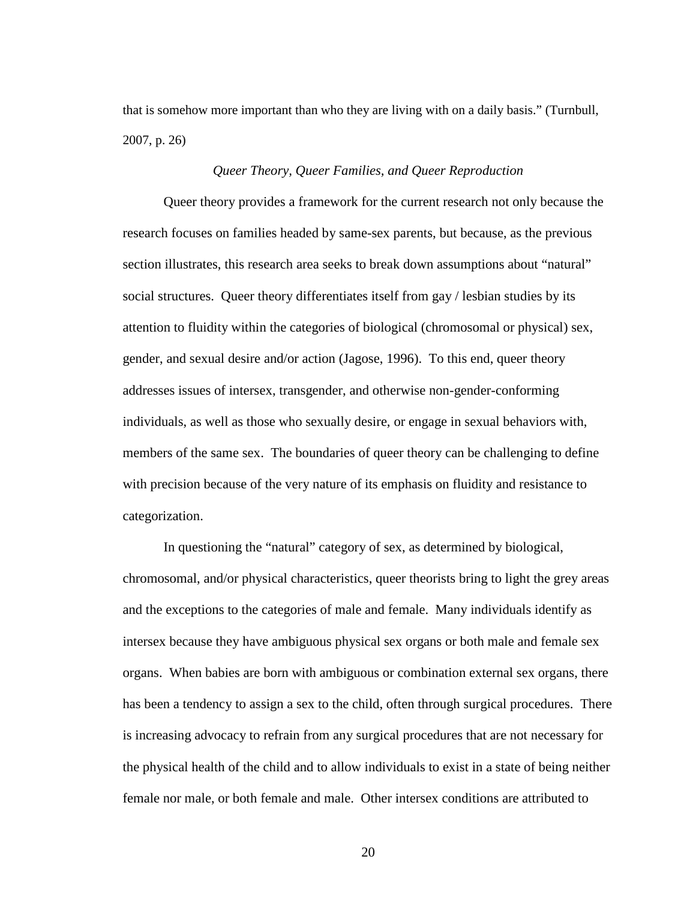that is somehow more important than who they are living with on a daily basis." (Turnbull, 2007, p. 26)

#### *Queer Theory, Queer Families, and Queer Reproduction*

Queer theory provides a framework for the current research not only because the research focuses on families headed by same-sex parents, but because, as the previous section illustrates, this research area seeks to break down assumptions about "natural" social structures. Queer theory differentiates itself from gay / lesbian studies by its attention to fluidity within the categories of biological (chromosomal or physical) sex, gender, and sexual desire and/or action (Jagose, 1996). To this end, queer theory addresses issues of intersex, transgender, and otherwise non-gender-conforming individuals, as well as those who sexually desire, or engage in sexual behaviors with, members of the same sex. The boundaries of queer theory can be challenging to define with precision because of the very nature of its emphasis on fluidity and resistance to categorization.

In questioning the "natural" category of sex, as determined by biological, chromosomal, and/or physical characteristics, queer theorists bring to light the grey areas and the exceptions to the categories of male and female. Many individuals identify as intersex because they have ambiguous physical sex organs or both male and female sex organs. When babies are born with ambiguous or combination external sex organs, there has been a tendency to assign a sex to the child, often through surgical procedures. There is increasing advocacy to refrain from any surgical procedures that are not necessary for the physical health of the child and to allow individuals to exist in a state of being neither female nor male, or both female and male. Other intersex conditions are attributed to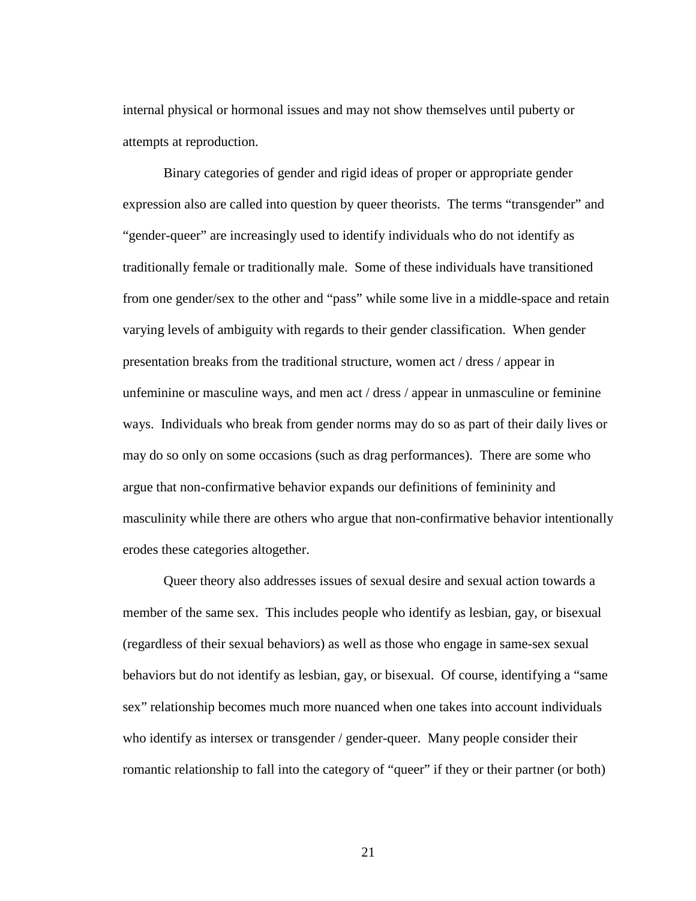internal physical or hormonal issues and may not show themselves until puberty or attempts at reproduction.

Binary categories of gender and rigid ideas of proper or appropriate gender expression also are called into question by queer theorists. The terms "transgender" and "gender-queer" are increasingly used to identify individuals who do not identify as traditionally female or traditionally male. Some of these individuals have transitioned from one gender/sex to the other and "pass" while some live in a middle-space and retain varying levels of ambiguity with regards to their gender classification. When gender presentation breaks from the traditional structure, women act / dress / appear in unfeminine or masculine ways, and men act / dress / appear in unmasculine or feminine ways. Individuals who break from gender norms may do so as part of their daily lives or may do so only on some occasions (such as drag performances). There are some who argue that non-confirmative behavior expands our definitions of femininity and masculinity while there are others who argue that non-confirmative behavior intentionally erodes these categories altogether.

Queer theory also addresses issues of sexual desire and sexual action towards a member of the same sex. This includes people who identify as lesbian, gay, or bisexual (regardless of their sexual behaviors) as well as those who engage in same-sex sexual behaviors but do not identify as lesbian, gay, or bisexual. Of course, identifying a "same sex" relationship becomes much more nuanced when one takes into account individuals who identify as intersex or transgender / gender-queer. Many people consider their romantic relationship to fall into the category of "queer" if they or their partner (or both)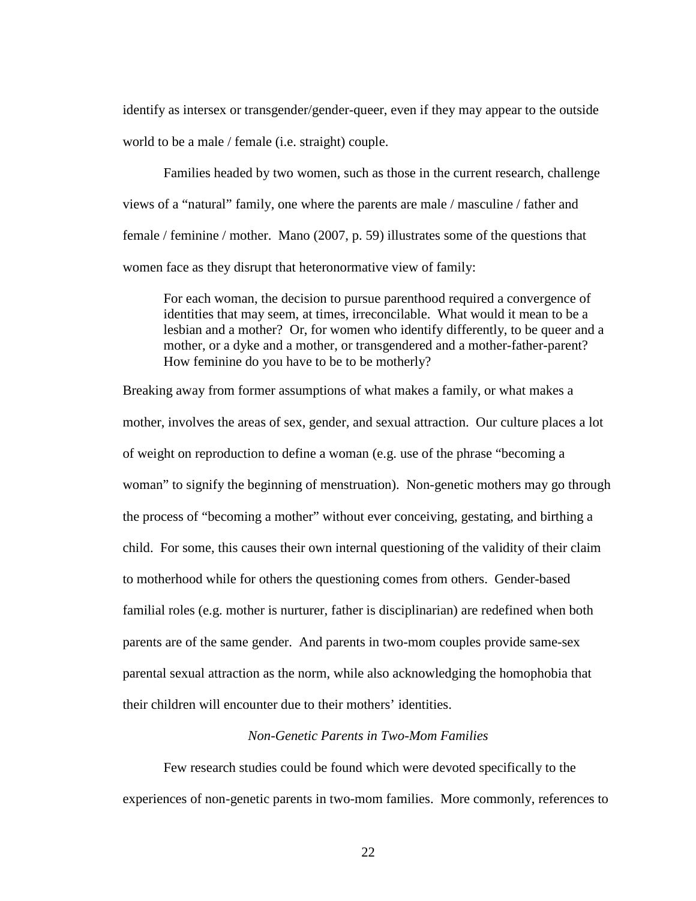identify as intersex or transgender/gender-queer, even if they may appear to the outside world to be a male / female (i.e. straight) couple.

Families headed by two women, such as those in the current research, challenge views of a "natural" family, one where the parents are male / masculine / father and female / feminine / mother. Mano (2007, p. 59) illustrates some of the questions that women face as they disrupt that heteronormative view of family:

For each woman, the decision to pursue parenthood required a convergence of identities that may seem, at times, irreconcilable. What would it mean to be a lesbian and a mother? Or, for women who identify differently, to be queer and a mother, or a dyke and a mother, or transgendered and a mother-father-parent? How feminine do you have to be to be motherly?

Breaking away from former assumptions of what makes a family, or what makes a mother, involves the areas of sex, gender, and sexual attraction. Our culture places a lot of weight on reproduction to define a woman (e.g. use of the phrase "becoming a woman" to signify the beginning of menstruation). Non-genetic mothers may go through the process of "becoming a mother" without ever conceiving, gestating, and birthing a child. For some, this causes their own internal questioning of the validity of their claim to motherhood while for others the questioning comes from others. Gender-based familial roles (e.g. mother is nurturer, father is disciplinarian) are redefined when both parents are of the same gender. And parents in two-mom couples provide same-sex parental sexual attraction as the norm, while also acknowledging the homophobia that their children will encounter due to their mothers' identities.

#### *Non-Genetic Parents in Two-Mom Families*

Few research studies could be found which were devoted specifically to the experiences of non-genetic parents in two-mom families. More commonly, references to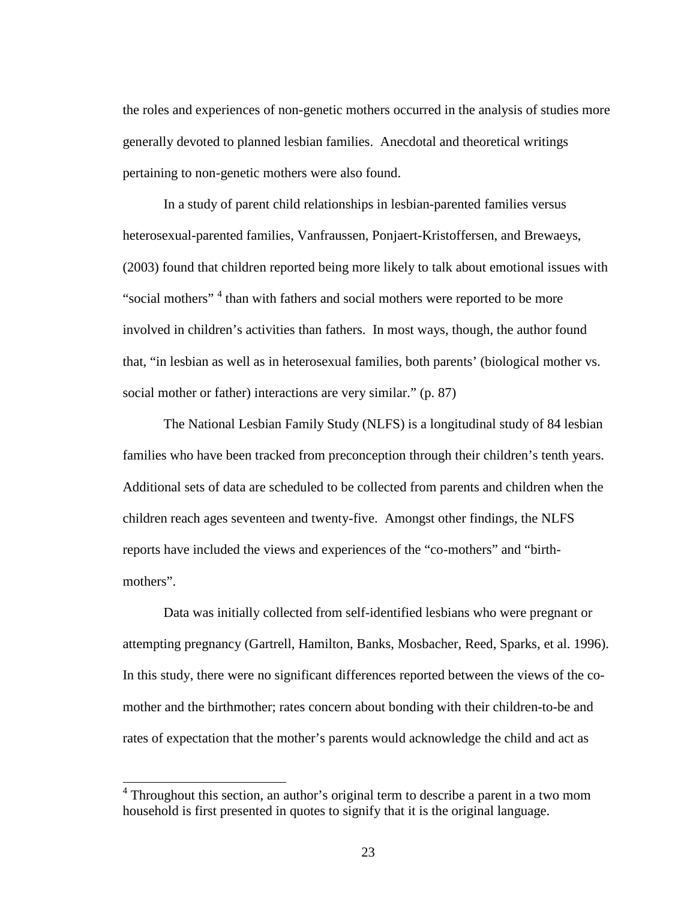the roles and experiences of non-genetic mothers occurred in the analysis of studies more generally devoted to planned lesbian families. Anecdotal and theoretical writings pertaining to non-genetic mothers were also found.

In a study of parent child relationships in lesbian-parented families versus heterosexual-parented families, Vanfraussen, Ponjaert-Kristoffersen, and Brewaeys, (2003) found that children reported being more likely to talk about emotional issues with "social mothers"<sup>4</sup> than with fathers and social mothers were reported to be more involved in children's activities than fathers. In most ways, though, the author found that, "in lesbian as well as in heterosexual families, both parents' (biological mother vs. social mother or father) interactions are very similar." (p. 87)

The National Lesbian Family Study (NLFS) is a longitudinal study of 84 lesbian families who have been tracked from preconception through their children's tenth years. Additional sets of data are scheduled to be collected from parents and children when the children reach ages seventeen and twenty-five. Amongst other findings, the NLFS reports have included the views and experiences of the "co-mothers" and "birthmothers".

Data was initially collected from self-identified lesbians who were pregnant or attempting pregnancy (Gartrell, Hamilton, Banks, Mosbacher, Reed, Sparks, et al. 1996). In this study, there were no significant differences reported between the views of the comother and the birthmother; rates concern about bonding with their children-to-be and rates of expectation that the mother's parents would acknowledge the child and act as

<sup>&</sup>lt;sup>4</sup> Throughout this section, an author's original term to describe a parent in a two mom household is first presented in quotes to signify that it is the original language.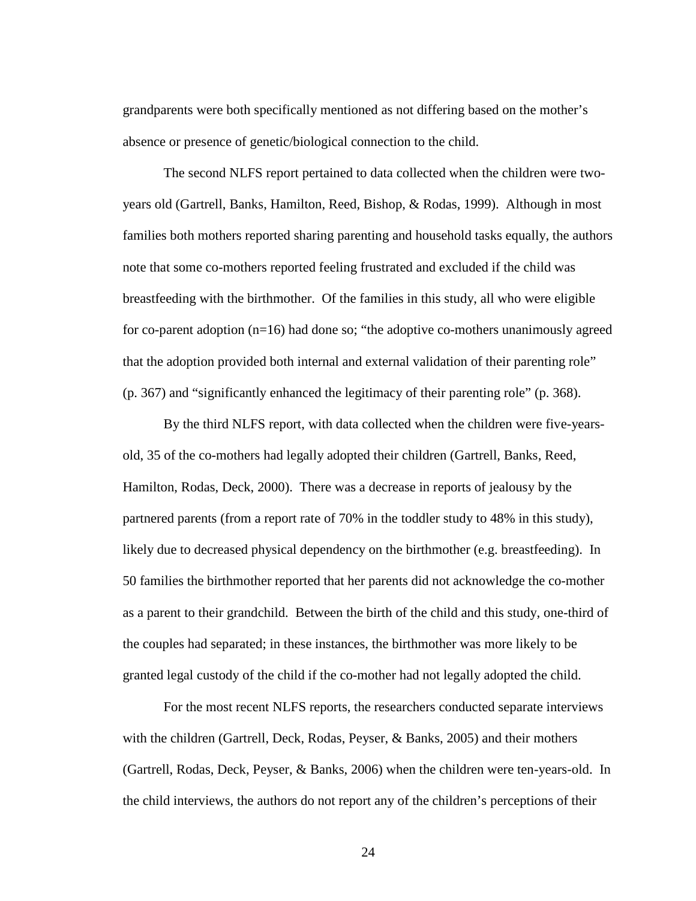grandparents were both specifically mentioned as not differing based on the mother's absence or presence of genetic/biological connection to the child.

The second NLFS report pertained to data collected when the children were twoyears old (Gartrell, Banks, Hamilton, Reed, Bishop, & Rodas, 1999). Although in most families both mothers reported sharing parenting and household tasks equally, the authors note that some co-mothers reported feeling frustrated and excluded if the child was breastfeeding with the birthmother. Of the families in this study, all who were eligible for co-parent adoption (n=16) had done so; "the adoptive co-mothers unanimously agreed that the adoption provided both internal and external validation of their parenting role" (p. 367) and "significantly enhanced the legitimacy of their parenting role" (p. 368).

By the third NLFS report, with data collected when the children were five-yearsold, 35 of the co-mothers had legally adopted their children (Gartrell, Banks, Reed, Hamilton, Rodas, Deck, 2000). There was a decrease in reports of jealousy by the partnered parents (from a report rate of 70% in the toddler study to 48% in this study), likely due to decreased physical dependency on the birthmother (e.g. breastfeeding). In 50 families the birthmother reported that her parents did not acknowledge the co-mother as a parent to their grandchild. Between the birth of the child and this study, one-third of the couples had separated; in these instances, the birthmother was more likely to be granted legal custody of the child if the co-mother had not legally adopted the child.

For the most recent NLFS reports, the researchers conducted separate interviews with the children (Gartrell, Deck, Rodas, Peyser, & Banks, 2005) and their mothers (Gartrell, Rodas, Deck, Peyser, & Banks, 2006) when the children were ten-years-old. In the child interviews, the authors do not report any of the children's perceptions of their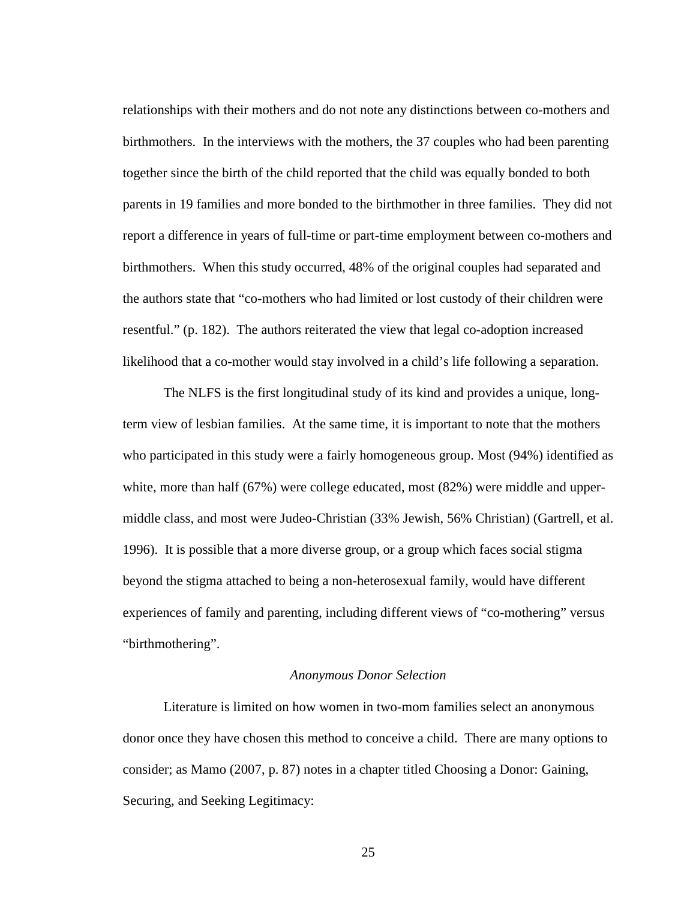relationships with their mothers and do not note any distinctions between co-mothers and birthmothers. In the interviews with the mothers, the 37 couples who had been parenting together since the birth of the child reported that the child was equally bonded to both parents in 19 families and more bonded to the birthmother in three families. They did not report a difference in years of full-time or part-time employment between co-mothers and birthmothers. When this study occurred, 48% of the original couples had separated and the authors state that "co-mothers who had limited or lost custody of their children were resentful." (p. 182). The authors reiterated the view that legal co-adoption increased likelihood that a co-mother would stay involved in a child's life following a separation.

The NLFS is the first longitudinal study of its kind and provides a unique, longterm view of lesbian families. At the same time, it is important to note that the mothers who participated in this study were a fairly homogeneous group. Most (94%) identified as white, more than half (67%) were college educated, most (82%) were middle and uppermiddle class, and most were Judeo-Christian (33% Jewish, 56% Christian) (Gartrell, et al. 1996). It is possible that a more diverse group, or a group which faces social stigma beyond the stigma attached to being a non-heterosexual family, would have different experiences of family and parenting, including different views of "co-mothering" versus "birthmothering".

#### *Anonymous Donor Selection*

Literature is limited on how women in two-mom families select an anonymous donor once they have chosen this method to conceive a child. There are many options to consider; as Mamo (2007, p. 87) notes in a chapter titled Choosing a Donor: Gaining, Securing, and Seeking Legitimacy: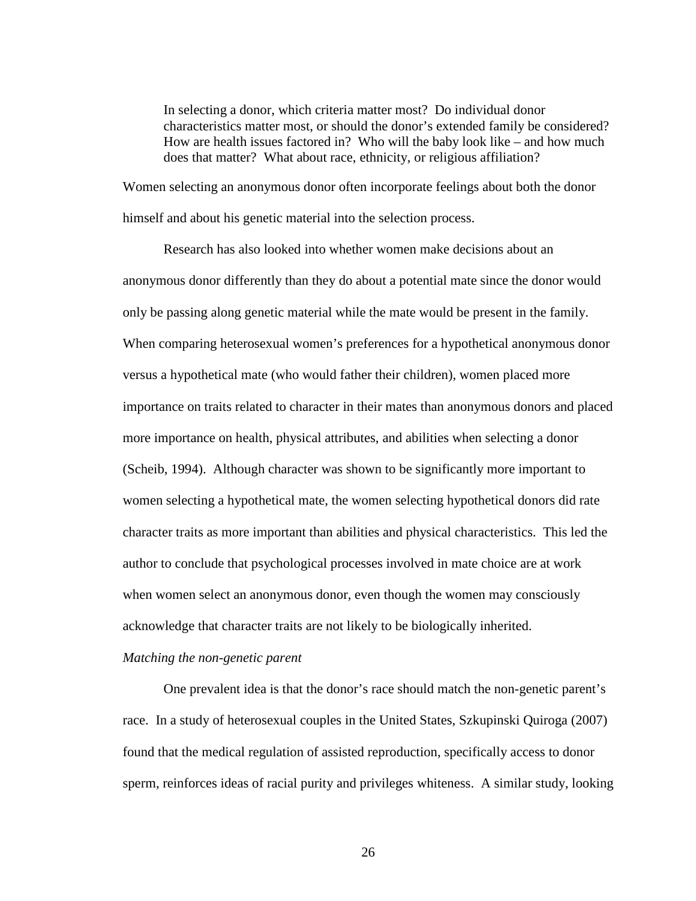In selecting a donor, which criteria matter most? Do individual donor characteristics matter most, or should the donor's extended family be considered? How are health issues factored in? Who will the baby look like – and how much does that matter? What about race, ethnicity, or religious affiliation?

Women selecting an anonymous donor often incorporate feelings about both the donor himself and about his genetic material into the selection process.

Research has also looked into whether women make decisions about an anonymous donor differently than they do about a potential mate since the donor would only be passing along genetic material while the mate would be present in the family. When comparing heterosexual women's preferences for a hypothetical anonymous donor versus a hypothetical mate (who would father their children), women placed more importance on traits related to character in their mates than anonymous donors and placed more importance on health, physical attributes, and abilities when selecting a donor (Scheib, 1994). Although character was shown to be significantly more important to women selecting a hypothetical mate, the women selecting hypothetical donors did rate character traits as more important than abilities and physical characteristics. This led the author to conclude that psychological processes involved in mate choice are at work when women select an anonymous donor, even though the women may consciously acknowledge that character traits are not likely to be biologically inherited.

#### *Matching the non-genetic parent*

One prevalent idea is that the donor's race should match the non-genetic parent's race. In a study of heterosexual couples in the United States, Szkupinski Quiroga (2007) found that the medical regulation of assisted reproduction, specifically access to donor sperm, reinforces ideas of racial purity and privileges whiteness. A similar study, looking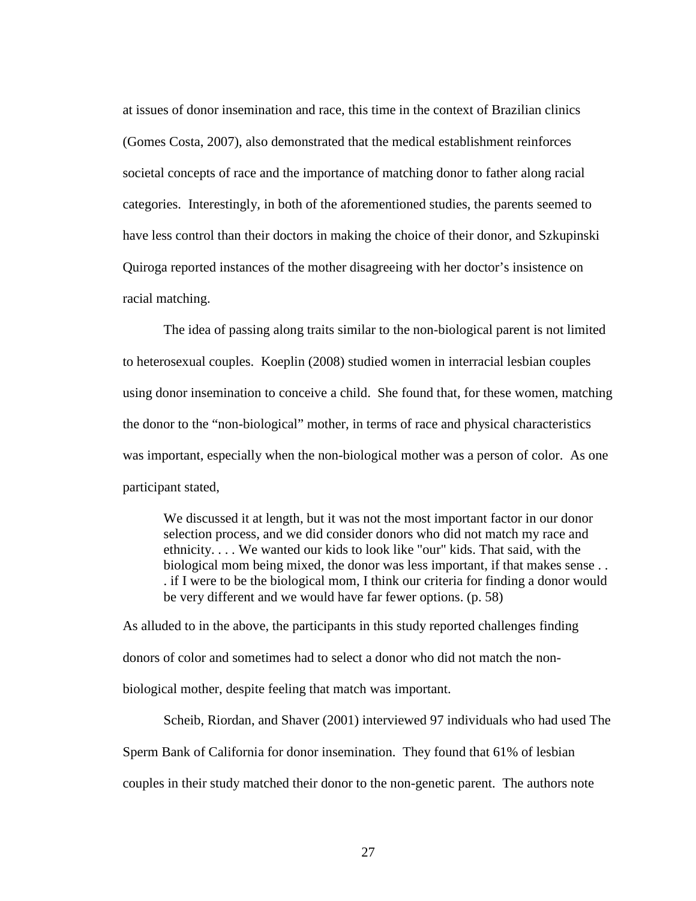at issues of donor insemination and race, this time in the context of Brazilian clinics (Gomes Costa, 2007), also demonstrated that the medical establishment reinforces societal concepts of race and the importance of matching donor to father along racial categories. Interestingly, in both of the aforementioned studies, the parents seemed to have less control than their doctors in making the choice of their donor, and Szkupinski Quiroga reported instances of the mother disagreeing with her doctor's insistence on racial matching.

The idea of passing along traits similar to the non-biological parent is not limited to heterosexual couples. Koeplin (2008) studied women in interracial lesbian couples using donor insemination to conceive a child. She found that, for these women, matching the donor to the "non-biological" mother, in terms of race and physical characteristics was important, especially when the non-biological mother was a person of color. As one participant stated,

We discussed it at length, but it was not the most important factor in our donor selection process, and we did consider donors who did not match my race and ethnicity. . . . We wanted our kids to look like "our" kids. That said, with the biological mom being mixed, the donor was less important, if that makes sense . . . if I were to be the biological mom, I think our criteria for finding a donor would be very different and we would have far fewer options. (p. 58)

As alluded to in the above, the participants in this study reported challenges finding donors of color and sometimes had to select a donor who did not match the nonbiological mother, despite feeling that match was important.

Scheib, Riordan, and Shaver (2001) interviewed 97 individuals who had used The Sperm Bank of California for donor insemination. They found that 61% of lesbian couples in their study matched their donor to the non-genetic parent. The authors note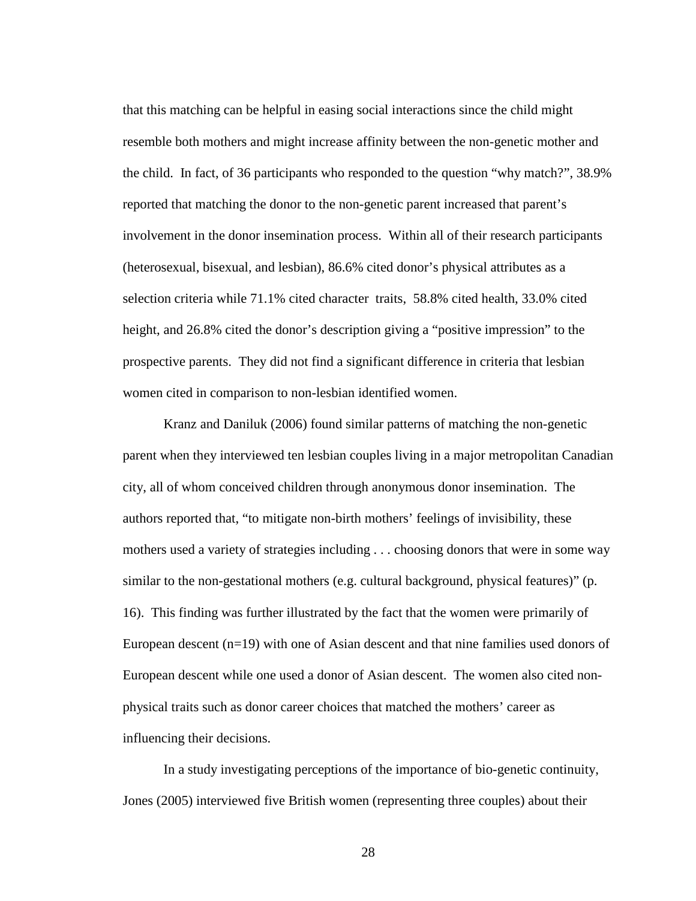that this matching can be helpful in easing social interactions since the child might resemble both mothers and might increase affinity between the non-genetic mother and the child. In fact, of 36 participants who responded to the question "why match?", 38.9% reported that matching the donor to the non-genetic parent increased that parent's involvement in the donor insemination process. Within all of their research participants (heterosexual, bisexual, and lesbian), 86.6% cited donor's physical attributes as a selection criteria while 71.1% cited character traits, 58.8% cited health, 33.0% cited height, and 26.8% cited the donor's description giving a "positive impression" to the prospective parents. They did not find a significant difference in criteria that lesbian women cited in comparison to non-lesbian identified women.

Kranz and Daniluk (2006) found similar patterns of matching the non-genetic parent when they interviewed ten lesbian couples living in a major metropolitan Canadian city, all of whom conceived children through anonymous donor insemination. The authors reported that, "to mitigate non-birth mothers' feelings of invisibility, these mothers used a variety of strategies including . . . choosing donors that were in some way similar to the non-gestational mothers (e.g. cultural background, physical features)" (p. 16). This finding was further illustrated by the fact that the women were primarily of European descent (n=19) with one of Asian descent and that nine families used donors of European descent while one used a donor of Asian descent. The women also cited nonphysical traits such as donor career choices that matched the mothers' career as influencing their decisions.

In a study investigating perceptions of the importance of bio-genetic continuity, Jones (2005) interviewed five British women (representing three couples) about their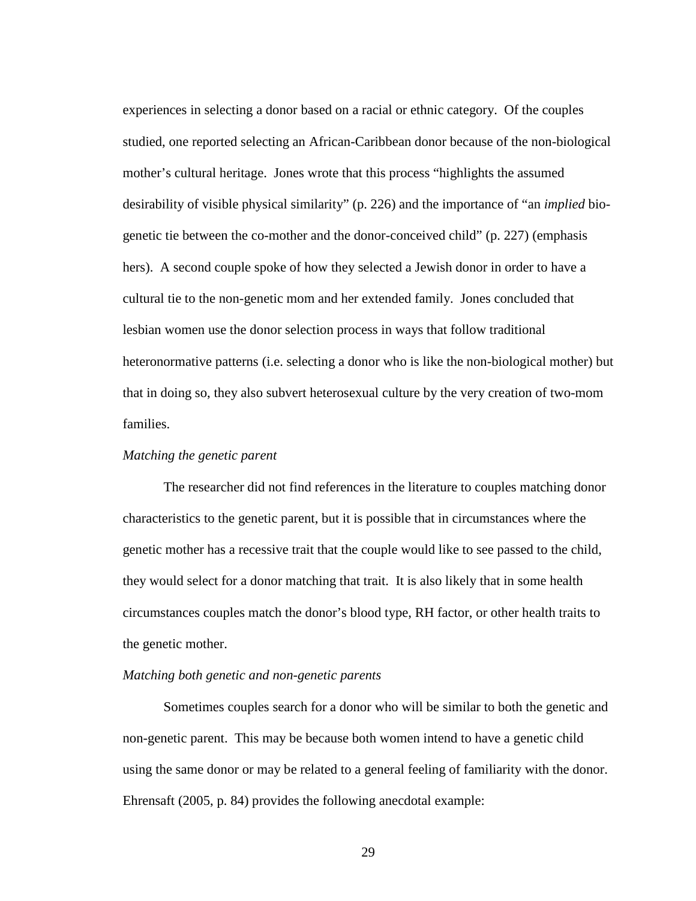experiences in selecting a donor based on a racial or ethnic category. Of the couples studied, one reported selecting an African-Caribbean donor because of the non-biological mother's cultural heritage. Jones wrote that this process "highlights the assumed desirability of visible physical similarity" (p. 226) and the importance of "an *implied* biogenetic tie between the co-mother and the donor-conceived child" (p. 227) (emphasis hers). A second couple spoke of how they selected a Jewish donor in order to have a cultural tie to the non-genetic mom and her extended family. Jones concluded that lesbian women use the donor selection process in ways that follow traditional heteronormative patterns (i.e. selecting a donor who is like the non-biological mother) but that in doing so, they also subvert heterosexual culture by the very creation of two-mom families.

#### *Matching the genetic parent*

The researcher did not find references in the literature to couples matching donor characteristics to the genetic parent, but it is possible that in circumstances where the genetic mother has a recessive trait that the couple would like to see passed to the child, they would select for a donor matching that trait. It is also likely that in some health circumstances couples match the donor's blood type, RH factor, or other health traits to the genetic mother.

#### *Matching both genetic and non-genetic parents*

Sometimes couples search for a donor who will be similar to both the genetic and non-genetic parent. This may be because both women intend to have a genetic child using the same donor or may be related to a general feeling of familiarity with the donor. Ehrensaft (2005, p. 84) provides the following anecdotal example: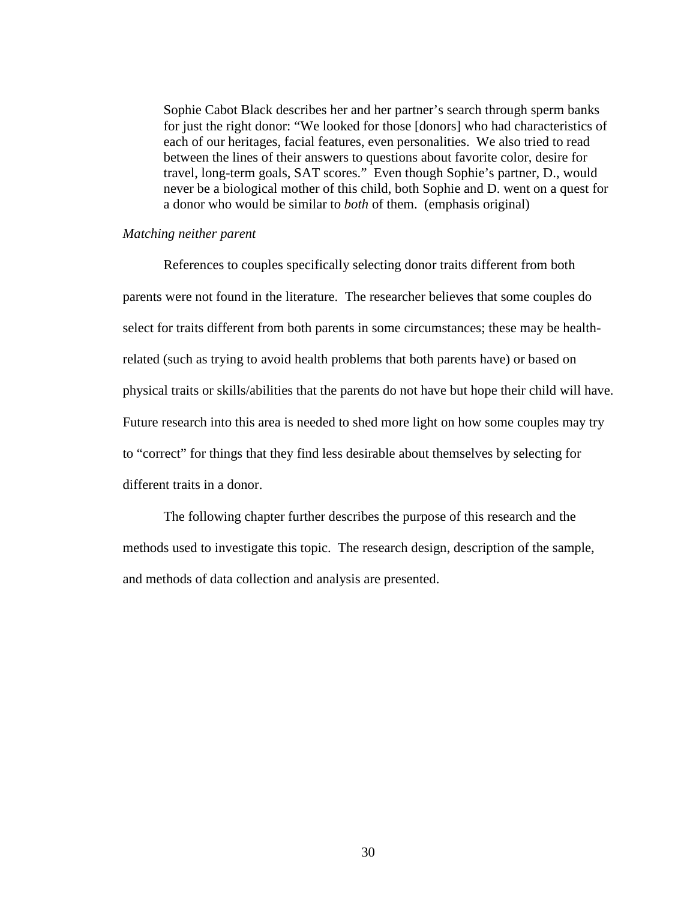Sophie Cabot Black describes her and her partner's search through sperm banks for just the right donor: "We looked for those [donors] who had characteristics of each of our heritages, facial features, even personalities. We also tried to read between the lines of their answers to questions about favorite color, desire for travel, long-term goals, SAT scores." Even though Sophie's partner, D., would never be a biological mother of this child, both Sophie and D. went on a quest for a donor who would be similar to *both* of them. (emphasis original)

#### *Matching neither parent*

References to couples specifically selecting donor traits different from both parents were not found in the literature. The researcher believes that some couples do select for traits different from both parents in some circumstances; these may be healthrelated (such as trying to avoid health problems that both parents have) or based on physical traits or skills/abilities that the parents do not have but hope their child will have. Future research into this area is needed to shed more light on how some couples may try to "correct" for things that they find less desirable about themselves by selecting for different traits in a donor.

The following chapter further describes the purpose of this research and the methods used to investigate this topic. The research design, description of the sample, and methods of data collection and analysis are presented.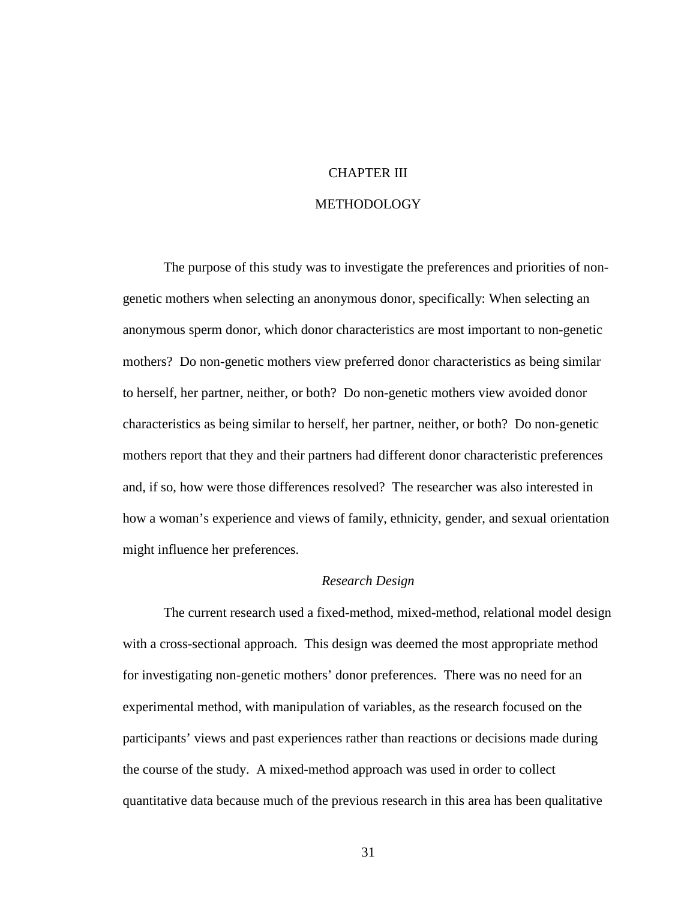#### CHAPTER III

#### METHODOLOGY

The purpose of this study was to investigate the preferences and priorities of nongenetic mothers when selecting an anonymous donor, specifically: When selecting an anonymous sperm donor, which donor characteristics are most important to non-genetic mothers?Do non-genetic mothers view preferred donor characteristics as being similar to herself, her partner, neither, or both? Do non-genetic mothers view avoided donor characteristics as being similar to herself, her partner, neither, or both? Do non-genetic mothers report that they and their partners had different donor characteristic preferences and, if so, how were those differences resolved? The researcher was also interested in how a woman's experience and views of family, ethnicity, gender, and sexual orientation might influence her preferences.

#### *Research Design*

The current research used a fixed-method, mixed-method, relational model design with a cross-sectional approach. This design was deemed the most appropriate method for investigating non-genetic mothers' donor preferences. There was no need for an experimental method, with manipulation of variables, as the research focused on the participants' views and past experiences rather than reactions or decisions made during the course of the study. A mixed-method approach was used in order to collect quantitative data because much of the previous research in this area has been qualitative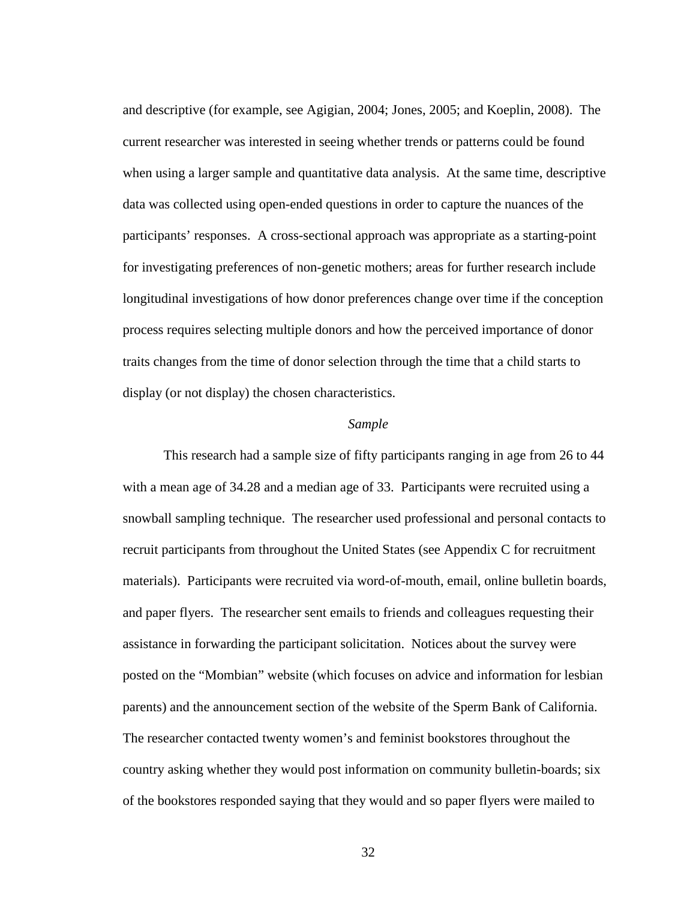and descriptive (for example, see Agigian, 2004; Jones, 2005; and Koeplin, 2008). The current researcher was interested in seeing whether trends or patterns could be found when using a larger sample and quantitative data analysis. At the same time, descriptive data was collected using open-ended questions in order to capture the nuances of the participants' responses. A cross-sectional approach was appropriate as a starting-point for investigating preferences of non-genetic mothers; areas for further research include longitudinal investigations of how donor preferences change over time if the conception process requires selecting multiple donors and how the perceived importance of donor traits changes from the time of donor selection through the time that a child starts to display (or not display) the chosen characteristics.

#### *Sample*

This research had a sample size of fifty participants ranging in age from 26 to 44 with a mean age of 34.28 and a median age of 33. Participants were recruited using a snowball sampling technique. The researcher used professional and personal contacts to recruit participants from throughout the United States (see Appendix C for recruitment materials). Participants were recruited via word-of-mouth, email, online bulletin boards, and paper flyers. The researcher sent emails to friends and colleagues requesting their assistance in forwarding the participant solicitation. Notices about the survey were posted on the "Mombian" website (which focuses on advice and information for lesbian parents) and the announcement section of the website of the Sperm Bank of California. The researcher contacted twenty women's and feminist bookstores throughout the country asking whether they would post information on community bulletin-boards; six of the bookstores responded saying that they would and so paper flyers were mailed to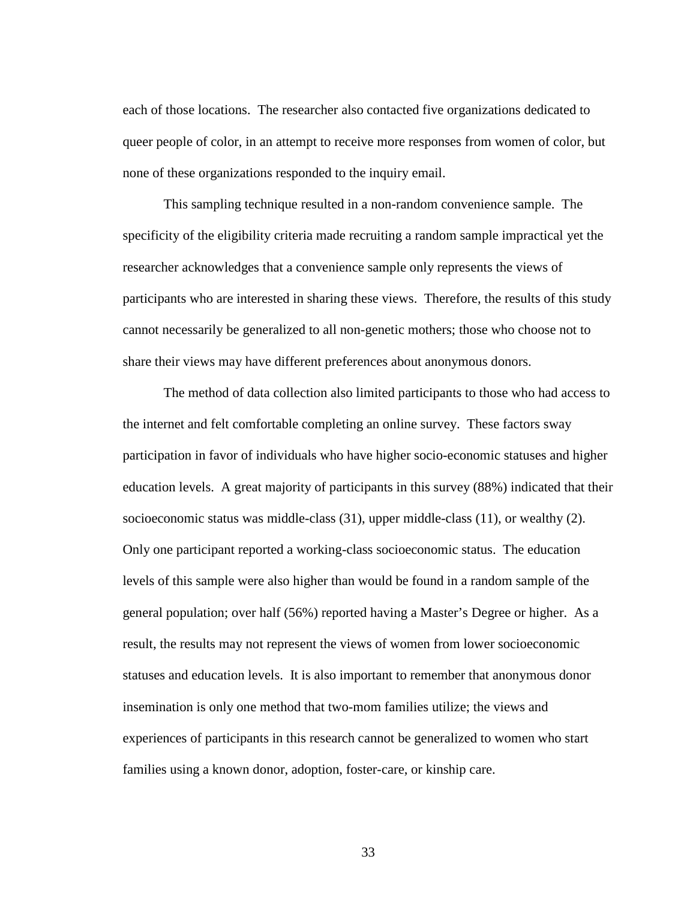each of those locations. The researcher also contacted five organizations dedicated to queer people of color, in an attempt to receive more responses from women of color, but none of these organizations responded to the inquiry email.

This sampling technique resulted in a non-random convenience sample. The specificity of the eligibility criteria made recruiting a random sample impractical yet the researcher acknowledges that a convenience sample only represents the views of participants who are interested in sharing these views. Therefore, the results of this study cannot necessarily be generalized to all non-genetic mothers; those who choose not to share their views may have different preferences about anonymous donors.

The method of data collection also limited participants to those who had access to the internet and felt comfortable completing an online survey. These factors sway participation in favor of individuals who have higher socio-economic statuses and higher education levels. A great majority of participants in this survey (88%) indicated that their socioeconomic status was middle-class (31), upper middle-class (11), or wealthy (2). Only one participant reported a working-class socioeconomic status. The education levels of this sample were also higher than would be found in a random sample of the general population; over half (56%) reported having a Master's Degree or higher. As a result, the results may not represent the views of women from lower socioeconomic statuses and education levels. It is also important to remember that anonymous donor insemination is only one method that two-mom families utilize; the views and experiences of participants in this research cannot be generalized to women who start families using a known donor, adoption, foster-care, or kinship care.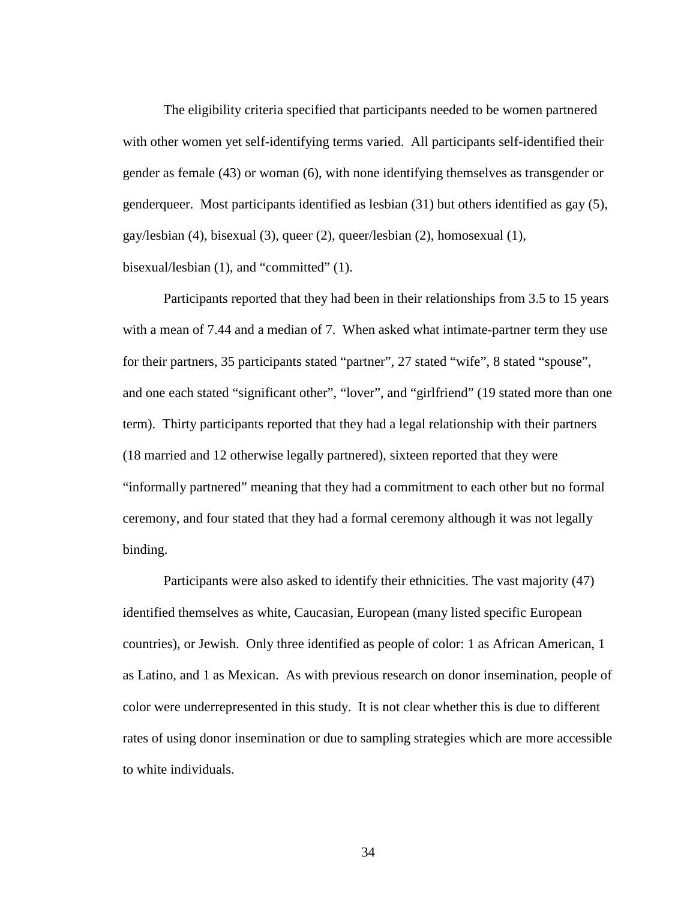The eligibility criteria specified that participants needed to be women partnered with other women yet self-identifying terms varied. All participants self-identified their gender as female (43) or woman (6), with none identifying themselves as transgender or genderqueer. Most participants identified as lesbian (31) but others identified as gay (5), gay/lesbian (4), bisexual (3), queer (2), queer/lesbian (2), homosexual (1), bisexual/lesbian (1), and "committed" (1).

Participants reported that they had been in their relationships from 3.5 to 15 years with a mean of 7.44 and a median of 7. When asked what intimate-partner term they use for their partners, 35 participants stated "partner", 27 stated "wife", 8 stated "spouse", and one each stated "significant other", "lover", and "girlfriend" (19 stated more than one term). Thirty participants reported that they had a legal relationship with their partners (18 married and 12 otherwise legally partnered), sixteen reported that they were "informally partnered" meaning that they had a commitment to each other but no formal ceremony, and four stated that they had a formal ceremony although it was not legally binding.

Participants were also asked to identify their ethnicities. The vast majority (47) identified themselves as white, Caucasian, European (many listed specific European countries), or Jewish. Only three identified as people of color: 1 as African American, 1 as Latino, and 1 as Mexican. As with previous research on donor insemination, people of color were underrepresented in this study. It is not clear whether this is due to different rates of using donor insemination or due to sampling strategies which are more accessible to white individuals.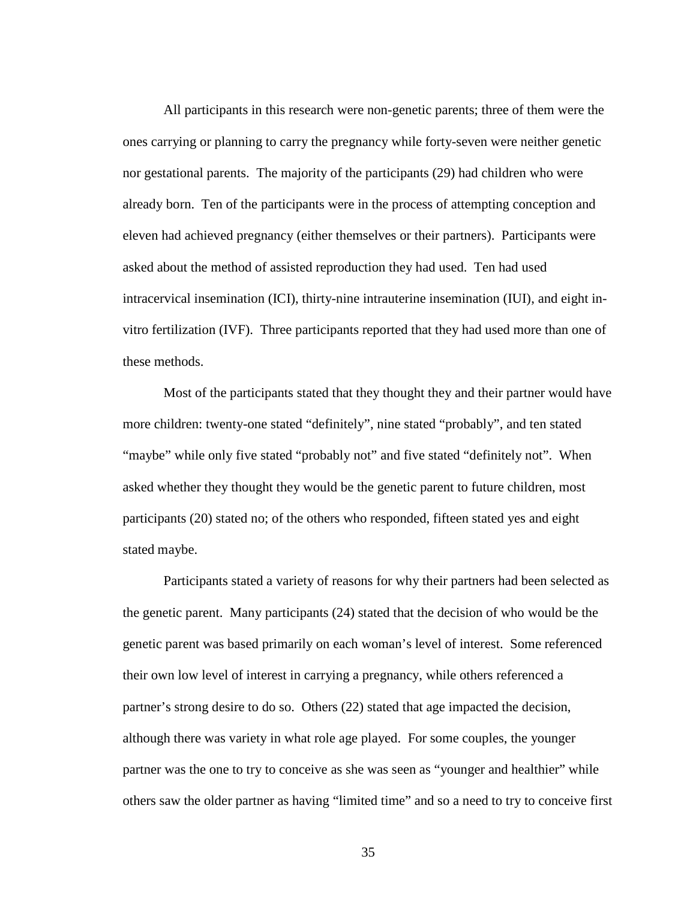All participants in this research were non-genetic parents; three of them were the ones carrying or planning to carry the pregnancy while forty-seven were neither genetic nor gestational parents. The majority of the participants (29) had children who were already born. Ten of the participants were in the process of attempting conception and eleven had achieved pregnancy (either themselves or their partners). Participants were asked about the method of assisted reproduction they had used. Ten had used intracervical insemination (ICI), thirty-nine intrauterine insemination (IUI), and eight invitro fertilization (IVF). Three participants reported that they had used more than one of these methods.

Most of the participants stated that they thought they and their partner would have more children: twenty-one stated "definitely", nine stated "probably", and ten stated "maybe" while only five stated "probably not" and five stated "definitely not". When asked whether they thought they would be the genetic parent to future children, most participants (20) stated no; of the others who responded, fifteen stated yes and eight stated maybe.

Participants stated a variety of reasons for why their partners had been selected as the genetic parent. Many participants (24) stated that the decision of who would be the genetic parent was based primarily on each woman's level of interest. Some referenced their own low level of interest in carrying a pregnancy, while others referenced a partner's strong desire to do so. Others (22) stated that age impacted the decision, although there was variety in what role age played. For some couples, the younger partner was the one to try to conceive as she was seen as "younger and healthier" while others saw the older partner as having "limited time" and so a need to try to conceive first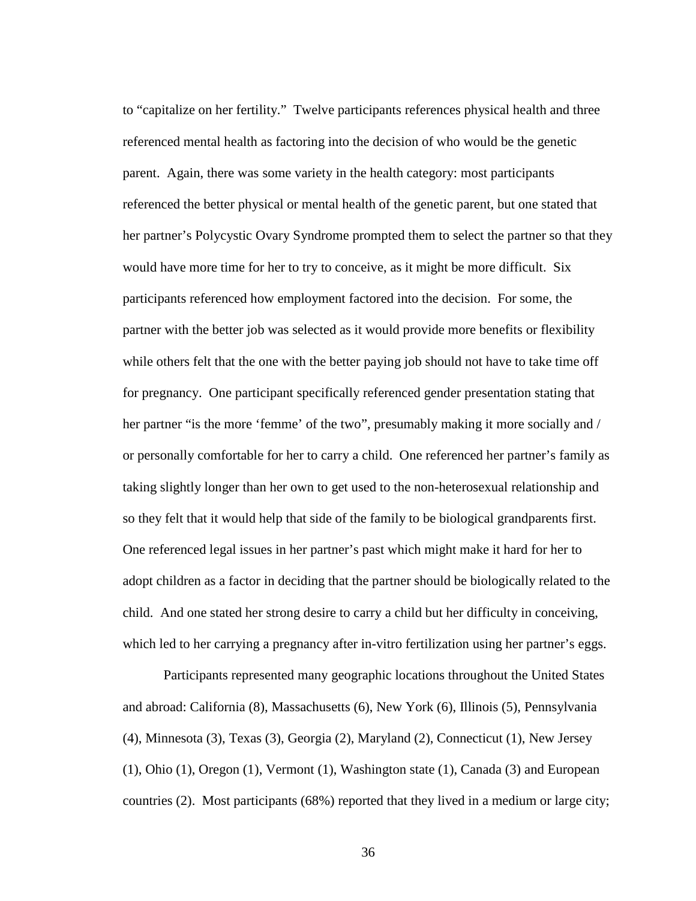to "capitalize on her fertility." Twelve participants references physical health and three referenced mental health as factoring into the decision of who would be the genetic parent. Again, there was some variety in the health category: most participants referenced the better physical or mental health of the genetic parent, but one stated that her partner's Polycystic Ovary Syndrome prompted them to select the partner so that they would have more time for her to try to conceive, as it might be more difficult. Six participants referenced how employment factored into the decision. For some, the partner with the better job was selected as it would provide more benefits or flexibility while others felt that the one with the better paying job should not have to take time off for pregnancy. One participant specifically referenced gender presentation stating that her partner "is the more 'femme' of the two", presumably making it more socially and / or personally comfortable for her to carry a child. One referenced her partner's family as taking slightly longer than her own to get used to the non-heterosexual relationship and so they felt that it would help that side of the family to be biological grandparents first. One referenced legal issues in her partner's past which might make it hard for her to adopt children as a factor in deciding that the partner should be biologically related to the child. And one stated her strong desire to carry a child but her difficulty in conceiving, which led to her carrying a pregnancy after in-vitro fertilization using her partner's eggs.

Participants represented many geographic locations throughout the United States and abroad: California (8), Massachusetts (6), New York (6), Illinois (5), Pennsylvania (4), Minnesota (3), Texas (3), Georgia (2), Maryland (2), Connecticut (1), New Jersey (1), Ohio (1), Oregon (1), Vermont (1), Washington state (1), Canada (3) and European countries (2). Most participants (68%) reported that they lived in a medium or large city;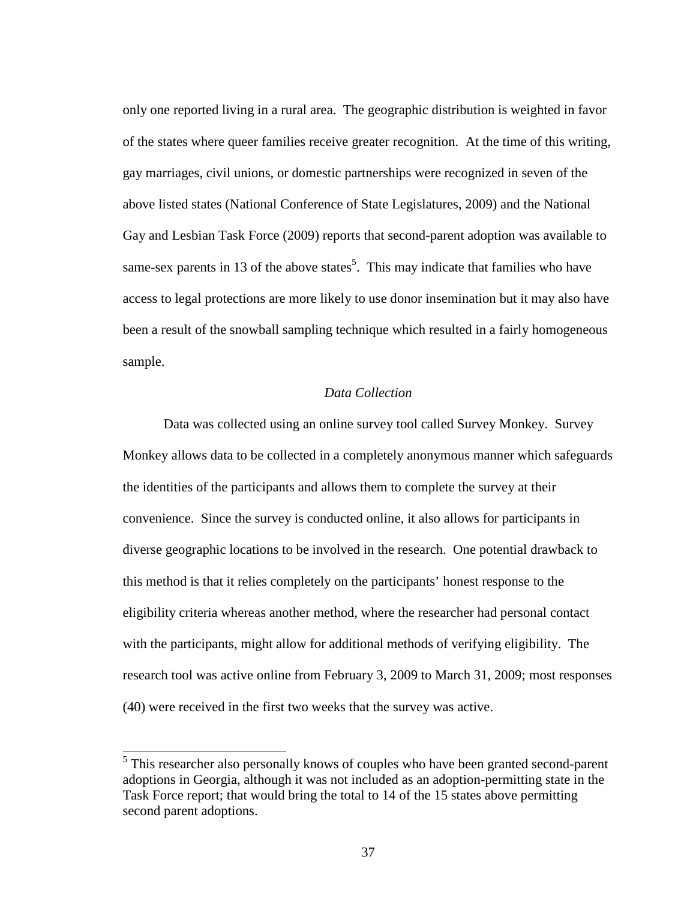only one reported living in a rural area. The geographic distribution is weighted in favor of the states where queer families receive greater recognition. At the time of this writing, gay marriages, civil unions, or domestic partnerships were recognized in seven of the above listed states (National Conference of State Legislatures, 2009) and the National Gay and Lesbian Task Force (2009) reports that second-parent adoption was available to same-sex parents in 13 of the above states<sup>5</sup>. This may indicate that families who have access to legal protections are more likely to use donor insemination but it may also have been a result of the snowball sampling technique which resulted in a fairly homogeneous sample.

## *Data Collection*

Data was collected using an online survey tool called Survey Monkey. Survey Monkey allows data to be collected in a completely anonymous manner which safeguards the identities of the participants and allows them to complete the survey at their convenience. Since the survey is conducted online, it also allows for participants in diverse geographic locations to be involved in the research. One potential drawback to this method is that it relies completely on the participants' honest response to the eligibility criteria whereas another method, where the researcher had personal contact with the participants, might allow for additional methods of verifying eligibility. The research tool was active online from February 3, 2009 to March 31, 2009; most responses (40) were received in the first two weeks that the survey was active.

 <sup>5</sup> This researcher also personally knows of couples who have been granted second-parent adoptions in Georgia, although it was not included as an adoption-permitting state in the Task Force report; that would bring the total to 14 of the 15 states above permitting second parent adoptions.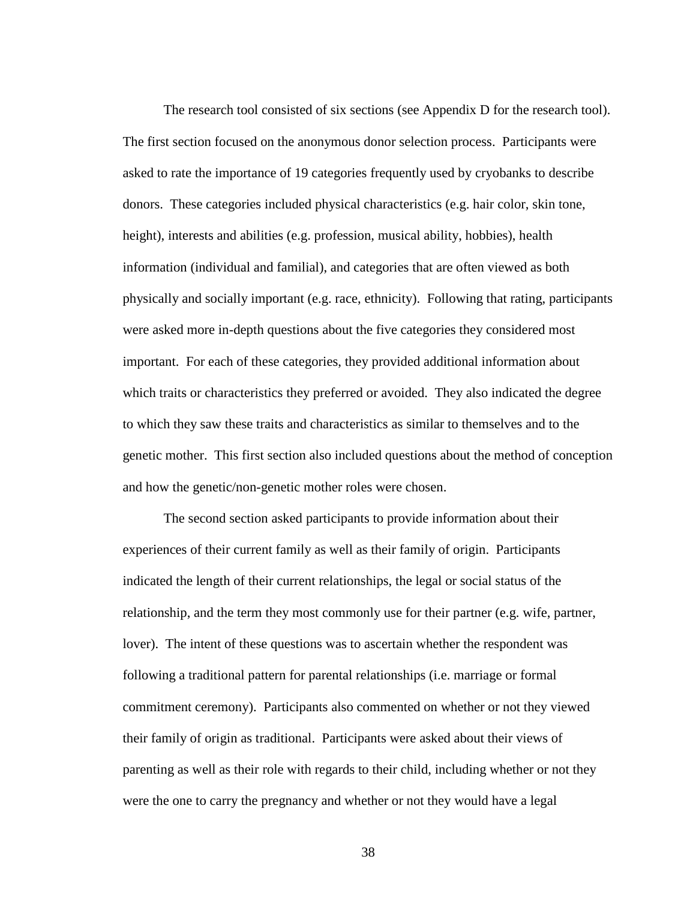The research tool consisted of six sections (see Appendix D for the research tool). The first section focused on the anonymous donor selection process. Participants were asked to rate the importance of 19 categories frequently used by cryobanks to describe donors. These categories included physical characteristics (e.g. hair color, skin tone, height), interests and abilities (e.g. profession, musical ability, hobbies), health information (individual and familial), and categories that are often viewed as both physically and socially important (e.g. race, ethnicity). Following that rating, participants were asked more in-depth questions about the five categories they considered most important. For each of these categories, they provided additional information about which traits or characteristics they preferred or avoided. They also indicated the degree to which they saw these traits and characteristics as similar to themselves and to the genetic mother. This first section also included questions about the method of conception and how the genetic/non-genetic mother roles were chosen.

The second section asked participants to provide information about their experiences of their current family as well as their family of origin. Participants indicated the length of their current relationships, the legal or social status of the relationship, and the term they most commonly use for their partner (e.g. wife, partner, lover). The intent of these questions was to ascertain whether the respondent was following a traditional pattern for parental relationships (i.e. marriage or formal commitment ceremony). Participants also commented on whether or not they viewed their family of origin as traditional. Participants were asked about their views of parenting as well as their role with regards to their child, including whether or not they were the one to carry the pregnancy and whether or not they would have a legal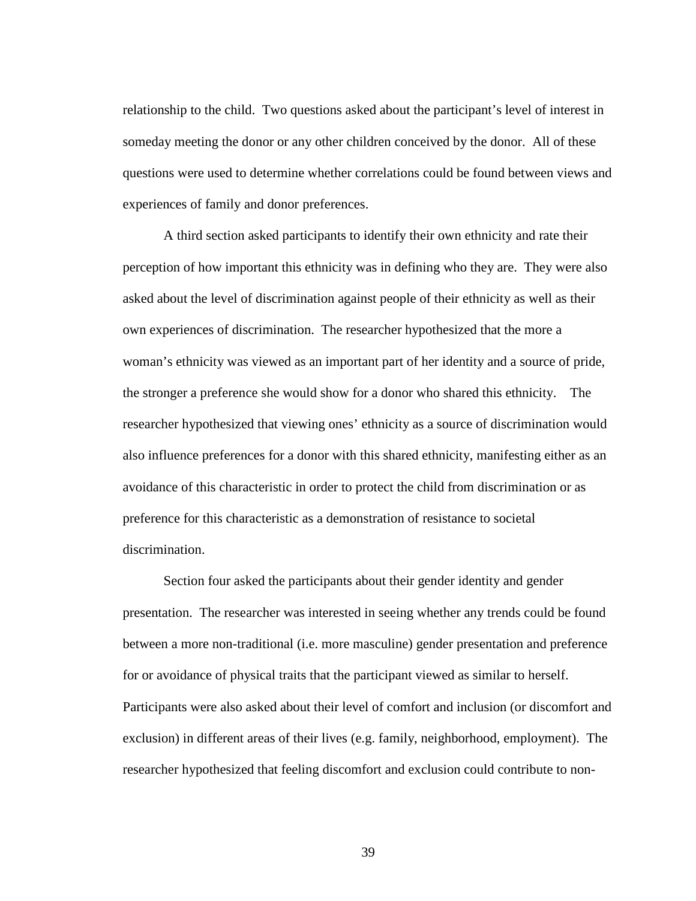relationship to the child. Two questions asked about the participant's level of interest in someday meeting the donor or any other children conceived by the donor. All of these questions were used to determine whether correlations could be found between views and experiences of family and donor preferences.

A third section asked participants to identify their own ethnicity and rate their perception of how important this ethnicity was in defining who they are. They were also asked about the level of discrimination against people of their ethnicity as well as their own experiences of discrimination. The researcher hypothesized that the more a woman's ethnicity was viewed as an important part of her identity and a source of pride, the stronger a preference she would show for a donor who shared this ethnicity. The researcher hypothesized that viewing ones' ethnicity as a source of discrimination would also influence preferences for a donor with this shared ethnicity, manifesting either as an avoidance of this characteristic in order to protect the child from discrimination or as preference for this characteristic as a demonstration of resistance to societal discrimination.

Section four asked the participants about their gender identity and gender presentation. The researcher was interested in seeing whether any trends could be found between a more non-traditional (i.e. more masculine) gender presentation and preference for or avoidance of physical traits that the participant viewed as similar to herself. Participants were also asked about their level of comfort and inclusion (or discomfort and exclusion) in different areas of their lives (e.g. family, neighborhood, employment). The researcher hypothesized that feeling discomfort and exclusion could contribute to non-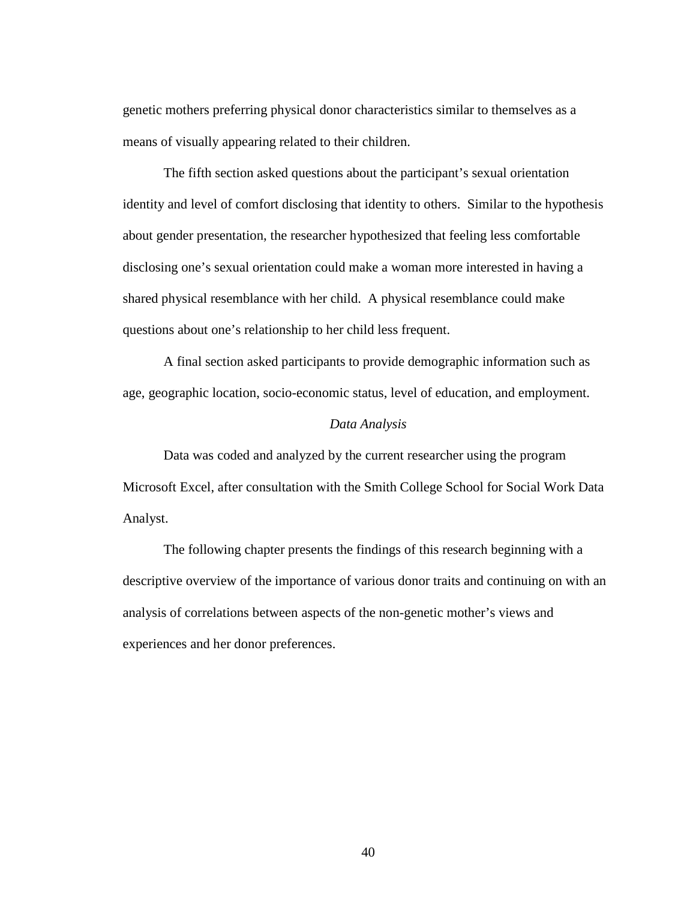genetic mothers preferring physical donor characteristics similar to themselves as a means of visually appearing related to their children.

The fifth section asked questions about the participant's sexual orientation identity and level of comfort disclosing that identity to others. Similar to the hypothesis about gender presentation, the researcher hypothesized that feeling less comfortable disclosing one's sexual orientation could make a woman more interested in having a shared physical resemblance with her child. A physical resemblance could make questions about one's relationship to her child less frequent.

A final section asked participants to provide demographic information such as age, geographic location, socio-economic status, level of education, and employment.

#### *Data Analysis*

Data was coded and analyzed by the current researcher using the program Microsoft Excel, after consultation with the Smith College School for Social Work Data Analyst.

The following chapter presents the findings of this research beginning with a descriptive overview of the importance of various donor traits and continuing on with an analysis of correlations between aspects of the non-genetic mother's views and experiences and her donor preferences.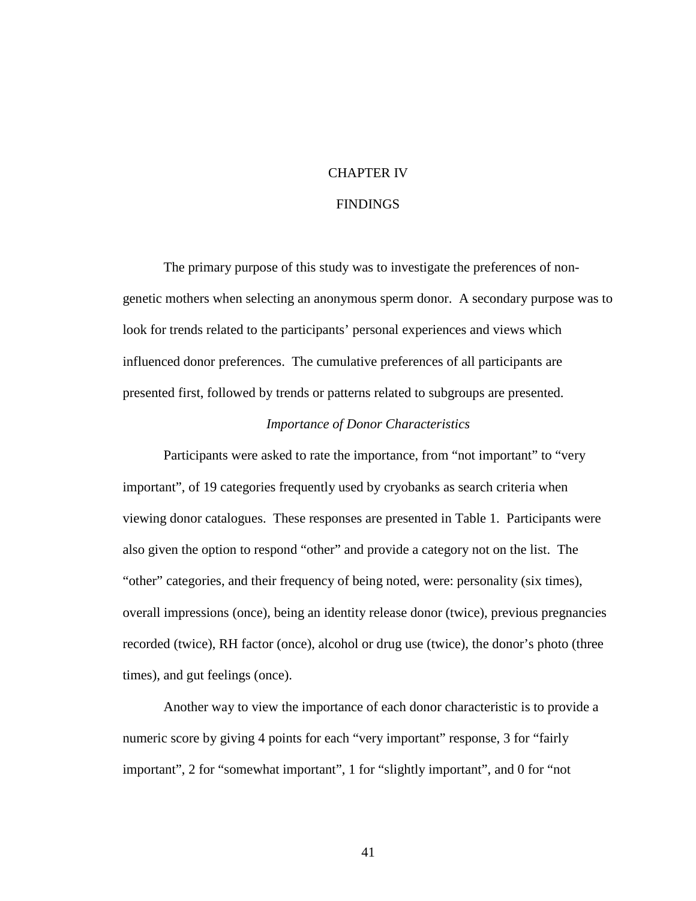#### CHAPTER IV

#### FINDINGS

The primary purpose of this study was to investigate the preferences of nongenetic mothers when selecting an anonymous sperm donor. A secondary purpose was to look for trends related to the participants' personal experiences and views which influenced donor preferences. The cumulative preferences of all participants are presented first, followed by trends or patterns related to subgroups are presented.

#### *Importance of Donor Characteristics*

Participants were asked to rate the importance, from "not important" to "very important", of 19 categories frequently used by cryobanks as search criteria when viewing donor catalogues. These responses are presented in Table 1. Participants were also given the option to respond "other" and provide a category not on the list. The "other" categories, and their frequency of being noted, were: personality (six times), overall impressions (once), being an identity release donor (twice), previous pregnancies recorded (twice), RH factor (once), alcohol or drug use (twice), the donor's photo (three times), and gut feelings (once).

Another way to view the importance of each donor characteristic is to provide a numeric score by giving 4 points for each "very important" response, 3 for "fairly important", 2 for "somewhat important", 1 for "slightly important", and 0 for "not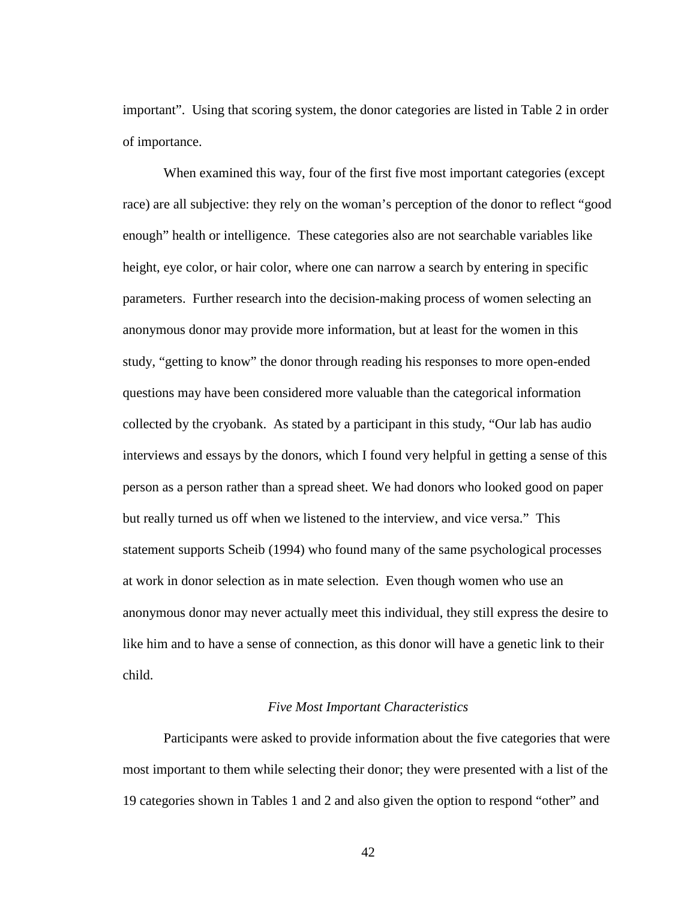important". Using that scoring system, the donor categories are listed in Table 2 in order of importance.

When examined this way, four of the first five most important categories (except race) are all subjective: they rely on the woman's perception of the donor to reflect "good enough" health or intelligence. These categories also are not searchable variables like height, eye color, or hair color, where one can narrow a search by entering in specific parameters. Further research into the decision-making process of women selecting an anonymous donor may provide more information, but at least for the women in this study, "getting to know" the donor through reading his responses to more open-ended questions may have been considered more valuable than the categorical information collected by the cryobank. As stated by a participant in this study, "Our lab has audio interviews and essays by the donors, which I found very helpful in getting a sense of this person as a person rather than a spread sheet. We had donors who looked good on paper but really turned us off when we listened to the interview, and vice versa." This statement supports Scheib (1994) who found many of the same psychological processes at work in donor selection as in mate selection. Even though women who use an anonymous donor may never actually meet this individual, they still express the desire to like him and to have a sense of connection, as this donor will have a genetic link to their child.

## *Five Most Important Characteristics*

Participants were asked to provide information about the five categories that were most important to them while selecting their donor; they were presented with a list of the 19 categories shown in Tables 1 and 2 and also given the option to respond "other" and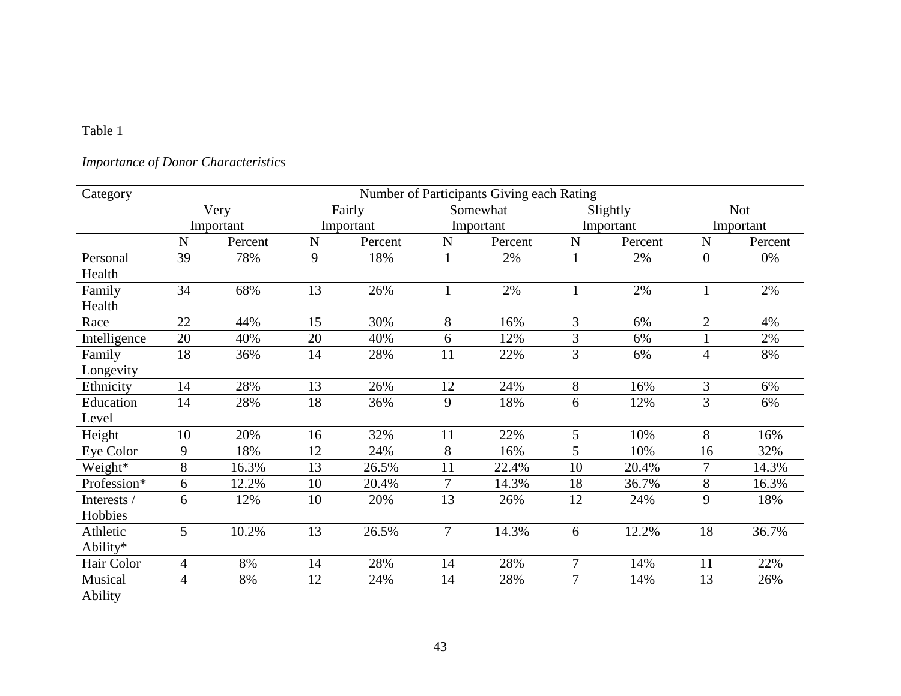# *Importance of Donor Characteristics*

| Category     | Number of Participants Giving each Rating |           |           |         |                |          |           |          |                |            |
|--------------|-------------------------------------------|-----------|-----------|---------|----------------|----------|-----------|----------|----------------|------------|
|              | Very                                      |           |           | Fairly  |                | Somewhat |           | Slightly |                | <b>Not</b> |
|              |                                           | Important | Important |         | Important      |          | Important |          |                | Important  |
|              | $\mathbf N$                               | Percent   | ${\bf N}$ | Percent | $\mathbf N$    | Percent  | ${\bf N}$ | Percent  | ${\bf N}$      | Percent    |
| Personal     | 39                                        | 78%       | 9         | 18%     |                | 2%       |           | 2%       | $\theta$       | 0%         |
| Health       |                                           |           |           |         |                |          |           |          |                |            |
| Family       | 34                                        | 68%       | 13        | 26%     |                | 2%       |           | 2%       | $\mathbf{1}$   | 2%         |
| Health       |                                           |           |           |         |                |          |           |          |                |            |
| Race         | 22                                        | 44%       | 15        | 30%     | 8              | 16%      | 3         | 6%       | $\overline{2}$ | 4%         |
| Intelligence | 20                                        | 40%       | 20        | 40%     | 6              | 12%      | 3         | 6%       |                | 2%         |
| Family       | 18                                        | 36%       | 14        | 28%     | 11             | 22%      | 3         | 6%       | $\overline{4}$ | 8%         |
| Longevity    |                                           |           |           |         |                |          |           |          |                |            |
| Ethnicity    | 14                                        | 28%       | 13        | 26%     | 12             | 24%      | 8         | 16%      | 3              | 6%         |
| Education    | 14                                        | 28%       | 18        | 36%     | 9              | 18%      | 6         | 12%      | 3              | 6%         |
| Level        |                                           |           |           |         |                |          |           |          |                |            |
| Height       | 10                                        | 20%       | 16        | 32%     | 11             | 22%      | 5         | 10%      | 8              | 16%        |
| Eye Color    | 9                                         | 18%       | 12        | 24%     | 8              | 16%      | 5         | 10%      | 16             | 32%        |
| Weight*      | 8                                         | 16.3%     | 13        | 26.5%   | 11             | 22.4%    | 10        | 20.4%    | 7              | 14.3%      |
| Profession*  | 6                                         | 12.2%     | 10        | 20.4%   | 7              | 14.3%    | 18        | 36.7%    | 8              | 16.3%      |
| Interests /  | 6                                         | 12%       | 10        | 20%     | 13             | 26%      | 12        | 24%      | 9              | 18%        |
| Hobbies      |                                           |           |           |         |                |          |           |          |                |            |
| Athletic     | 5                                         | 10.2%     | 13        | 26.5%   | $\overline{7}$ | 14.3%    | 6         | 12.2%    | 18             | 36.7%      |
| Ability*     |                                           |           |           |         |                |          |           |          |                |            |
| Hair Color   | 4                                         | 8%        | 14        | 28%     | 14             | 28%      | 7         | 14%      | 11             | 22%        |
| Musical      | 4                                         | 8%        | 12        | 24%     | 14             | 28%      | $\tau$    | 14%      | 13             | 26%        |
| Ability      |                                           |           |           |         |                |          |           |          |                |            |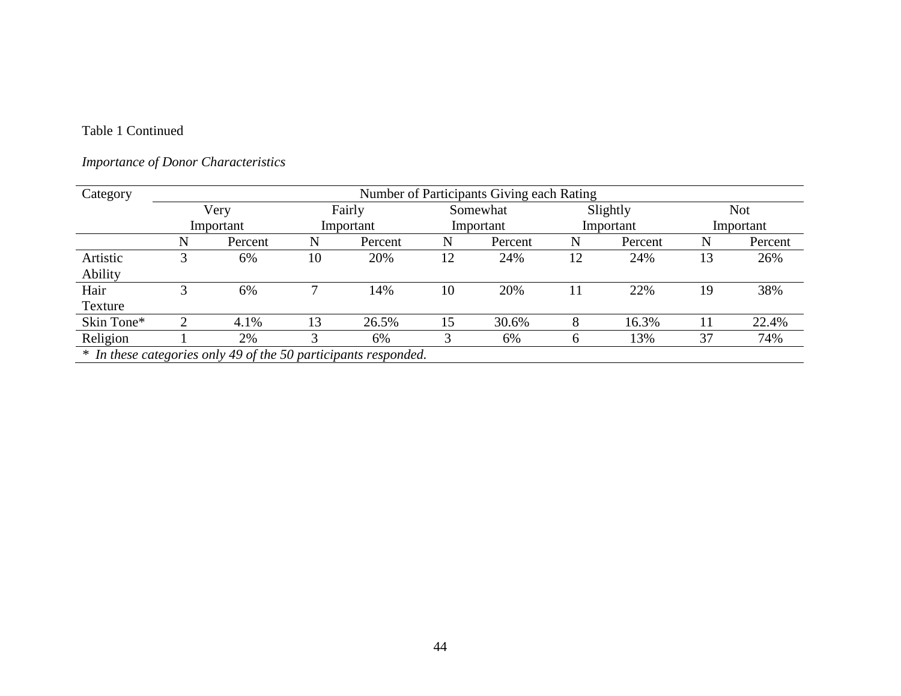# Table 1 Continued

# *Importance of Donor Characteristics*

| Category   | Number of Participants Giving each Rating                       |           |        |           |           |         |           |         |            |         |  |  |
|------------|-----------------------------------------------------------------|-----------|--------|-----------|-----------|---------|-----------|---------|------------|---------|--|--|
|            | Very                                                            |           | Fairly |           | Somewhat  |         | Slightly  |         | <b>Not</b> |         |  |  |
|            |                                                                 | Important |        | Important | Important |         | Important |         | Important  |         |  |  |
|            | N                                                               | Percent   | N      | Percent   | N         | Percent | N         | Percent | N          | Percent |  |  |
| Artistic   |                                                                 | 6%        | 10     | 20%       | 12        | 24%     | 12        | 24%     | 13         | 26%     |  |  |
| Ability    |                                                                 |           |        |           |           |         |           |         |            |         |  |  |
| Hair       | 3                                                               | 6%        | ┑      | 14%       | 10        | 20%     | 11        | 22%     | 19         | 38%     |  |  |
| Texture    |                                                                 |           |        |           |           |         |           |         |            |         |  |  |
| Skin Tone* |                                                                 | 4.1%      | 13     | 26.5%     | 15        | 30.6%   | 8         | 16.3%   | 11         | 22.4%   |  |  |
| Religion   |                                                                 | 2%        | 3      | 6%        |           | 6%      | n         | 13%     | 37         | 74%     |  |  |
|            | * In these categories only 49 of the 50 participants responded. |           |        |           |           |         |           |         |            |         |  |  |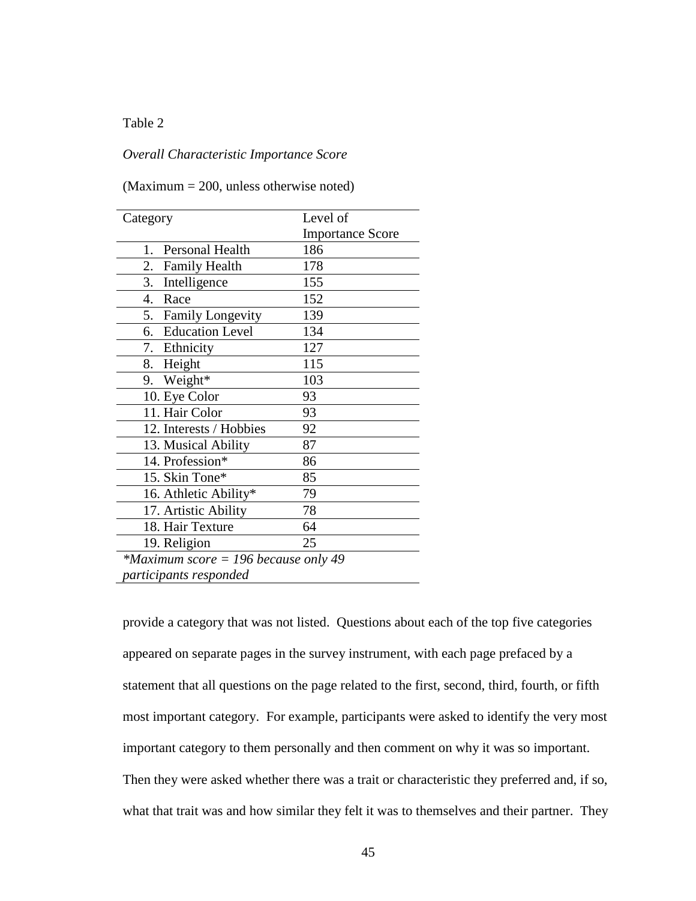### *Overall Characteristic Importance Score*

#### (Maximum = 200, unless otherwise noted)

| Category                             | Level of                |
|--------------------------------------|-------------------------|
|                                      | <b>Importance Score</b> |
| Personal Health<br>1.                | 186                     |
| 2.<br><b>Family Health</b>           | 178                     |
| 3. Intelligence                      | 155                     |
| $\overline{4}$ .<br>Race             | 152                     |
| 5. Family Longevity                  | 139                     |
| 6. Education Level                   | 134                     |
| 7. Ethnicity                         | 127                     |
| 8. Height                            | 115                     |
| 9. Weight*                           | 103                     |
| 10. Eye Color                        | 93                      |
| 11. Hair Color                       | 93                      |
| 12. Interests / Hobbies              | 92                      |
| 13. Musical Ability                  | 87                      |
| 14. Profession*                      | 86                      |
| 15. Skin Tone*                       | 85                      |
| 16. Athletic Ability*                | 79                      |
| 17. Artistic Ability                 | 78                      |
| 18. Hair Texture                     | 64                      |
| 19. Religion                         | 25                      |
| *Maximum score = 196 because only 49 |                         |
| participants responded               |                         |

provide a category that was not listed. Questions about each of the top five categories appeared on separate pages in the survey instrument, with each page prefaced by a statement that all questions on the page related to the first, second, third, fourth, or fifth most important category. For example, participants were asked to identify the very most important category to them personally and then comment on why it was so important. Then they were asked whether there was a trait or characteristic they preferred and, if so, what that trait was and how similar they felt it was to themselves and their partner. They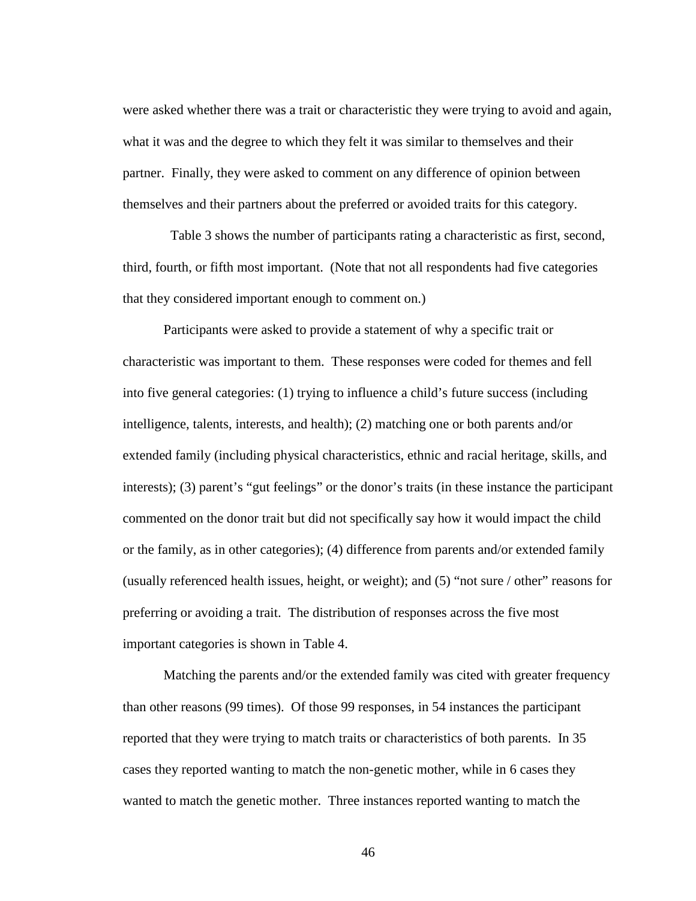were asked whether there was a trait or characteristic they were trying to avoid and again, what it was and the degree to which they felt it was similar to themselves and their partner. Finally, they were asked to comment on any difference of opinion between themselves and their partners about the preferred or avoided traits for this category.

 Table 3 shows the number of participants rating a characteristic as first, second, third, fourth, or fifth most important. (Note that not all respondents had five categories that they considered important enough to comment on.)

Participants were asked to provide a statement of why a specific trait or characteristic was important to them. These responses were coded for themes and fell into five general categories: (1) trying to influence a child's future success (including intelligence, talents, interests, and health); (2) matching one or both parents and/or extended family (including physical characteristics, ethnic and racial heritage, skills, and interests); (3) parent's "gut feelings" or the donor's traits (in these instance the participant commented on the donor trait but did not specifically say how it would impact the child or the family, as in other categories); (4) difference from parents and/or extended family (usually referenced health issues, height, or weight); and (5) "not sure / other" reasons for preferring or avoiding a trait. The distribution of responses across the five most important categories is shown in Table 4.

Matching the parents and/or the extended family was cited with greater frequency than other reasons (99 times). Of those 99 responses, in 54 instances the participant reported that they were trying to match traits or characteristics of both parents. In 35 cases they reported wanting to match the non-genetic mother, while in 6 cases they wanted to match the genetic mother. Three instances reported wanting to match the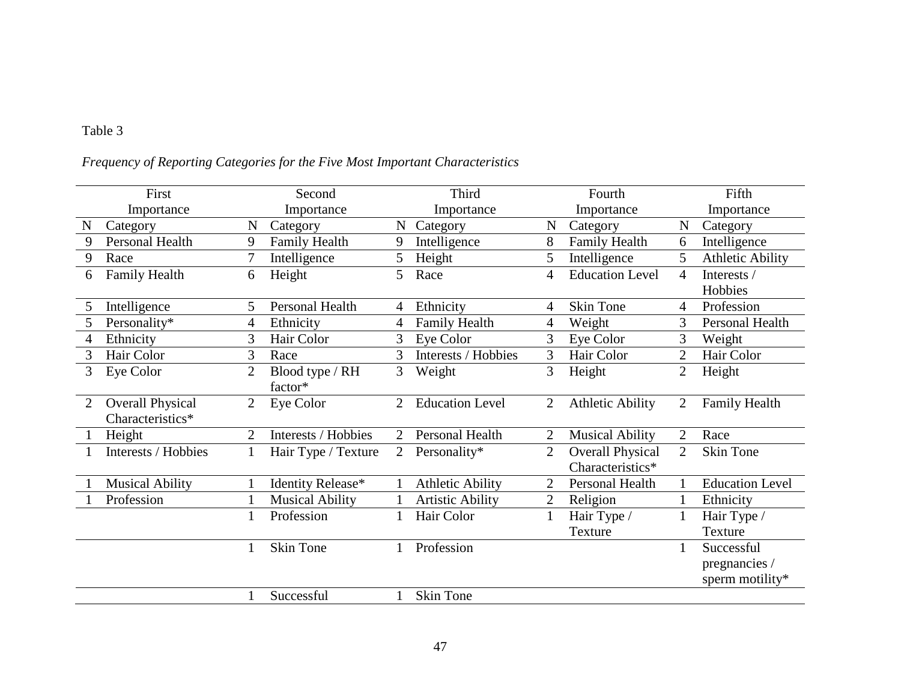|  | Frequency of Reporting Categories for the Five Most Important Characteristics |  |
|--|-------------------------------------------------------------------------------|--|
|  |                                                                               |  |

|   | First                   |                | Second                 |                | Third                   |                | Fourth                  |                | Fifth                   |
|---|-------------------------|----------------|------------------------|----------------|-------------------------|----------------|-------------------------|----------------|-------------------------|
|   | Importance              |                | Importance             |                | Importance              |                | Importance              |                | Importance              |
| N | Category                | N              | Category               | $\mathbf N$    | Category                | N              | Category                | N              | Category                |
| 9 | <b>Personal Health</b>  | 9              | <b>Family Health</b>   | 9              | Intelligence            | 8              | <b>Family Health</b>    | 6              | Intelligence            |
| 9 | Race                    |                | Intelligence           | 5              | Height                  | 5              | Intelligence            | 5              | <b>Athletic Ability</b> |
| 6 | Family Health           | 6              | Height                 | 5              | Race                    | 4              | <b>Education Level</b>  | $\overline{4}$ | Interests /             |
|   |                         |                |                        |                |                         |                |                         |                | Hobbies                 |
| 5 | Intelligence            | 5              | Personal Health        | 4              | Ethnicity               | 4              | <b>Skin Tone</b>        | 4              | Profession              |
| 5 | Personality*            | 4              | Ethnicity              | 4              | Family Health           | 4              | Weight                  | 3              | Personal Health         |
| 4 | Ethnicity               | 3              | Hair Color             | 3              | Eye Color               | 3              | Eye Color               | 3              | Weight                  |
| 3 | Hair Color              | 3              | Race                   | 3              | Interests / Hobbies     | 3              | Hair Color              | 2              | Hair Color              |
| 3 | Eye Color               | $\overline{2}$ | Blood type / RH        | 3              | Weight                  | 3              | Height                  | $\overline{2}$ | Height                  |
|   |                         |                | factor*                |                |                         |                |                         |                |                         |
|   | <b>Overall Physical</b> | $\overline{2}$ | Eye Color              | $\overline{2}$ | <b>Education Level</b>  | $\overline{2}$ | <b>Athletic Ability</b> | $\overline{2}$ | <b>Family Health</b>    |
|   | Characteristics*        |                |                        |                |                         |                |                         |                |                         |
|   | Height                  | $\overline{2}$ | Interests / Hobbies    | 2              | Personal Health         | $\overline{2}$ | <b>Musical Ability</b>  | $\overline{2}$ | Race                    |
|   | Interests / Hobbies     |                | Hair Type / Texture    | $\overline{2}$ | Personality*            | $\overline{2}$ | <b>Overall Physical</b> | $\overline{2}$ | Skin Tone               |
|   |                         |                |                        |                |                         |                | Characteristics*        |                |                         |
|   | <b>Musical Ability</b>  |                | Identity Release*      |                | <b>Athletic Ability</b> | $\overline{2}$ | Personal Health         |                | <b>Education Level</b>  |
|   | Profession              |                | <b>Musical Ability</b> |                | <b>Artistic Ability</b> | $\mathbf{2}$   | Religion                |                | Ethnicity               |
|   |                         |                | Profession             |                | Hair Color              | $\mathbf{1}$   | Hair Type /             |                | Hair Type /             |
|   |                         |                |                        |                |                         |                | Texture                 |                | Texture                 |
|   |                         |                | <b>Skin Tone</b>       |                | Profession              |                |                         | 1              | Successful              |
|   |                         |                |                        |                |                         |                |                         |                | pregnancies /           |
|   |                         |                |                        |                |                         |                |                         |                | sperm motility*         |
|   |                         |                | Successful             |                | Skin Tone               |                |                         |                |                         |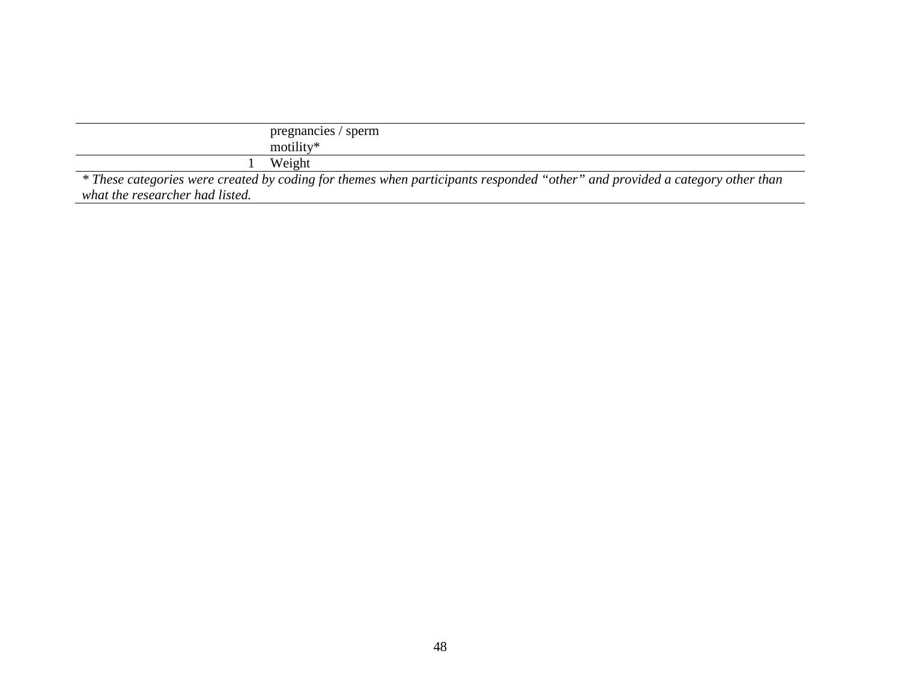|                                 | pregnancies / sperm                                                                                                         |
|---------------------------------|-----------------------------------------------------------------------------------------------------------------------------|
|                                 | motility*                                                                                                                   |
|                                 | Weight                                                                                                                      |
|                                 | * These categories were created by coding for themes when participants responded "other" and provided a category other than |
| what the researcher had listed. |                                                                                                                             |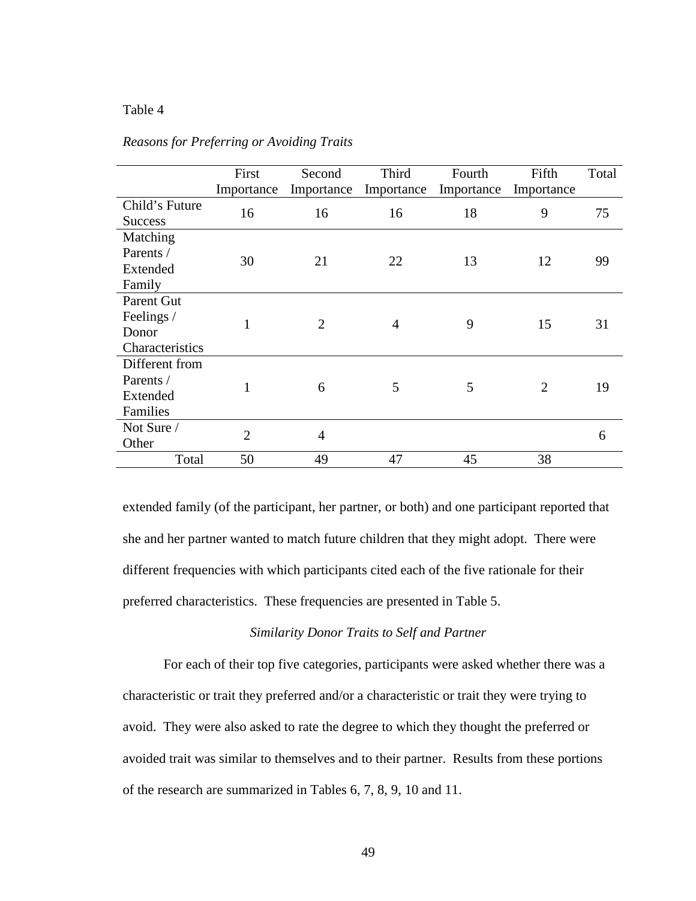|                                                      | First<br>Importance | Second<br>Importance | Third<br>Importance | Fourth<br>Importance | Fifth<br>Importance | Total |
|------------------------------------------------------|---------------------|----------------------|---------------------|----------------------|---------------------|-------|
| Child's Future<br><b>Success</b>                     | 16                  | 16                   | 16                  | 18                   | 9                   | 75    |
| Matching<br>Parents /                                | 30                  | 21                   | 22                  | 13                   | 12                  | 99    |
| Extended<br>Family                                   |                     |                      |                     |                      |                     |       |
| Parent Gut<br>Feelings /<br>Donor<br>Characteristics | $\mathbf{1}$        | $\overline{2}$       | $\overline{4}$      | 9                    | 15                  | 31    |
| Different from<br>Parents /<br>Extended<br>Families  | $\mathbf{1}$        | 6                    | 5                   | 5                    | $\overline{2}$      | 19    |
| Not Sure /<br>Other                                  | $\overline{2}$      | $\overline{4}$       |                     |                      |                     | 6     |
| Total                                                | 50                  | 49                   | 47                  | 45                   | 38                  |       |

#### *Reasons for Preferring or Avoiding Traits*

extended family (of the participant, her partner, or both) and one participant reported that she and her partner wanted to match future children that they might adopt. There were different frequencies with which participants cited each of the five rationale for their preferred characteristics. These frequencies are presented in Table 5.

## *Similarity Donor Traits to Self and Partner*

For each of their top five categories, participants were asked whether there was a characteristic or trait they preferred and/or a characteristic or trait they were trying to avoid. They were also asked to rate the degree to which they thought the preferred or avoided trait was similar to themselves and to their partner. Results from these portions of the research are summarized in Tables 6, 7, 8, 9, 10 and 11.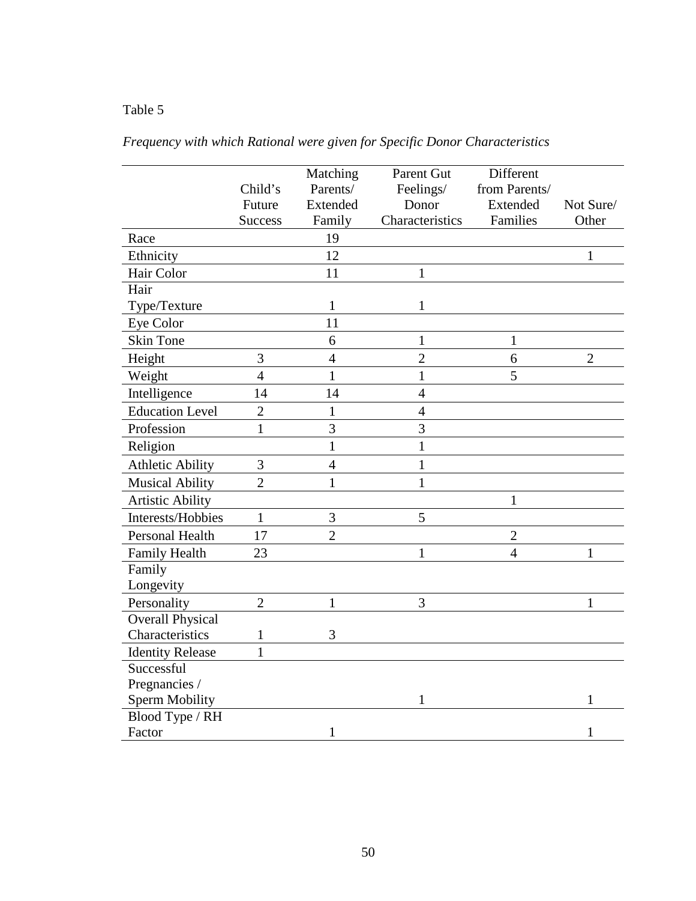|                         |                | Matching       | Parent Gut      | Different      |                |
|-------------------------|----------------|----------------|-----------------|----------------|----------------|
|                         | Child's        | Parents/       | Feelings/       | from Parents/  |                |
|                         | Future         | Extended       | Donor           | Extended       | Not Sure/      |
|                         | <b>Success</b> | Family         | Characteristics | Families       | Other          |
| Race                    |                | 19             |                 |                |                |
| Ethnicity               |                | 12             |                 |                | 1              |
| Hair Color              |                | 11             | $\mathbf{1}$    |                |                |
| Hair                    |                |                |                 |                |                |
| Type/Texture            |                | 1              | 1               |                |                |
| Eye Color               |                | 11             |                 |                |                |
| <b>Skin Tone</b>        |                | 6              | $\mathbf{1}$    | $\mathbf{1}$   |                |
| Height                  | 3              | $\overline{4}$ | $\overline{2}$  | 6              | $\overline{2}$ |
| Weight                  | $\overline{4}$ | $\mathbf{1}$   | $\mathbf{1}$    | 5              |                |
| Intelligence            | 14             | 14             | $\overline{4}$  |                |                |
| <b>Education Level</b>  | $\overline{2}$ | $\mathbf{1}$   | $\overline{4}$  |                |                |
| Profession              | $\mathbf{1}$   | 3              | $\overline{3}$  |                |                |
| Religion                |                | $\mathbf{1}$   | $\mathbf{1}$    |                |                |
| <b>Athletic Ability</b> | 3              | $\overline{4}$ | $\mathbf{1}$    |                |                |
| <b>Musical Ability</b>  | $\overline{2}$ | $\mathbf{1}$   | $\mathbf{1}$    |                |                |
| <b>Artistic Ability</b> |                |                |                 | $\mathbf{1}$   |                |
| Interests/Hobbies       | $\mathbf{1}$   | 3              | 5               |                |                |
| <b>Personal Health</b>  | 17             | $\overline{2}$ |                 | $\overline{2}$ |                |
| <b>Family Health</b>    | 23             |                | $\mathbf{1}$    | $\overline{4}$ | $\mathbf{1}$   |
| Family                  |                |                |                 |                |                |
| Longevity               |                |                |                 |                |                |
| Personality             | $\overline{2}$ | $\mathbf{1}$   | 3               |                | $\mathbf{1}$   |
| <b>Overall Physical</b> |                |                |                 |                |                |
| Characteristics         | $\mathbf{1}$   | 3              |                 |                |                |
| <b>Identity Release</b> | $\mathbf{1}$   |                |                 |                |                |
| Successful              |                |                |                 |                |                |
| Pregnancies /           |                |                |                 |                |                |
| <b>Sperm Mobility</b>   |                |                | 1               |                | 1              |
| Blood Type / RH         |                |                |                 |                |                |
| Factor                  |                | $\mathbf{1}$   |                 |                | $\mathbf{1}$   |

*Frequency with which Rational were given for Specific Donor Characteristics*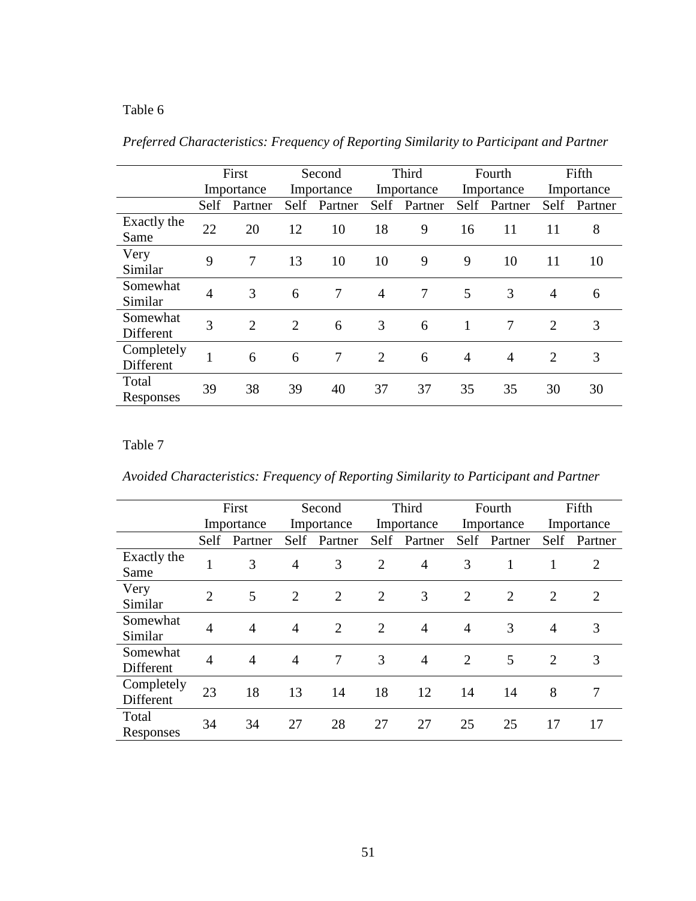|                         | First          |                | Second         |                |                | Third          |      | Fourth         |                | Fifth      |  |
|-------------------------|----------------|----------------|----------------|----------------|----------------|----------------|------|----------------|----------------|------------|--|
|                         |                | Importance     |                | Importance     |                | Importance     |      | Importance     |                | Importance |  |
|                         | Self           | Partner        | Self           | Partner        | <b>Self</b>    | Partner        | Self | Partner        | Self           | Partner    |  |
| Exactly the<br>Same     | 22             | 20             | 12             | 10             | 18             | 9              | 16   | 11             | 11             | 8          |  |
| Very<br>Similar         | 9              | 7              | 13             | 10             | 10             | 9              | 9    | 10             | 11             | 10         |  |
| Somewhat<br>Similar     | $\overline{4}$ | 3              | 6              | $\overline{7}$ | $\overline{4}$ | $\overline{7}$ | 5    | 3              | 4              | 6          |  |
| Somewhat<br>Different   | 3              | $\overline{2}$ | $\overline{2}$ | 6              | 3              | 6              |      | 7              | $\overline{2}$ | 3          |  |
| Completely<br>Different | 1              | 6              | 6              | 7              | 2              | 6              | 4    | $\overline{4}$ | $\overline{2}$ | 3          |  |
| Total<br>Responses      | 39             | 38             | 39             | 40             | 37             | 37             | 35   | 35             | 30             | 30         |  |

*Preferred Characteristics: Frequency of Reporting Similarity to Participant and Partner*

# Table 7

*Avoided Characteristics: Frequency of Reporting Similarity to Participant and Partner*

|                         |                | First          | Second     |                |                | Third          |            | Fourth         |                | Fifth   |
|-------------------------|----------------|----------------|------------|----------------|----------------|----------------|------------|----------------|----------------|---------|
|                         |                | Importance     | Importance |                | Importance     |                | Importance |                | Importance     |         |
|                         | Self           | Partner        | Self       | Partner        | Self           | Partner        | Self       | Partner        | Self           | Partner |
| Exactly the<br>Same     | 1              | 3              | 4          | 3              | $\overline{2}$ | $\overline{4}$ | 3          |                |                | 2       |
| Very<br>Similar         | $\overline{2}$ | 5              | 2          | 2              | $\overline{2}$ | 3              | 2          | $\overline{2}$ | $\overline{2}$ | 2       |
| Somewhat<br>Similar     | $\overline{4}$ | $\overline{4}$ | 4          | $\overline{2}$ | $\overline{2}$ | $\overline{4}$ | 4          | 3              | 4              | 3       |
| Somewhat<br>Different   | $\overline{4}$ | $\overline{4}$ | 4          | 7              | 3              | $\overline{4}$ | 2          | 5              | $\overline{2}$ | 3       |
| Completely<br>Different | 23             | 18             | 13         | 14             | 18             | 12             | 14         | 14             | 8              | 7       |
| Total<br>Responses      | 34             | 34             | 27         | 28             | 27             | 27             | 25         | 25             | 17             | 17      |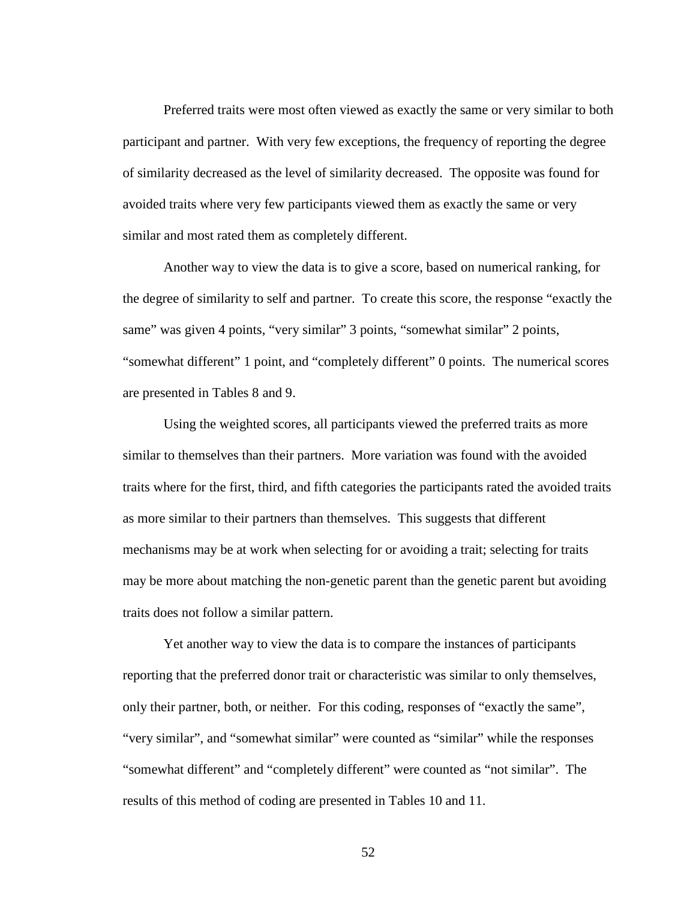Preferred traits were most often viewed as exactly the same or very similar to both participant and partner. With very few exceptions, the frequency of reporting the degree of similarity decreased as the level of similarity decreased. The opposite was found for avoided traits where very few participants viewed them as exactly the same or very similar and most rated them as completely different.

Another way to view the data is to give a score, based on numerical ranking, for the degree of similarity to self and partner. To create this score, the response "exactly the same" was given 4 points, "very similar" 3 points, "somewhat similar" 2 points, "somewhat different" 1 point, and "completely different" 0 points. The numerical scores are presented in Tables 8 and 9.

Using the weighted scores, all participants viewed the preferred traits as more similar to themselves than their partners. More variation was found with the avoided traits where for the first, third, and fifth categories the participants rated the avoided traits as more similar to their partners than themselves. This suggests that different mechanisms may be at work when selecting for or avoiding a trait; selecting for traits may be more about matching the non-genetic parent than the genetic parent but avoiding traits does not follow a similar pattern.

Yet another way to view the data is to compare the instances of participants reporting that the preferred donor trait or characteristic was similar to only themselves, only their partner, both, or neither. For this coding, responses of "exactly the same", "very similar", and "somewhat similar" were counted as "similar" while the responses "somewhat different" and "completely different" were counted as "not similar". The results of this method of coding are presented in Tables 10 and 11.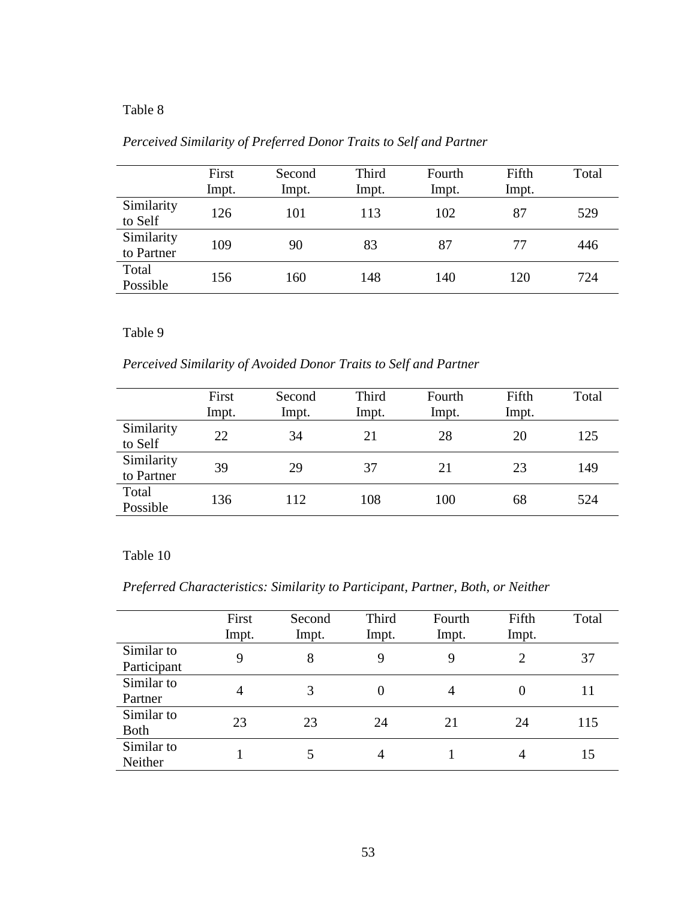|                          | First<br>Impt. | Second<br>Impt. | Third<br>Impt. | Fourth<br>Impt. | Fifth<br>Impt. | Total |
|--------------------------|----------------|-----------------|----------------|-----------------|----------------|-------|
| Similarity<br>to Self    | 126            | 101             | 113            | 102             | 87             | 529   |
| Similarity<br>to Partner | 109            | 90              | 83             | 87              | 77             | 446   |
| Total<br>Possible        | 156            | 160             | 148            | 140             | 120            | 724   |

# *Perceived Similarity of Preferred Donor Traits to Self and Partner*

Table 9

*Perceived Similarity of Avoided Donor Traits to Self and Partner*

|                          | First<br>Impt. | Second<br>Impt. | Third<br>Impt. | Fourth<br>Impt. | Fifth<br>Impt. | Total |
|--------------------------|----------------|-----------------|----------------|-----------------|----------------|-------|
| Similarity<br>to Self    | 22             | 34              | 21             | 28              | 20             | 125   |
| Similarity<br>to Partner | 39             | 29              | 37             | 21              | 23             | 149   |
| Total<br>Possible        | 136            | 112             | 108            | 100             | 68             | 524   |

# Table 10

*Preferred Characteristics: Similarity to Participant, Partner, Both, or Neither*

|                           | First<br>Impt. | Second<br>Impt. | Third<br>Impt. | Fourth<br>Impt. | Fifth<br>Impt. | Total |
|---------------------------|----------------|-----------------|----------------|-----------------|----------------|-------|
| Similar to<br>Participant | 9              | 8               | 9              | 9               | $\overline{2}$ | 37    |
| Similar to<br>Partner     | $\overline{4}$ | 3               | 0              | 4               | 0              | 11    |
| Similar to<br><b>Both</b> | 23             | 23              | 24             | 21              | 24             | 115   |
| Similar to<br>Neither     |                | 5               | 4              |                 | 4              | 15    |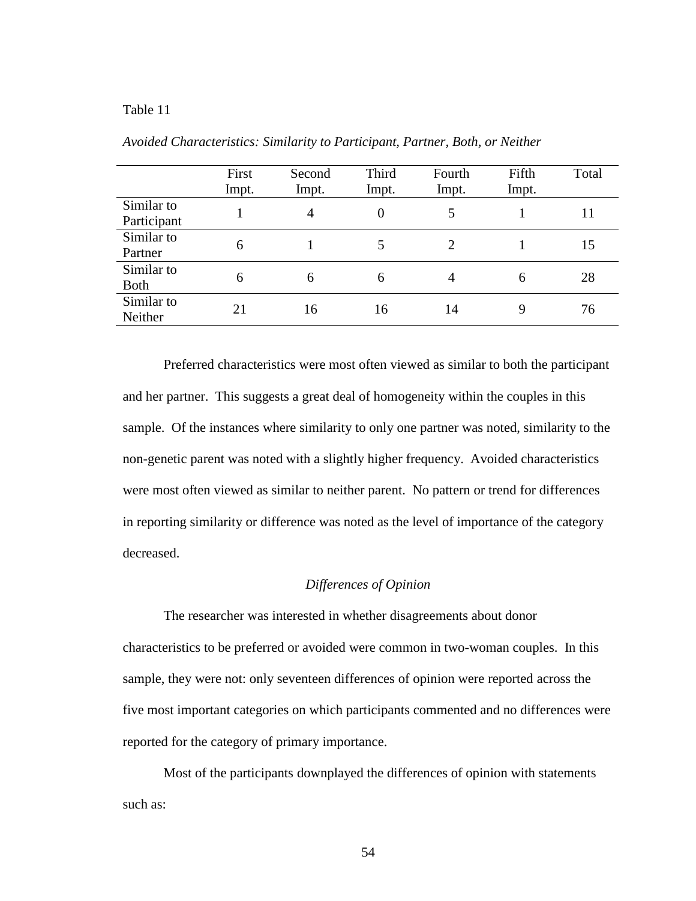|                           | First<br>Impt. | Second<br>Impt. | Third<br>Impt. | Fourth<br>Impt. | Fifth<br>Impt. | Total |
|---------------------------|----------------|-----------------|----------------|-----------------|----------------|-------|
| Similar to<br>Participant |                | 4               | 0              | 5               |                | 11    |
| Similar to<br>Partner     | 6              |                 |                | $\overline{2}$  |                | 15    |
| Similar to<br><b>Both</b> | 6              | 6               | 6              | 4               | 6              | 28    |
| Similar to<br>Neither     | 21             | 16              | 16             | 14              | 9              | 76    |

*Avoided Characteristics: Similarity to Participant, Partner, Both, or Neither*

Preferred characteristics were most often viewed as similar to both the participant and her partner. This suggests a great deal of homogeneity within the couples in this sample. Of the instances where similarity to only one partner was noted, similarity to the non-genetic parent was noted with a slightly higher frequency. Avoided characteristics were most often viewed as similar to neither parent. No pattern or trend for differences in reporting similarity or difference was noted as the level of importance of the category decreased.

### *Differences of Opinion*

The researcher was interested in whether disagreements about donor characteristics to be preferred or avoided were common in two-woman couples. In this sample, they were not: only seventeen differences of opinion were reported across the five most important categories on which participants commented and no differences were reported for the category of primary importance.

Most of the participants downplayed the differences of opinion with statements such as: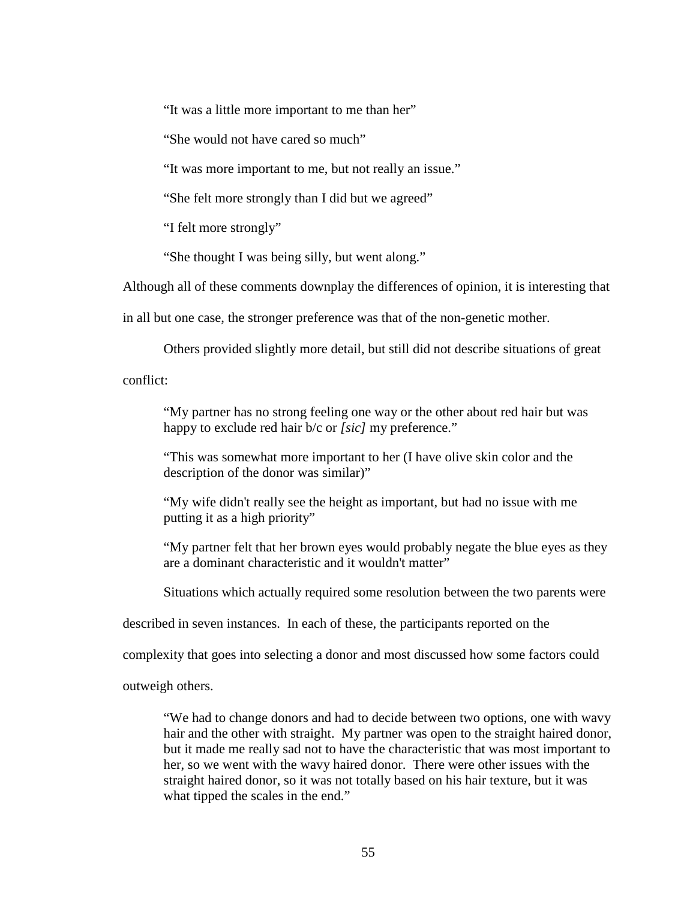"It was a little more important to me than her"

"She would not have cared so much"

"It was more important to me, but not really an issue."

"She felt more strongly than I did but we agreed"

"I felt more strongly"

"She thought I was being silly, but went along."

Although all of these comments downplay the differences of opinion, it is interesting that

in all but one case, the stronger preference was that of the non-genetic mother.

Others provided slightly more detail, but still did not describe situations of great

conflict:

"My partner has no strong feeling one way or the other about red hair but was happy to exclude red hair b/c or *[sic]* my preference."

"This was somewhat more important to her (I have olive skin color and the description of the donor was similar)"

"My wife didn't really see the height as important, but had no issue with me putting it as a high priority"

"My partner felt that her brown eyes would probably negate the blue eyes as they are a dominant characteristic and it wouldn't matter"

Situations which actually required some resolution between the two parents were

described in seven instances. In each of these, the participants reported on the

complexity that goes into selecting a donor and most discussed how some factors could

outweigh others.

"We had to change donors and had to decide between two options, one with wavy hair and the other with straight. My partner was open to the straight haired donor, but it made me really sad not to have the characteristic that was most important to her, so we went with the wavy haired donor. There were other issues with the straight haired donor, so it was not totally based on his hair texture, but it was what tipped the scales in the end."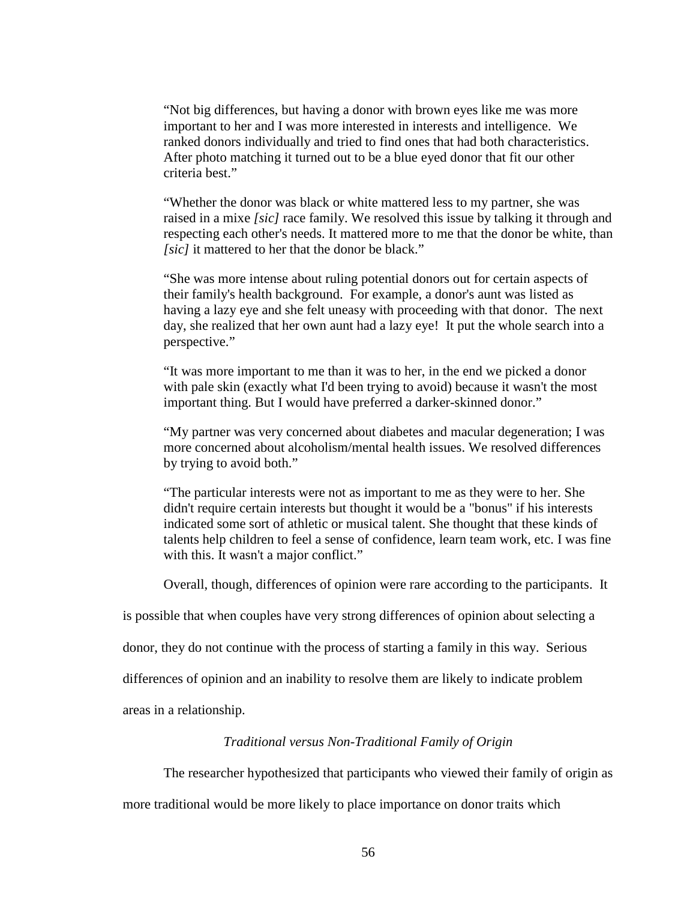"Not big differences, but having a donor with brown eyes like me was more important to her and I was more interested in interests and intelligence. We ranked donors individually and tried to find ones that had both characteristics. After photo matching it turned out to be a blue eyed donor that fit our other criteria best."

"Whether the donor was black or white mattered less to my partner, she was raised in a mixe *[sic]* race family. We resolved this issue by talking it through and respecting each other's needs. It mattered more to me that the donor be white, than *[sic]* it mattered to her that the donor be black."

"She was more intense about ruling potential donors out for certain aspects of their family's health background. For example, a donor's aunt was listed as having a lazy eye and she felt uneasy with proceeding with that donor. The next day, she realized that her own aunt had a lazy eye! It put the whole search into a perspective."

"It was more important to me than it was to her, in the end we picked a donor with pale skin (exactly what I'd been trying to avoid) because it wasn't the most important thing. But I would have preferred a darker-skinned donor."

"My partner was very concerned about diabetes and macular degeneration; I was more concerned about alcoholism/mental health issues. We resolved differences by trying to avoid both."

"The particular interests were not as important to me as they were to her. She didn't require certain interests but thought it would be a "bonus" if his interests indicated some sort of athletic or musical talent. She thought that these kinds of talents help children to feel a sense of confidence, learn team work, etc. I was fine with this. It wasn't a major conflict."

Overall, though, differences of opinion were rare according to the participants. It

is possible that when couples have very strong differences of opinion about selecting a

donor, they do not continue with the process of starting a family in this way. Serious

differences of opinion and an inability to resolve them are likely to indicate problem

areas in a relationship.

### *Traditional versus Non-Traditional Family of Origin*

The researcher hypothesized that participants who viewed their family of origin as

more traditional would be more likely to place importance on donor traits which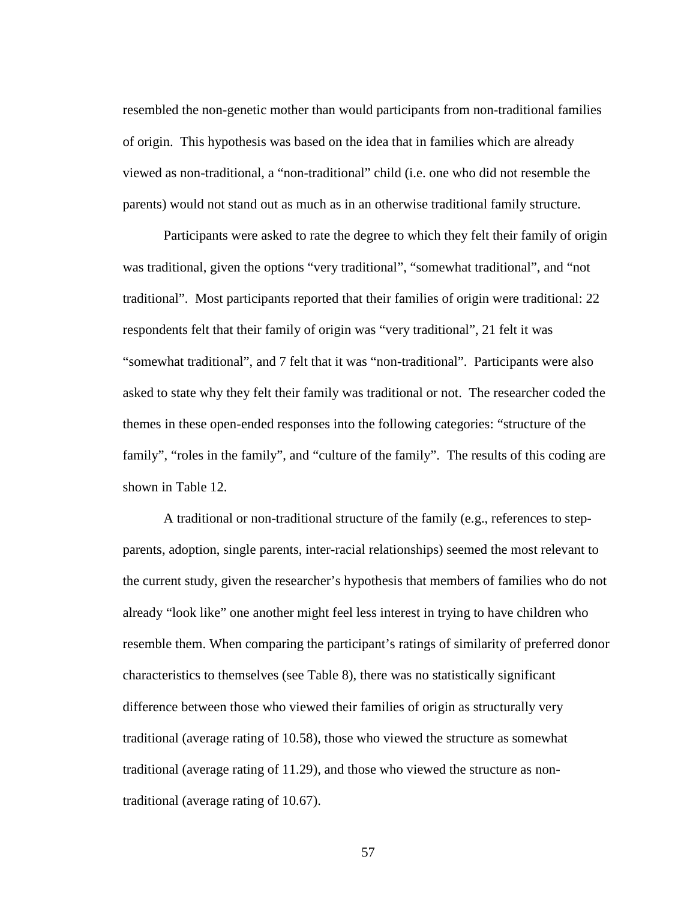resembled the non-genetic mother than would participants from non-traditional families of origin. This hypothesis was based on the idea that in families which are already viewed as non-traditional, a "non-traditional" child (i.e. one who did not resemble the parents) would not stand out as much as in an otherwise traditional family structure.

Participants were asked to rate the degree to which they felt their family of origin was traditional, given the options "very traditional", "somewhat traditional", and "not traditional". Most participants reported that their families of origin were traditional: 22 respondents felt that their family of origin was "very traditional", 21 felt it was "somewhat traditional", and 7 felt that it was "non-traditional". Participants were also asked to state why they felt their family was traditional or not. The researcher coded the themes in these open-ended responses into the following categories: "structure of the family", "roles in the family", and "culture of the family". The results of this coding are shown in Table 12.

A traditional or non-traditional structure of the family (e.g., references to stepparents, adoption, single parents, inter-racial relationships) seemed the most relevant to the current study, given the researcher's hypothesis that members of families who do not already "look like" one another might feel less interest in trying to have children who resemble them. When comparing the participant's ratings of similarity of preferred donor characteristics to themselves (see Table 8), there was no statistically significant difference between those who viewed their families of origin as structurally very traditional (average rating of 10.58), those who viewed the structure as somewhat traditional (average rating of 11.29), and those who viewed the structure as nontraditional (average rating of 10.67).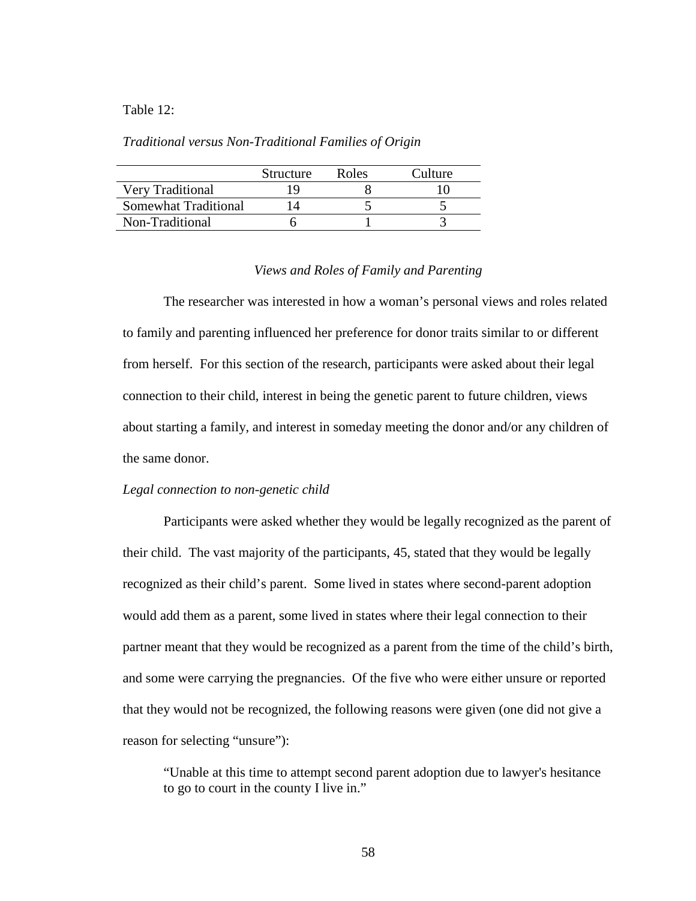#### Table 12:

#### *Traditional versus Non-Traditional Families of Origin*

|                      | Structure | Roles | Culture |
|----------------------|-----------|-------|---------|
| Very Traditional     |           |       |         |
| Somewhat Traditional |           |       |         |
| Non-Traditional      |           |       |         |

#### *Views and Roles of Family and Parenting*

The researcher was interested in how a woman's personal views and roles related to family and parenting influenced her preference for donor traits similar to or different from herself. For this section of the research, participants were asked about their legal connection to their child, interest in being the genetic parent to future children, views about starting a family, and interest in someday meeting the donor and/or any children of the same donor.

#### *Legal connection to non-genetic child*

Participants were asked whether they would be legally recognized as the parent of their child. The vast majority of the participants, 45, stated that they would be legally recognized as their child's parent. Some lived in states where second-parent adoption would add them as a parent, some lived in states where their legal connection to their partner meant that they would be recognized as a parent from the time of the child's birth, and some were carrying the pregnancies. Of the five who were either unsure or reported that they would not be recognized, the following reasons were given (one did not give a reason for selecting "unsure"):

"Unable at this time to attempt second parent adoption due to lawyer's hesitance to go to court in the county I live in."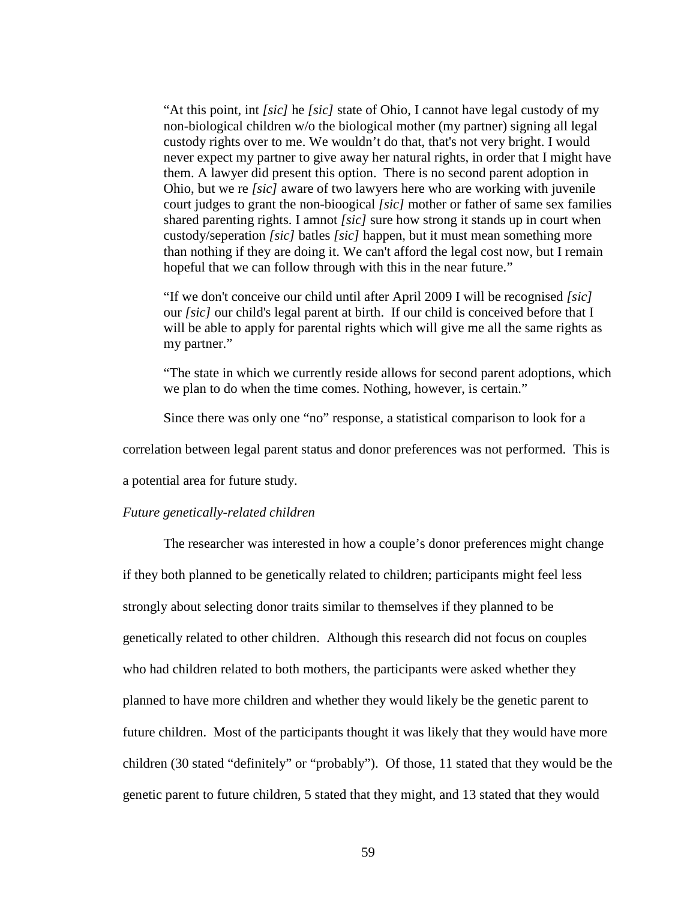"At this point, int *[sic]* he *[sic]* state of Ohio, I cannot have legal custody of my non-biological children w/o the biological mother (my partner) signing all legal custody rights over to me. We wouldn't do that, that's not very bright. I would never expect my partner to give away her natural rights, in order that I might have them. A lawyer did present this option. There is no second parent adoption in Ohio, but we re *[sic]* aware of two lawyers here who are working with juvenile court judges to grant the non-bioogical *[sic]* mother or father of same sex families shared parenting rights. I amnot *[sic]* sure how strong it stands up in court when custody/seperation *[sic]* batles *[sic]* happen, but it must mean something more than nothing if they are doing it. We can't afford the legal cost now, but I remain hopeful that we can follow through with this in the near future."

"If we don't conceive our child until after April 2009 I will be recognised *[sic]* our *[sic]* our child's legal parent at birth. If our child is conceived before that I will be able to apply for parental rights which will give me all the same rights as my partner."

"The state in which we currently reside allows for second parent adoptions, which we plan to do when the time comes. Nothing, however, is certain."

Since there was only one "no" response, a statistical comparison to look for a

correlation between legal parent status and donor preferences was not performed. This is

a potential area for future study.

#### *Future genetically-related children*

The researcher was interested in how a couple's donor preferences might change if they both planned to be genetically related to children; participants might feel less strongly about selecting donor traits similar to themselves if they planned to be genetically related to other children. Although this research did not focus on couples who had children related to both mothers, the participants were asked whether they planned to have more children and whether they would likely be the genetic parent to future children. Most of the participants thought it was likely that they would have more children (30 stated "definitely" or "probably"). Of those, 11 stated that they would be the genetic parent to future children, 5 stated that they might, and 13 stated that they would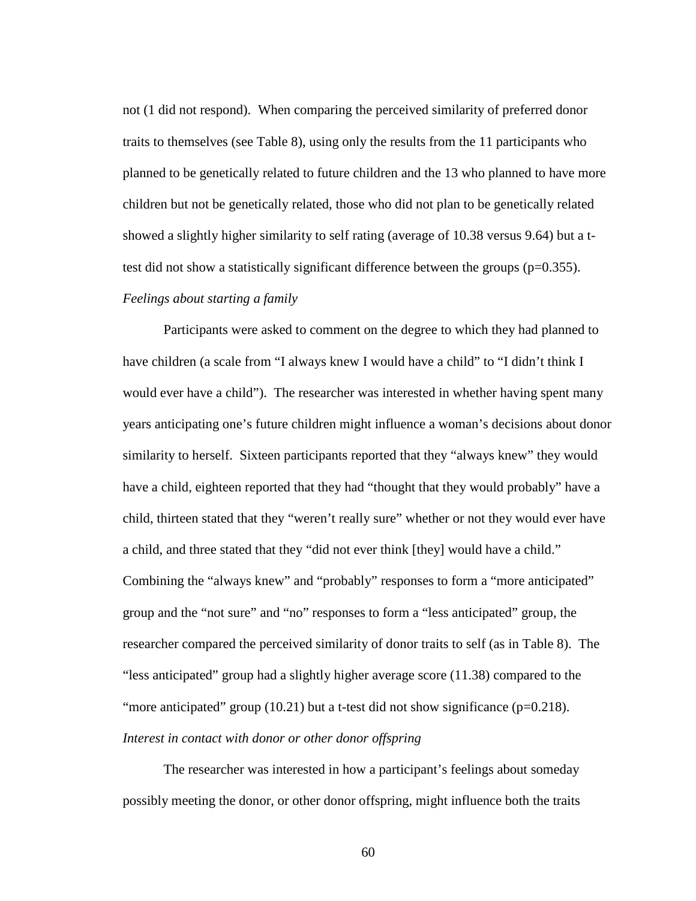not (1 did not respond). When comparing the perceived similarity of preferred donor traits to themselves (see Table 8), using only the results from the 11 participants who planned to be genetically related to future children and the 13 who planned to have more children but not be genetically related, those who did not plan to be genetically related showed a slightly higher similarity to self rating (average of 10.38 versus 9.64) but a ttest did not show a statistically significant difference between the groups ( $p=0.355$ ). *Feelings about starting a family*

Participants were asked to comment on the degree to which they had planned to have children (a scale from "I always knew I would have a child" to "I didn't think I would ever have a child"). The researcher was interested in whether having spent many years anticipating one's future children might influence a woman's decisions about donor similarity to herself. Sixteen participants reported that they "always knew" they would have a child, eighteen reported that they had "thought that they would probably" have a child, thirteen stated that they "weren't really sure" whether or not they would ever have a child, and three stated that they "did not ever think [they] would have a child." Combining the "always knew" and "probably" responses to form a "more anticipated" group and the "not sure" and "no" responses to form a "less anticipated" group, the researcher compared the perceived similarity of donor traits to self (as in Table 8). The "less anticipated" group had a slightly higher average score (11.38) compared to the "more anticipated" group  $(10.21)$  but a t-test did not show significance  $(p=0.218)$ . *Interest in contact with donor or other donor offspring*

The researcher was interested in how a participant's feelings about someday possibly meeting the donor, or other donor offspring, might influence both the traits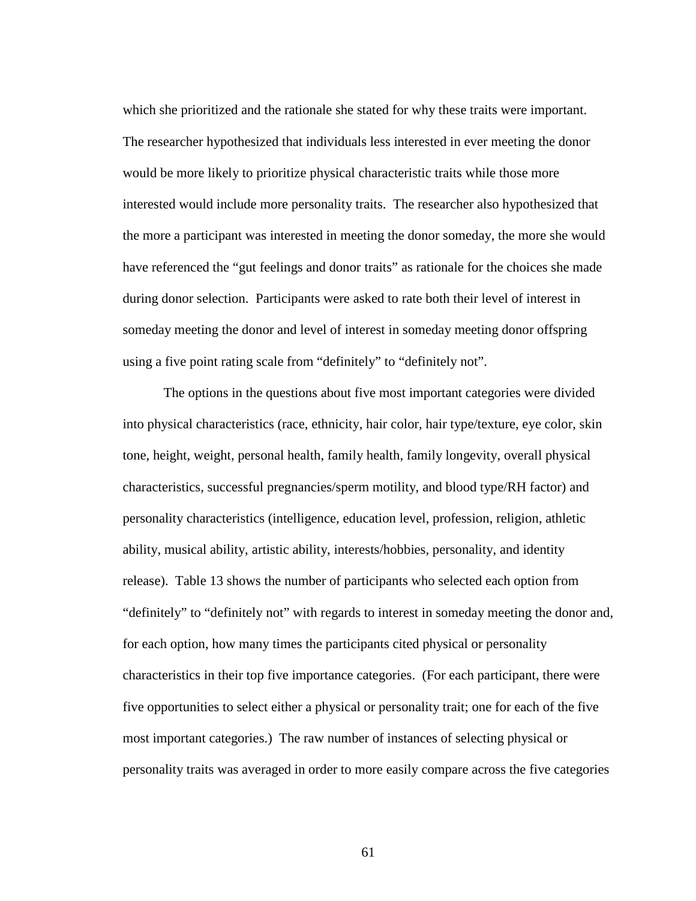which she prioritized and the rationale she stated for why these traits were important. The researcher hypothesized that individuals less interested in ever meeting the donor would be more likely to prioritize physical characteristic traits while those more interested would include more personality traits. The researcher also hypothesized that the more a participant was interested in meeting the donor someday, the more she would have referenced the "gut feelings and donor traits" as rationale for the choices she made during donor selection. Participants were asked to rate both their level of interest in someday meeting the donor and level of interest in someday meeting donor offspring using a five point rating scale from "definitely" to "definitely not".

The options in the questions about five most important categories were divided into physical characteristics (race, ethnicity, hair color, hair type/texture, eye color, skin tone, height, weight, personal health, family health, family longevity, overall physical characteristics, successful pregnancies/sperm motility, and blood type/RH factor) and personality characteristics (intelligence, education level, profession, religion, athletic ability, musical ability, artistic ability, interests/hobbies, personality, and identity release). Table 13 shows the number of participants who selected each option from "definitely" to "definitely not" with regards to interest in someday meeting the donor and, for each option, how many times the participants cited physical or personality characteristics in their top five importance categories. (For each participant, there were five opportunities to select either a physical or personality trait; one for each of the five most important categories.) The raw number of instances of selecting physical or personality traits was averaged in order to more easily compare across the five categories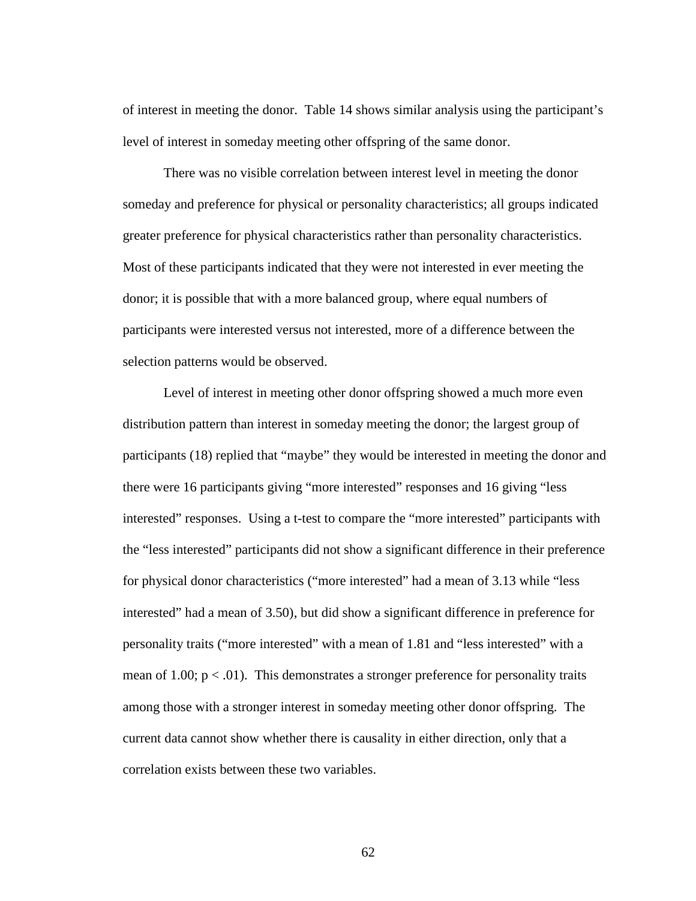of interest in meeting the donor. Table 14 shows similar analysis using the participant's level of interest in someday meeting other offspring of the same donor.

There was no visible correlation between interest level in meeting the donor someday and preference for physical or personality characteristics; all groups indicated greater preference for physical characteristics rather than personality characteristics. Most of these participants indicated that they were not interested in ever meeting the donor; it is possible that with a more balanced group, where equal numbers of participants were interested versus not interested, more of a difference between the selection patterns would be observed.

Level of interest in meeting other donor offspring showed a much more even distribution pattern than interest in someday meeting the donor; the largest group of participants (18) replied that "maybe" they would be interested in meeting the donor and there were 16 participants giving "more interested" responses and 16 giving "less interested" responses. Using a t-test to compare the "more interested" participants with the "less interested" participants did not show a significant difference in their preference for physical donor characteristics ("more interested" had a mean of 3.13 while "less interested" had a mean of 3.50), but did show a significant difference in preference for personality traits ("more interested" with a mean of 1.81 and "less interested" with a mean of 1.00;  $p < .01$ ). This demonstrates a stronger preference for personality traits among those with a stronger interest in someday meeting other donor offspring. The current data cannot show whether there is causality in either direction, only that a correlation exists between these two variables.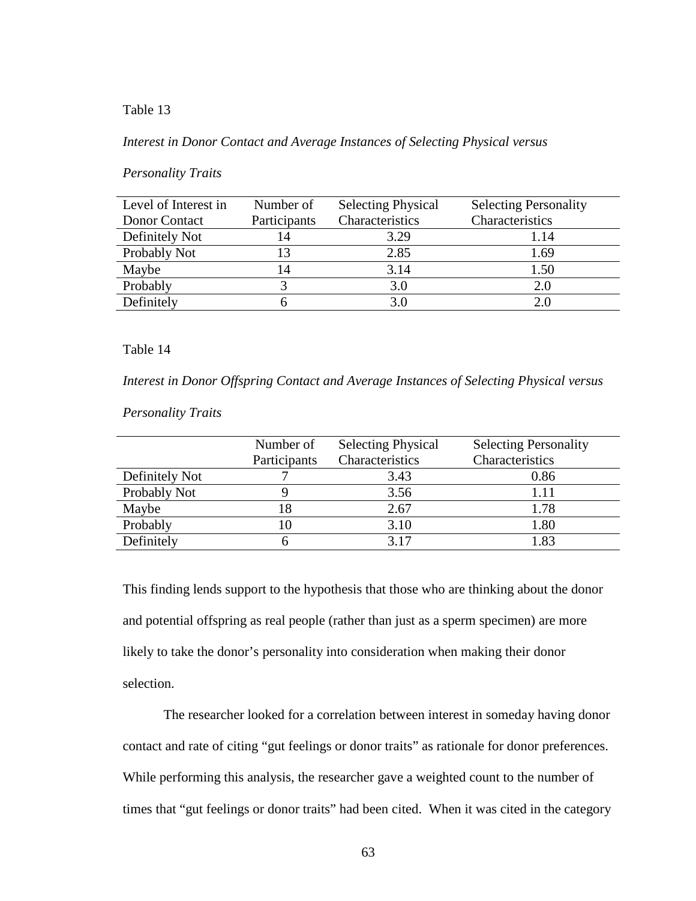#### *Interest in Donor Contact and Average Instances of Selecting Physical versus*

### *Personality Traits*

| Level of Interest in | Number of    | <b>Selecting Physical</b> | <b>Selecting Personality</b> |
|----------------------|--------------|---------------------------|------------------------------|
| Donor Contact        | Participants | Characteristics           | Characteristics              |
| Definitely Not       | 14           | 3.29                      | 1.14                         |
| Probably Not         | 13           | 2.85                      | 1.69                         |
| Maybe                | 14           | 3.14                      | 1.50                         |
| Probably             |              | 3.0                       | 2.0                          |
| Definitely           |              | 3.0                       |                              |

## Table 14

*Interest in Donor Offspring Contact and Average Instances of Selecting Physical versus* 

## *Personality Traits*

|                | Number of    | <b>Selecting Physical</b> | <b>Selecting Personality</b> |
|----------------|--------------|---------------------------|------------------------------|
|                | Participants | Characteristics           | Characteristics              |
| Definitely Not |              | 3.43                      | 0.86                         |
| Probably Not   |              | 3.56                      |                              |
| Maybe          | 18           | 2.67                      | 1.78                         |
| Probably       |              | 3.10                      | 1.80                         |
| Definitely     |              | 3.17                      | 1.83                         |

This finding lends support to the hypothesis that those who are thinking about the donor and potential offspring as real people (rather than just as a sperm specimen) are more likely to take the donor's personality into consideration when making their donor selection.

The researcher looked for a correlation between interest in someday having donor contact and rate of citing "gut feelings or donor traits" as rationale for donor preferences. While performing this analysis, the researcher gave a weighted count to the number of times that "gut feelings or donor traits" had been cited. When it was cited in the category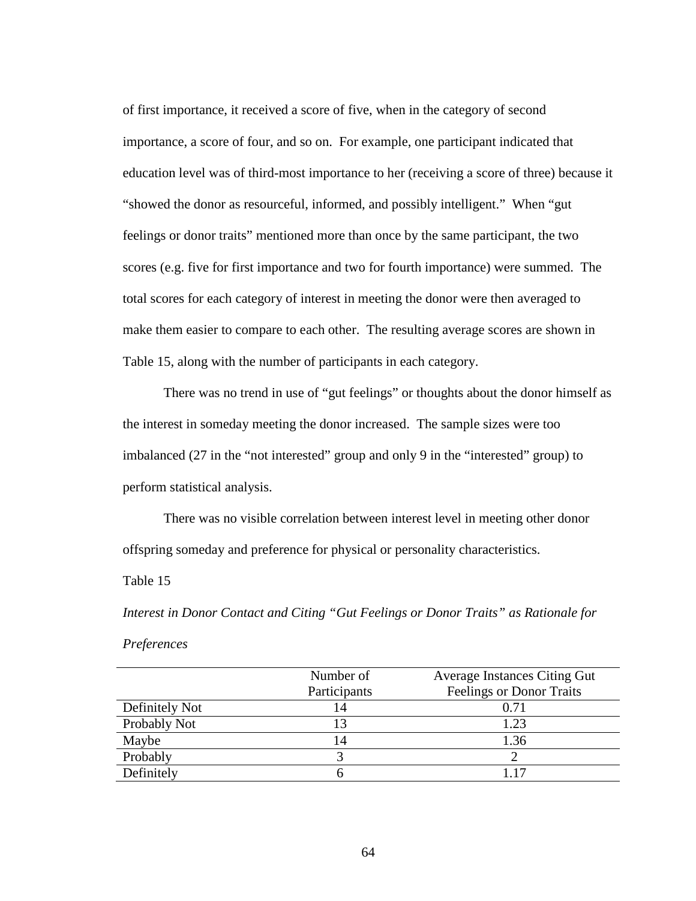of first importance, it received a score of five, when in the category of second importance, a score of four, and so on. For example, one participant indicated that education level was of third-most importance to her (receiving a score of three) because it "showed the donor as resourceful, informed, and possibly intelligent." When "gut feelings or donor traits" mentioned more than once by the same participant, the two scores (e.g. five for first importance and two for fourth importance) were summed. The total scores for each category of interest in meeting the donor were then averaged to make them easier to compare to each other. The resulting average scores are shown in Table 15, along with the number of participants in each category.

There was no trend in use of "gut feelings" or thoughts about the donor himself as the interest in someday meeting the donor increased. The sample sizes were too imbalanced (27 in the "not interested" group and only 9 in the "interested" group) to perform statistical analysis.

There was no visible correlation between interest level in meeting other donor offspring someday and preference for physical or personality characteristics.

Table 15

*Interest in Donor Contact and Citing "Gut Feelings or Donor Traits" as Rationale for Preferences*

|                | Number of    | <b>Average Instances Citing Gut</b> |
|----------------|--------------|-------------------------------------|
|                | Participants | <b>Feelings or Donor Traits</b>     |
| Definitely Not | 14           | 0.71                                |
| Probably Not   |              | 1.23                                |
| Maybe          | 14           | 1.36                                |
| Probably       |              |                                     |
| Definitely     |              | 117                                 |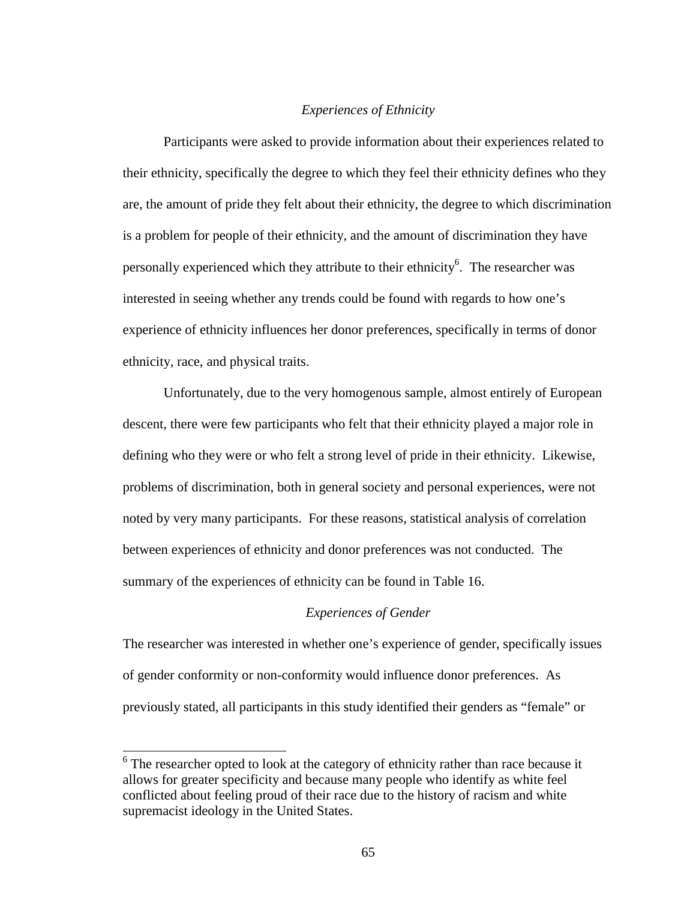#### *Experiences of Ethnicity*

Participants were asked to provide information about their experiences related to their ethnicity, specifically the degree to which they feel their ethnicity defines who they are, the amount of pride they felt about their ethnicity, the degree to which discrimination is a problem for people of their ethnicity, and the amount of discrimination they have personally experienced which they attribute to their ethnicity<sup>6</sup>. The researcher was interested in seeing whether any trends could be found with regards to how one's experience of ethnicity influences her donor preferences, specifically in terms of donor ethnicity, race, and physical traits.

Unfortunately, due to the very homogenous sample, almost entirely of European descent, there were few participants who felt that their ethnicity played a major role in defining who they were or who felt a strong level of pride in their ethnicity. Likewise, problems of discrimination, both in general society and personal experiences, were not noted by very many participants. For these reasons, statistical analysis of correlation between experiences of ethnicity and donor preferences was not conducted. The summary of the experiences of ethnicity can be found in Table 16.

## *Experiences of Gender*

The researcher was interested in whether one's experience of gender, specifically issues of gender conformity or non-conformity would influence donor preferences. As previously stated, all participants in this study identified their genders as "female" or

<sup>&</sup>lt;sup>6</sup> The researcher opted to look at the category of ethnicity rather than race because it allows for greater specificity and because many people who identify as white feel conflicted about feeling proud of their race due to the history of racism and white supremacist ideology in the United States.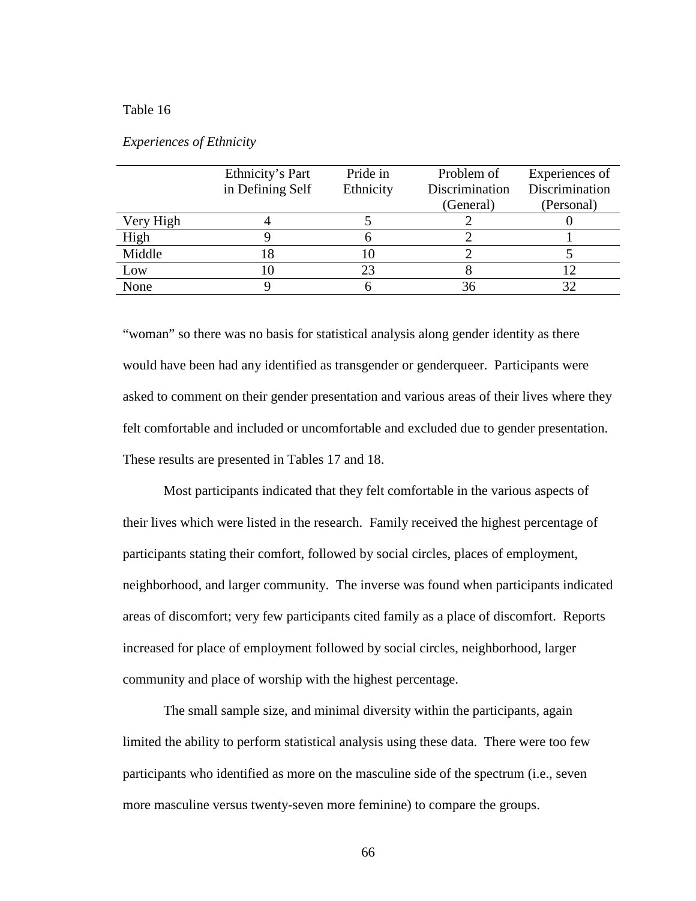|           | Ethnicity's Part | Pride in  | Problem of     | Experiences of |
|-----------|------------------|-----------|----------------|----------------|
|           | in Defining Self | Ethnicity | Discrimination | Discrimination |
|           |                  |           | (General)      | (Personal)     |
| Very High |                  |           |                |                |
| High      |                  |           |                |                |
| Middle    | 8                |           |                |                |
| Low       | 10               | 23        |                |                |
| None      |                  |           | 36             |                |
|           |                  |           |                |                |

| <i>Experiences of Ethnicity</i> |  |
|---------------------------------|--|
|                                 |  |

"woman" so there was no basis for statistical analysis along gender identity as there would have been had any identified as transgender or genderqueer. Participants were asked to comment on their gender presentation and various areas of their lives where they felt comfortable and included or uncomfortable and excluded due to gender presentation. These results are presented in Tables 17 and 18.

Most participants indicated that they felt comfortable in the various aspects of their lives which were listed in the research. Family received the highest percentage of participants stating their comfort, followed by social circles, places of employment, neighborhood, and larger community. The inverse was found when participants indicated areas of discomfort; very few participants cited family as a place of discomfort. Reports increased for place of employment followed by social circles, neighborhood, larger community and place of worship with the highest percentage.

The small sample size, and minimal diversity within the participants, again limited the ability to perform statistical analysis using these data. There were too few participants who identified as more on the masculine side of the spectrum (i.e., seven more masculine versus twenty-seven more feminine) to compare the groups.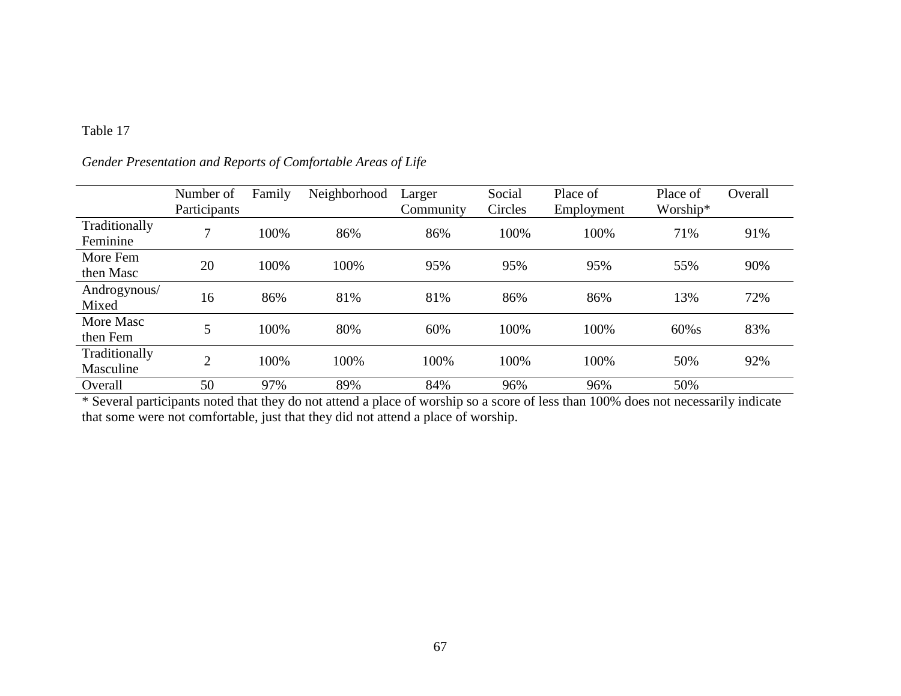|                            | Number of<br>Participants | Family | Neighborhood | Larger<br>Community | Social<br>Circles | Place of<br>Employment | Place of<br>Worship* | Overall |
|----------------------------|---------------------------|--------|--------------|---------------------|-------------------|------------------------|----------------------|---------|
| Traditionally<br>Feminine  | $\mathbf{r}$              | 100%   | 86%          | 86%                 | 100%              | 100%                   | 71%                  | 91%     |
| More Fem<br>then Masc      | 20                        | 100%   | 100%         | 95%                 | 95%               | 95%                    | 55%                  | 90%     |
| Androgynous/<br>Mixed      | 16                        | 86%    | 81%          | 81%                 | 86%               | 86%                    | 13%                  | 72%     |
| More Masc<br>then Fem      | 5                         | 100%   | 80%          | 60%                 | 100%              | 100%                   | $60\%s$              | 83%     |
| Traditionally<br>Masculine | $\mathcal{L}$             | 100%   | 100%         | 100%                | 100%              | 100%                   | 50%                  | 92%     |
| Overall                    | 50                        | 97%    | 89%          | 84%                 | 96%               | 96%                    | 50%                  |         |

# *Gender Presentation and Reports of Comfortable Areas of Life*

\* Several participants noted that they do not attend a place of worship so a score of less than 100% does not necessarily indicate that some were not comfortable, just that they did not attend a place of worship.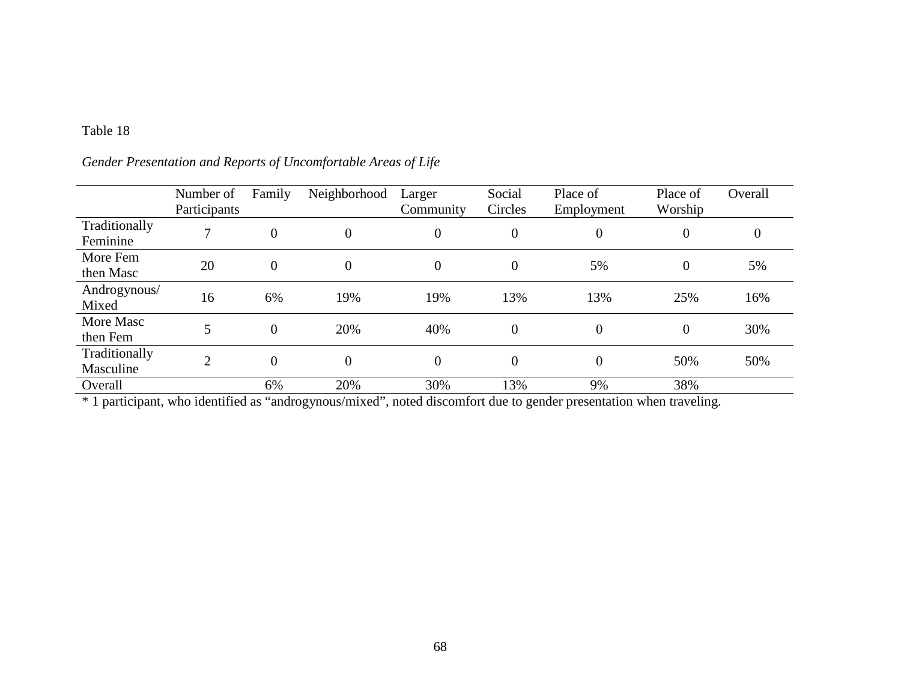|                            | Number of<br>Participants | Family         | Neighborhood     | Larger<br>Community | Social<br>Circles | Place of<br>Employment | Place of<br>Worship | Overall  |
|----------------------------|---------------------------|----------------|------------------|---------------------|-------------------|------------------------|---------------------|----------|
| Traditionally<br>Feminine  | $\mathbf{r}$              | $\overline{0}$ | $\boldsymbol{0}$ | $\boldsymbol{0}$    | $\boldsymbol{0}$  | $\overline{0}$         | $\boldsymbol{0}$    | $\theta$ |
| More Fem<br>then Masc      | 20                        | $\overline{0}$ | $\boldsymbol{0}$ | $\boldsymbol{0}$    | $\boldsymbol{0}$  | 5%                     | $\theta$            | 5%       |
| Androgynous/<br>Mixed      | 16                        | 6%             | 19%              | 19%                 | 13%               | 13%                    | 25%                 | 16%      |
| More Masc<br>then Fem      | 5                         | $\overline{0}$ | 20%              | 40%                 | $\overline{0}$    | $\overline{0}$         | $\overline{0}$      | 30%      |
| Traditionally<br>Masculine | $\bigcap$                 | $\overline{0}$ | $\boldsymbol{0}$ | $\boldsymbol{0}$    | $\boldsymbol{0}$  | $\overline{0}$         | 50%                 | 50%      |
| Overall                    |                           | 6%             | 20%              | 30%                 | 13%               | 9%                     | 38%                 |          |

*Gender Presentation and Reports of Uncomfortable Areas of Life*

\* 1 participant, who identified as "androgynous/mixed", noted discomfort due to gender presentation when traveling.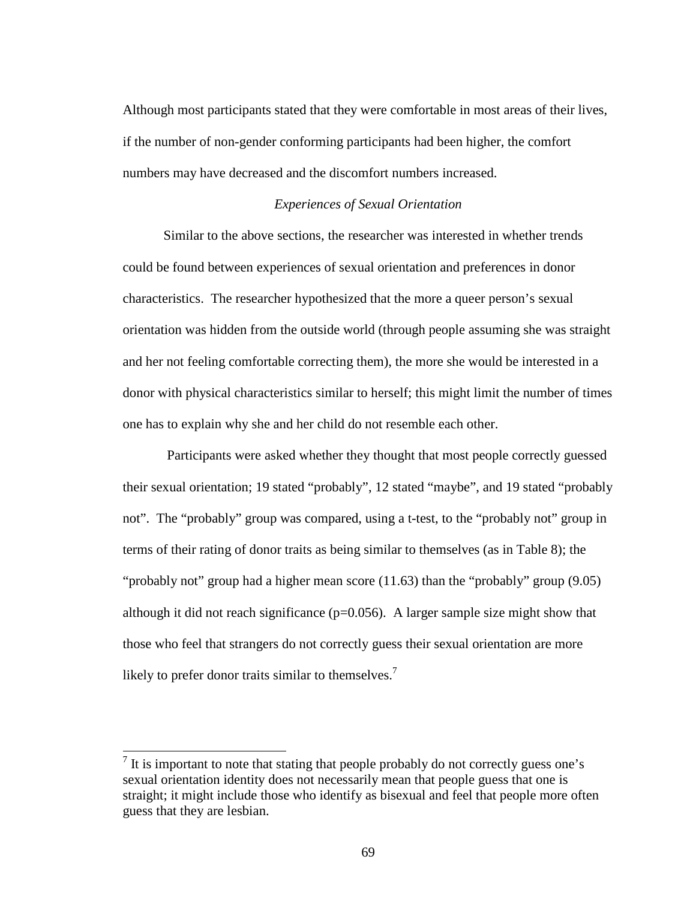Although most participants stated that they were comfortable in most areas of their lives, if the number of non-gender conforming participants had been higher, the comfort numbers may have decreased and the discomfort numbers increased.

#### *Experiences of Sexual Orientation*

Similar to the above sections, the researcher was interested in whether trends could be found between experiences of sexual orientation and preferences in donor characteristics. The researcher hypothesized that the more a queer person's sexual orientation was hidden from the outside world (through people assuming she was straight and her not feeling comfortable correcting them), the more she would be interested in a donor with physical characteristics similar to herself; this might limit the number of times one has to explain why she and her child do not resemble each other.

Participants were asked whether they thought that most people correctly guessed their sexual orientation; 19 stated "probably", 12 stated "maybe", and 19 stated "probably not". The "probably" group was compared, using a t-test, to the "probably not" group in terms of their rating of donor traits as being similar to themselves (as in Table 8); the "probably not" group had a higher mean score (11.63) than the "probably" group (9.05) although it did not reach significance ( $p=0.056$ ). A larger sample size might show that those who feel that strangers do not correctly guess their sexual orientation are more likely to prefer donor traits similar to themselves.<sup>7</sup>

 $7$  It is important to note that stating that people probably do not correctly guess one's sexual orientation identity does not necessarily mean that people guess that one is straight; it might include those who identify as bisexual and feel that people more often guess that they are lesbian.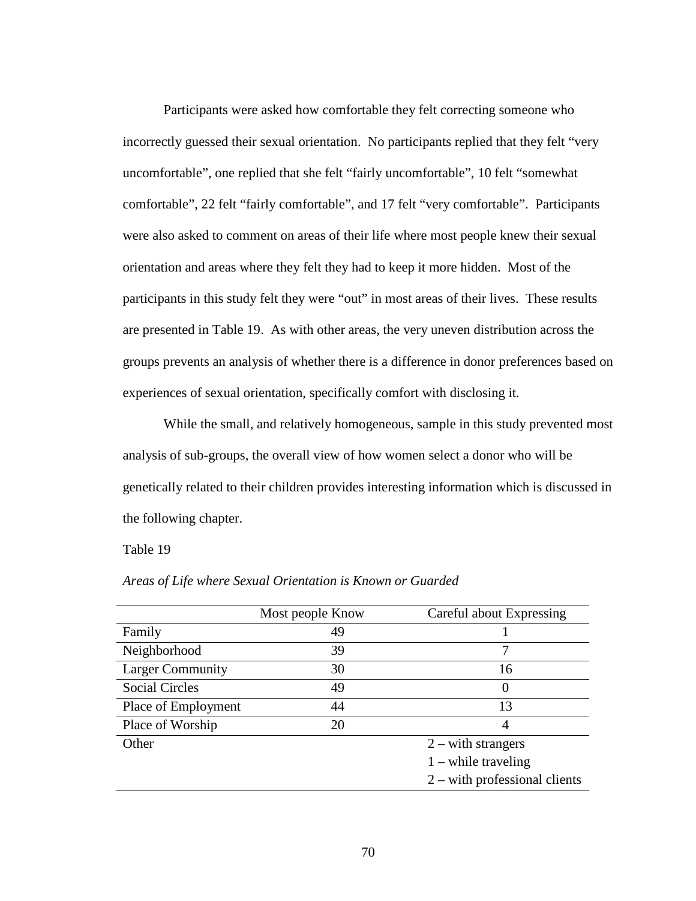Participants were asked how comfortable they felt correcting someone who incorrectly guessed their sexual orientation. No participants replied that they felt "very uncomfortable", one replied that she felt "fairly uncomfortable", 10 felt "somewhat comfortable", 22 felt "fairly comfortable", and 17 felt "very comfortable". Participants were also asked to comment on areas of their life where most people knew their sexual orientation and areas where they felt they had to keep it more hidden. Most of the participants in this study felt they were "out" in most areas of their lives. These results are presented in Table 19. As with other areas, the very uneven distribution across the groups prevents an analysis of whether there is a difference in donor preferences based on experiences of sexual orientation, specifically comfort with disclosing it.

While the small, and relatively homogeneous, sample in this study prevented most analysis of sub-groups, the overall view of how women select a donor who will be genetically related to their children provides interesting information which is discussed in the following chapter.

Table 19

| Most people Know | Careful about Expressing        |
|------------------|---------------------------------|
| 49               |                                 |
| 39               |                                 |
| 30               | 16                              |
| 49               |                                 |
| 44               | 13                              |
| 20               | 4                               |
|                  | $2 - with strangers$            |
|                  | $1$ – while traveling           |
|                  | $2$ – with professional clients |
|                  |                                 |

*Areas of Life where Sexual Orientation is Known or Guarded*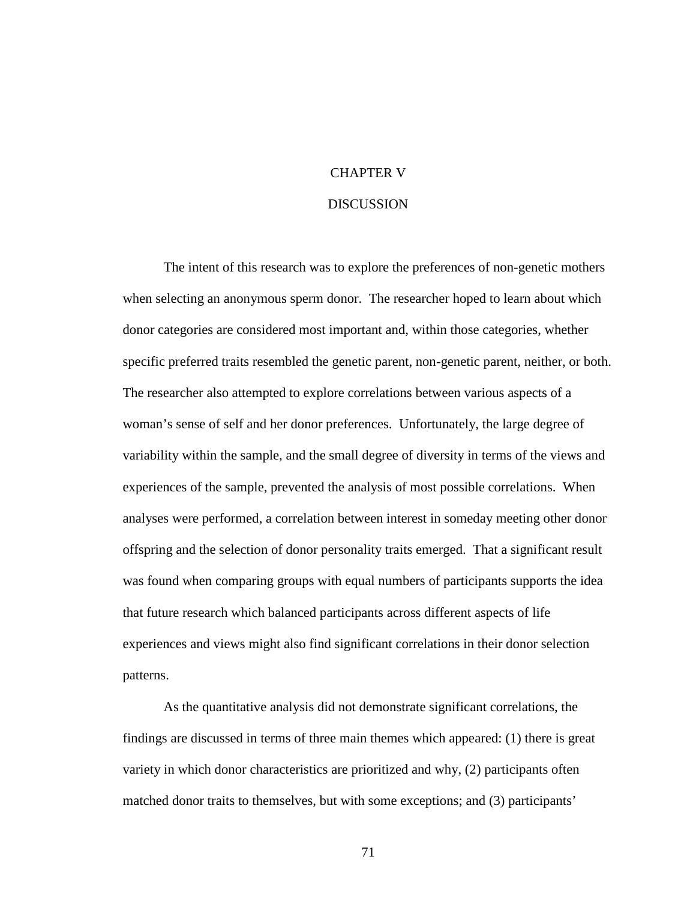## CHAPTER V

#### **DISCUSSION**

The intent of this research was to explore the preferences of non-genetic mothers when selecting an anonymous sperm donor. The researcher hoped to learn about which donor categories are considered most important and, within those categories, whether specific preferred traits resembled the genetic parent, non-genetic parent, neither, or both. The researcher also attempted to explore correlations between various aspects of a woman's sense of self and her donor preferences. Unfortunately, the large degree of variability within the sample, and the small degree of diversity in terms of the views and experiences of the sample, prevented the analysis of most possible correlations. When analyses were performed, a correlation between interest in someday meeting other donor offspring and the selection of donor personality traits emerged. That a significant result was found when comparing groups with equal numbers of participants supports the idea that future research which balanced participants across different aspects of life experiences and views might also find significant correlations in their donor selection patterns.

As the quantitative analysis did not demonstrate significant correlations, the findings are discussed in terms of three main themes which appeared: (1) there is great variety in which donor characteristics are prioritized and why, (2) participants often matched donor traits to themselves, but with some exceptions; and (3) participants'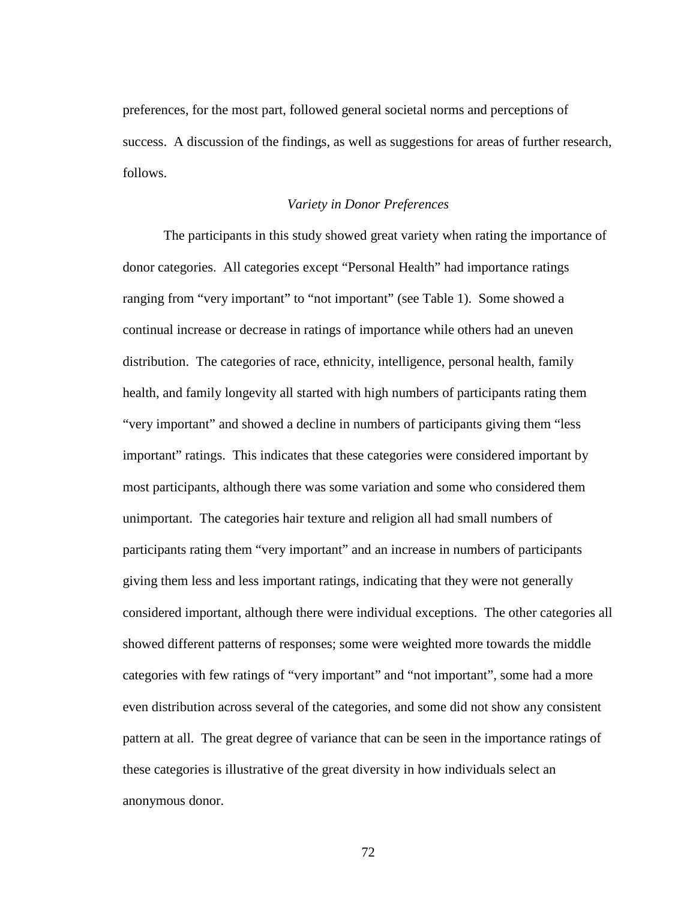preferences, for the most part, followed general societal norms and perceptions of success. A discussion of the findings, as well as suggestions for areas of further research, follows.

#### *Variety in Donor Preferences*

The participants in this study showed great variety when rating the importance of donor categories. All categories except "Personal Health" had importance ratings ranging from "very important" to "not important" (see Table 1). Some showed a continual increase or decrease in ratings of importance while others had an uneven distribution. The categories of race, ethnicity, intelligence, personal health, family health, and family longevity all started with high numbers of participants rating them "very important" and showed a decline in numbers of participants giving them "less important" ratings. This indicates that these categories were considered important by most participants, although there was some variation and some who considered them unimportant. The categories hair texture and religion all had small numbers of participants rating them "very important" and an increase in numbers of participants giving them less and less important ratings, indicating that they were not generally considered important, although there were individual exceptions. The other categories all showed different patterns of responses; some were weighted more towards the middle categories with few ratings of "very important" and "not important", some had a more even distribution across several of the categories, and some did not show any consistent pattern at all. The great degree of variance that can be seen in the importance ratings of these categories is illustrative of the great diversity in how individuals select an anonymous donor.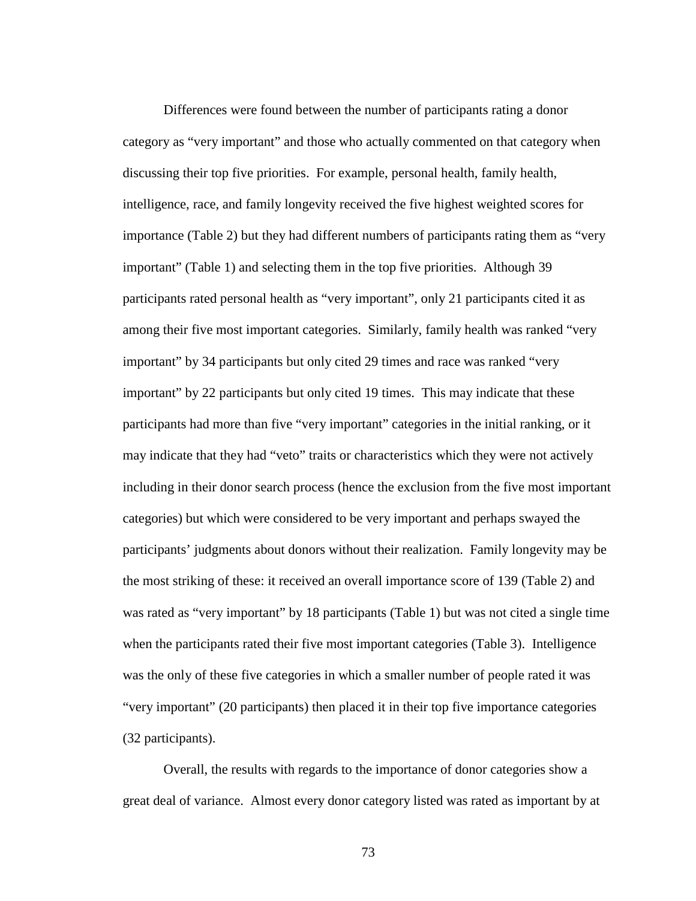Differences were found between the number of participants rating a donor category as "very important" and those who actually commented on that category when discussing their top five priorities. For example, personal health, family health, intelligence, race, and family longevity received the five highest weighted scores for importance (Table 2) but they had different numbers of participants rating them as "very important" (Table 1) and selecting them in the top five priorities. Although 39 participants rated personal health as "very important", only 21 participants cited it as among their five most important categories. Similarly, family health was ranked "very important" by 34 participants but only cited 29 times and race was ranked "very important" by 22 participants but only cited 19 times. This may indicate that these participants had more than five "very important" categories in the initial ranking, or it may indicate that they had "veto" traits or characteristics which they were not actively including in their donor search process (hence the exclusion from the five most important categories) but which were considered to be very important and perhaps swayed the participants' judgments about donors without their realization. Family longevity may be the most striking of these: it received an overall importance score of 139 (Table 2) and was rated as "very important" by 18 participants (Table 1) but was not cited a single time when the participants rated their five most important categories (Table 3). Intelligence was the only of these five categories in which a smaller number of people rated it was "very important" (20 participants) then placed it in their top five importance categories (32 participants).

Overall, the results with regards to the importance of donor categories show a great deal of variance. Almost every donor category listed was rated as important by at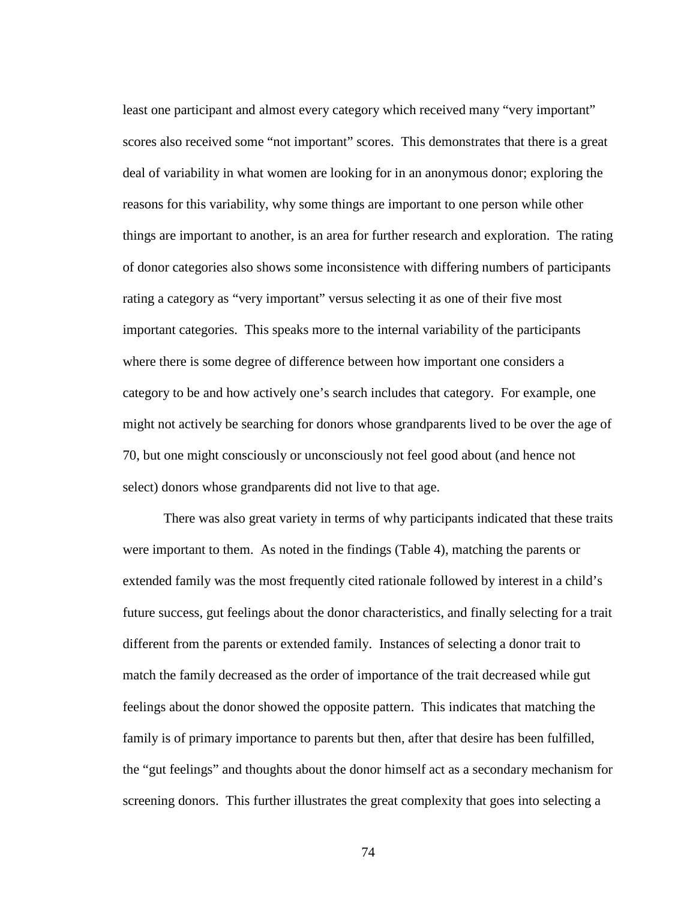least one participant and almost every category which received many "very important" scores also received some "not important" scores. This demonstrates that there is a great deal of variability in what women are looking for in an anonymous donor; exploring the reasons for this variability, why some things are important to one person while other things are important to another, is an area for further research and exploration. The rating of donor categories also shows some inconsistence with differing numbers of participants rating a category as "very important" versus selecting it as one of their five most important categories. This speaks more to the internal variability of the participants where there is some degree of difference between how important one considers a category to be and how actively one's search includes that category. For example, one might not actively be searching for donors whose grandparents lived to be over the age of 70, but one might consciously or unconsciously not feel good about (and hence not select) donors whose grandparents did not live to that age.

There was also great variety in terms of why participants indicated that these traits were important to them. As noted in the findings (Table 4), matching the parents or extended family was the most frequently cited rationale followed by interest in a child's future success, gut feelings about the donor characteristics, and finally selecting for a trait different from the parents or extended family. Instances of selecting a donor trait to match the family decreased as the order of importance of the trait decreased while gut feelings about the donor showed the opposite pattern. This indicates that matching the family is of primary importance to parents but then, after that desire has been fulfilled, the "gut feelings" and thoughts about the donor himself act as a secondary mechanism for screening donors. This further illustrates the great complexity that goes into selecting a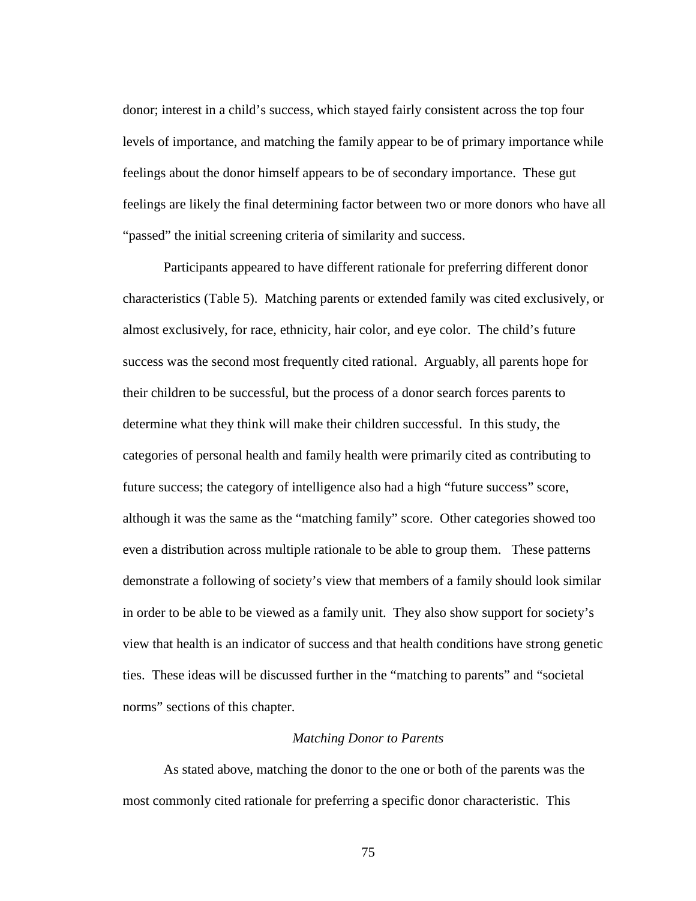donor; interest in a child's success, which stayed fairly consistent across the top four levels of importance, and matching the family appear to be of primary importance while feelings about the donor himself appears to be of secondary importance. These gut feelings are likely the final determining factor between two or more donors who have all "passed" the initial screening criteria of similarity and success.

Participants appeared to have different rationale for preferring different donor characteristics (Table 5). Matching parents or extended family was cited exclusively, or almost exclusively, for race, ethnicity, hair color, and eye color. The child's future success was the second most frequently cited rational. Arguably, all parents hope for their children to be successful, but the process of a donor search forces parents to determine what they think will make their children successful. In this study, the categories of personal health and family health were primarily cited as contributing to future success; the category of intelligence also had a high "future success" score, although it was the same as the "matching family" score. Other categories showed too even a distribution across multiple rationale to be able to group them. These patterns demonstrate a following of society's view that members of a family should look similar in order to be able to be viewed as a family unit. They also show support for society's view that health is an indicator of success and that health conditions have strong genetic ties. These ideas will be discussed further in the "matching to parents" and "societal norms" sections of this chapter.

#### *Matching Donor to Parents*

As stated above, matching the donor to the one or both of the parents was the most commonly cited rationale for preferring a specific donor characteristic. This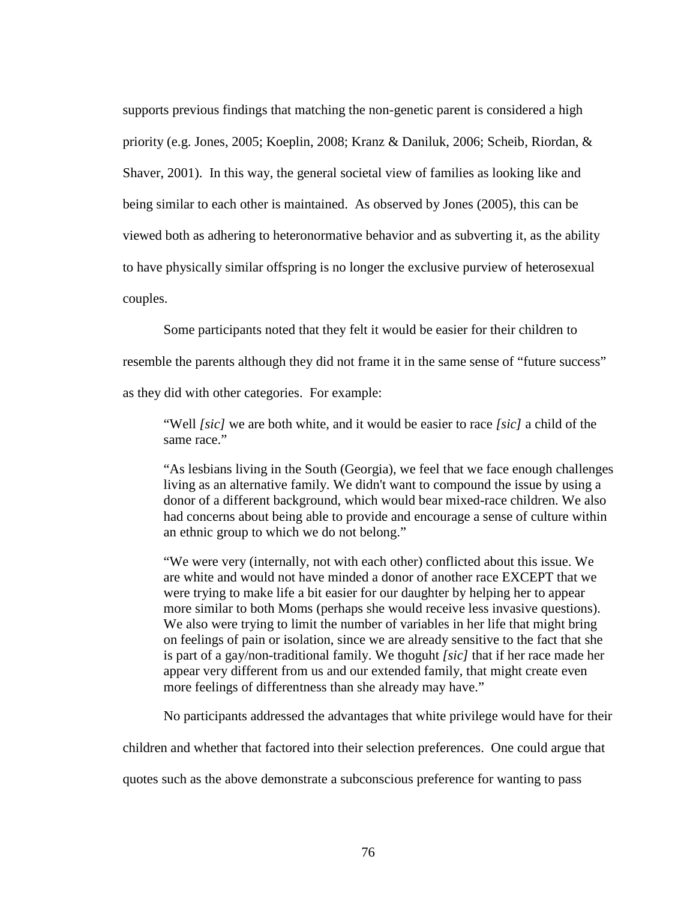supports previous findings that matching the non-genetic parent is considered a high priority (e.g. Jones, 2005; Koeplin, 2008; Kranz & Daniluk, 2006; Scheib, Riordan, & Shaver, 2001). In this way, the general societal view of families as looking like and being similar to each other is maintained. As observed by Jones (2005), this can be viewed both as adhering to heteronormative behavior and as subverting it, as the ability to have physically similar offspring is no longer the exclusive purview of heterosexual couples.

Some participants noted that they felt it would be easier for their children to

resemble the parents although they did not frame it in the same sense of "future success"

as they did with other categories. For example:

"Well *[sic]* we are both white, and it would be easier to race *[sic]* a child of the same race."

"As lesbians living in the South (Georgia), we feel that we face enough challenges living as an alternative family. We didn't want to compound the issue by using a donor of a different background, which would bear mixed-race children. We also had concerns about being able to provide and encourage a sense of culture within an ethnic group to which we do not belong."

"We were very (internally, not with each other) conflicted about this issue. We are white and would not have minded a donor of another race EXCEPT that we were trying to make life a bit easier for our daughter by helping her to appear more similar to both Moms (perhaps she would receive less invasive questions). We also were trying to limit the number of variables in her life that might bring on feelings of pain or isolation, since we are already sensitive to the fact that she is part of a gay/non-traditional family. We thoguht *[sic]* that if her race made her appear very different from us and our extended family, that might create even more feelings of differentness than she already may have."

No participants addressed the advantages that white privilege would have for their

children and whether that factored into their selection preferences. One could argue that

quotes such as the above demonstrate a subconscious preference for wanting to pass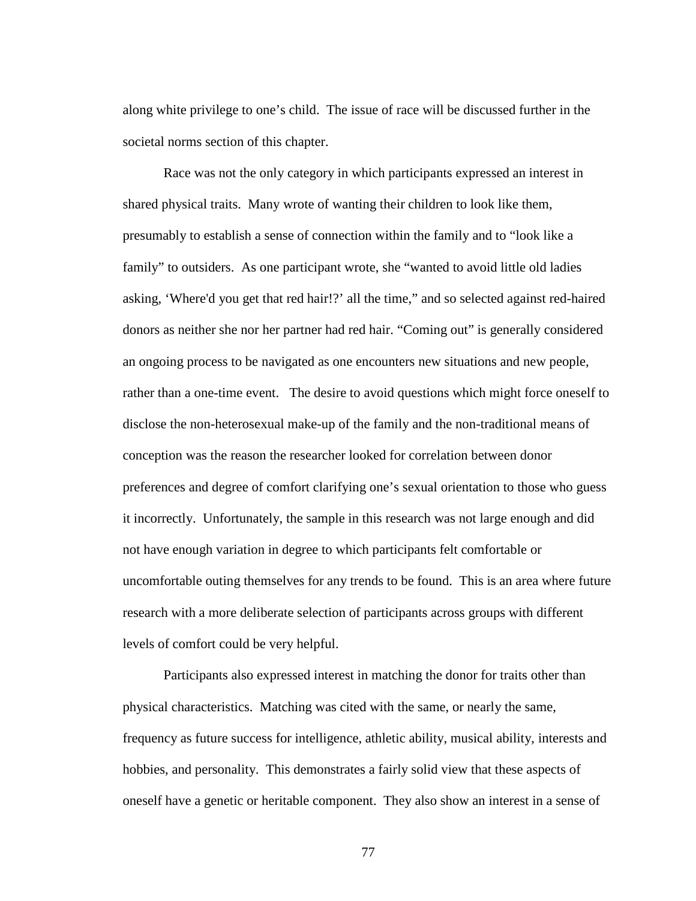along white privilege to one's child. The issue of race will be discussed further in the societal norms section of this chapter.

Race was not the only category in which participants expressed an interest in shared physical traits. Many wrote of wanting their children to look like them, presumably to establish a sense of connection within the family and to "look like a family" to outsiders. As one participant wrote, she "wanted to avoid little old ladies asking, 'Where'd you get that red hair!?' all the time," and so selected against red-haired donors as neither she nor her partner had red hair. "Coming out" is generally considered an ongoing process to be navigated as one encounters new situations and new people, rather than a one-time event. The desire to avoid questions which might force oneself to disclose the non-heterosexual make-up of the family and the non-traditional means of conception was the reason the researcher looked for correlation between donor preferences and degree of comfort clarifying one's sexual orientation to those who guess it incorrectly. Unfortunately, the sample in this research was not large enough and did not have enough variation in degree to which participants felt comfortable or uncomfortable outing themselves for any trends to be found. This is an area where future research with a more deliberate selection of participants across groups with different levels of comfort could be very helpful.

Participants also expressed interest in matching the donor for traits other than physical characteristics. Matching was cited with the same, or nearly the same, frequency as future success for intelligence, athletic ability, musical ability, interests and hobbies, and personality. This demonstrates a fairly solid view that these aspects of oneself have a genetic or heritable component. They also show an interest in a sense of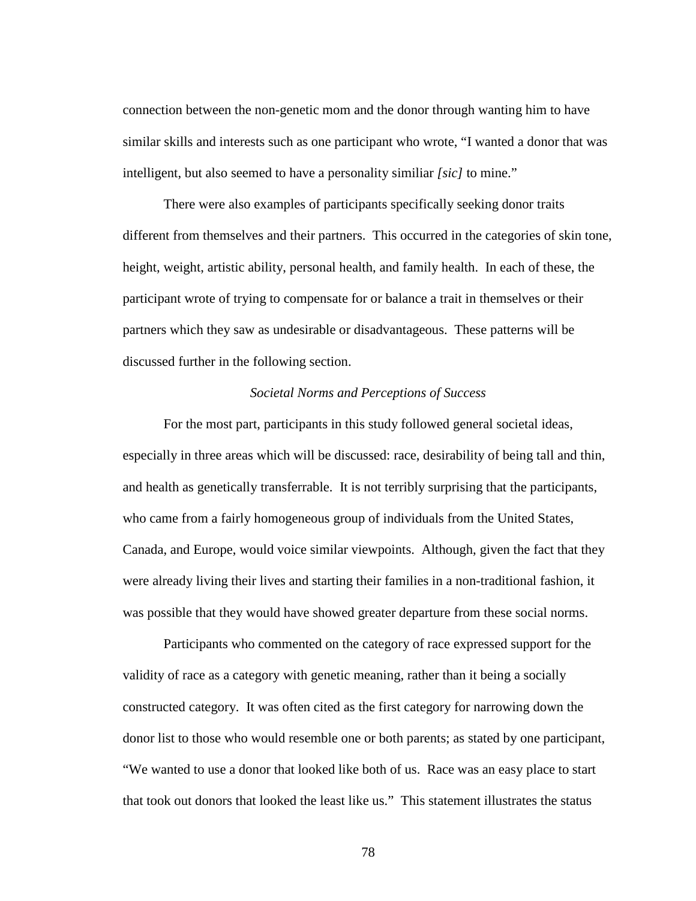connection between the non-genetic mom and the donor through wanting him to have similar skills and interests such as one participant who wrote, "I wanted a donor that was intelligent, but also seemed to have a personality similiar *[sic]* to mine."

There were also examples of participants specifically seeking donor traits different from themselves and their partners. This occurred in the categories of skin tone, height, weight, artistic ability, personal health, and family health. In each of these, the participant wrote of trying to compensate for or balance a trait in themselves or their partners which they saw as undesirable or disadvantageous. These patterns will be discussed further in the following section.

#### *Societal Norms and Perceptions of Success*

For the most part, participants in this study followed general societal ideas, especially in three areas which will be discussed: race, desirability of being tall and thin, and health as genetically transferrable. It is not terribly surprising that the participants, who came from a fairly homogeneous group of individuals from the United States, Canada, and Europe, would voice similar viewpoints. Although, given the fact that they were already living their lives and starting their families in a non-traditional fashion, it was possible that they would have showed greater departure from these social norms.

Participants who commented on the category of race expressed support for the validity of race as a category with genetic meaning, rather than it being a socially constructed category. It was often cited as the first category for narrowing down the donor list to those who would resemble one or both parents; as stated by one participant, "We wanted to use a donor that looked like both of us. Race was an easy place to start that took out donors that looked the least like us." This statement illustrates the status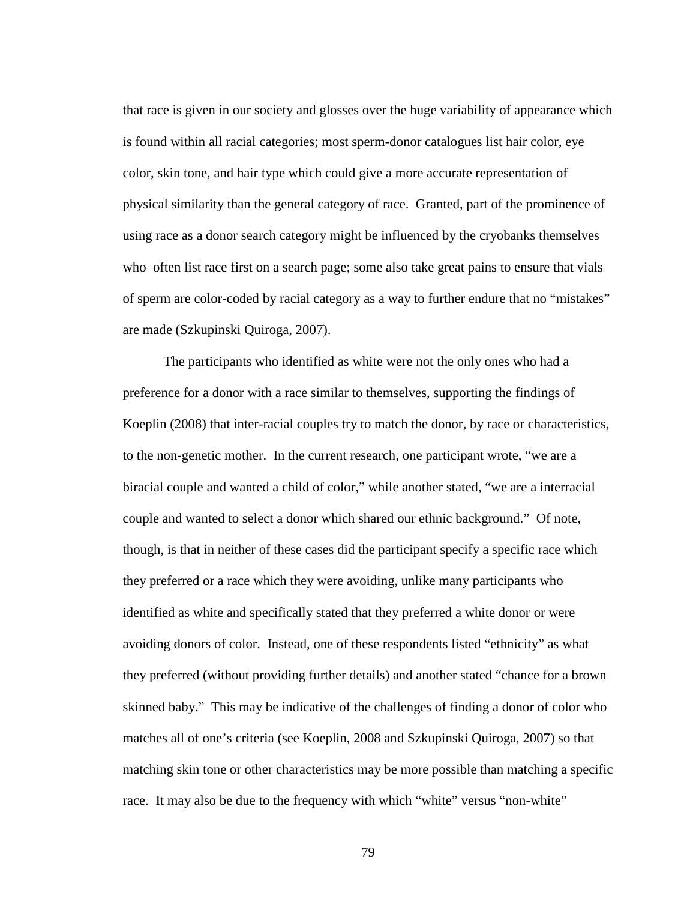that race is given in our society and glosses over the huge variability of appearance which is found within all racial categories; most sperm-donor catalogues list hair color, eye color, skin tone, and hair type which could give a more accurate representation of physical similarity than the general category of race. Granted, part of the prominence of using race as a donor search category might be influenced by the cryobanks themselves who often list race first on a search page; some also take great pains to ensure that vials of sperm are color-coded by racial category as a way to further endure that no "mistakes" are made (Szkupinski Quiroga, 2007).

The participants who identified as white were not the only ones who had a preference for a donor with a race similar to themselves, supporting the findings of Koeplin (2008) that inter-racial couples try to match the donor, by race or characteristics, to the non-genetic mother. In the current research, one participant wrote, "we are a biracial couple and wanted a child of color," while another stated, "we are a interracial couple and wanted to select a donor which shared our ethnic background." Of note, though, is that in neither of these cases did the participant specify a specific race which they preferred or a race which they were avoiding, unlike many participants who identified as white and specifically stated that they preferred a white donor or were avoiding donors of color. Instead, one of these respondents listed "ethnicity" as what they preferred (without providing further details) and another stated "chance for a brown skinned baby." This may be indicative of the challenges of finding a donor of color who matches all of one's criteria (see Koeplin, 2008 and Szkupinski Quiroga, 2007) so that matching skin tone or other characteristics may be more possible than matching a specific race. It may also be due to the frequency with which "white" versus "non-white"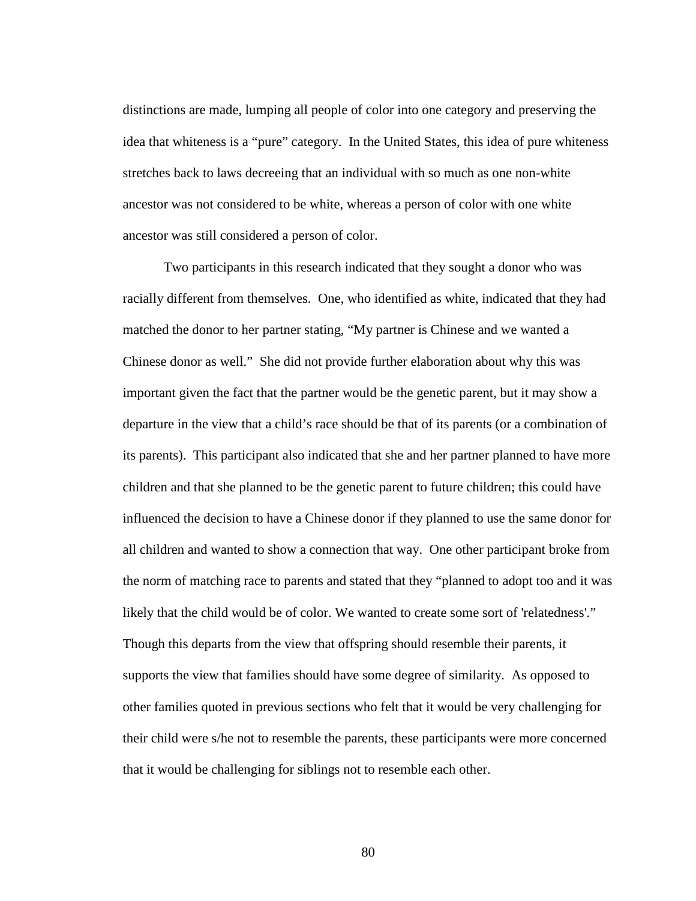distinctions are made, lumping all people of color into one category and preserving the idea that whiteness is a "pure" category. In the United States, this idea of pure whiteness stretches back to laws decreeing that an individual with so much as one non-white ancestor was not considered to be white, whereas a person of color with one white ancestor was still considered a person of color.

Two participants in this research indicated that they sought a donor who was racially different from themselves. One, who identified as white, indicated that they had matched the donor to her partner stating, "My partner is Chinese and we wanted a Chinese donor as well." She did not provide further elaboration about why this was important given the fact that the partner would be the genetic parent, but it may show a departure in the view that a child's race should be that of its parents (or a combination of its parents). This participant also indicated that she and her partner planned to have more children and that she planned to be the genetic parent to future children; this could have influenced the decision to have a Chinese donor if they planned to use the same donor for all children and wanted to show a connection that way. One other participant broke from the norm of matching race to parents and stated that they "planned to adopt too and it was likely that the child would be of color. We wanted to create some sort of 'relatedness'." Though this departs from the view that offspring should resemble their parents, it supports the view that families should have some degree of similarity. As opposed to other families quoted in previous sections who felt that it would be very challenging for their child were s/he not to resemble the parents, these participants were more concerned that it would be challenging for siblings not to resemble each other.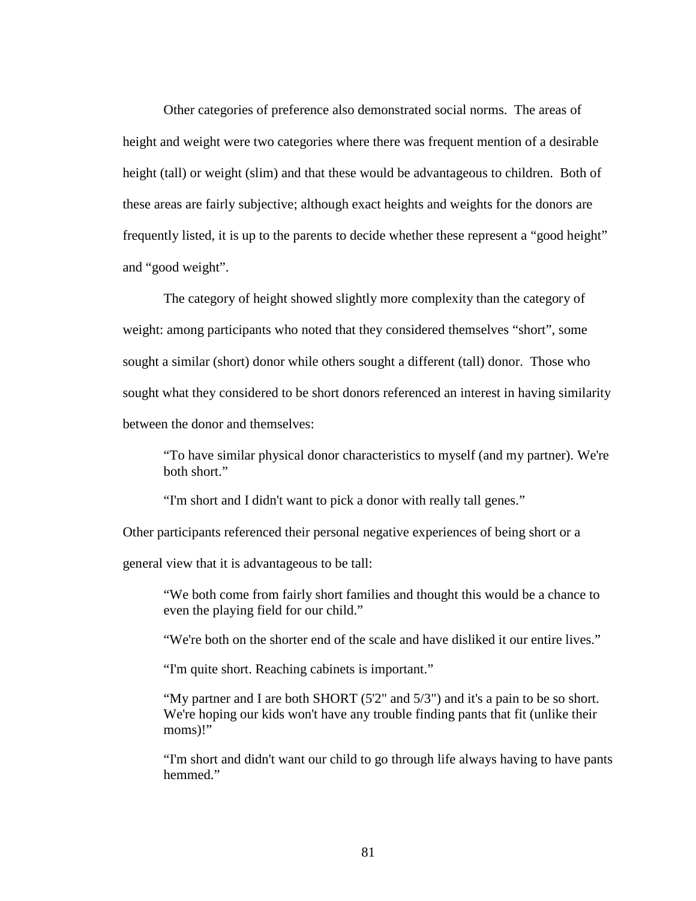Other categories of preference also demonstrated social norms. The areas of height and weight were two categories where there was frequent mention of a desirable height (tall) or weight (slim) and that these would be advantageous to children. Both of these areas are fairly subjective; although exact heights and weights for the donors are frequently listed, it is up to the parents to decide whether these represent a "good height" and "good weight".

The category of height showed slightly more complexity than the category of weight: among participants who noted that they considered themselves "short", some sought a similar (short) donor while others sought a different (tall) donor. Those who sought what they considered to be short donors referenced an interest in having similarity between the donor and themselves:

"To have similar physical donor characteristics to myself (and my partner). We're both short."

"I'm short and I didn't want to pick a donor with really tall genes."

Other participants referenced their personal negative experiences of being short or a

general view that it is advantageous to be tall:

"We both come from fairly short families and thought this would be a chance to even the playing field for our child."

"We're both on the shorter end of the scale and have disliked it our entire lives."

"I'm quite short. Reaching cabinets is important."

"My partner and I are both SHORT (5'2" and 5/3") and it's a pain to be so short. We're hoping our kids won't have any trouble finding pants that fit (unlike their moms)!"

"I'm short and didn't want our child to go through life always having to have pants hemmed."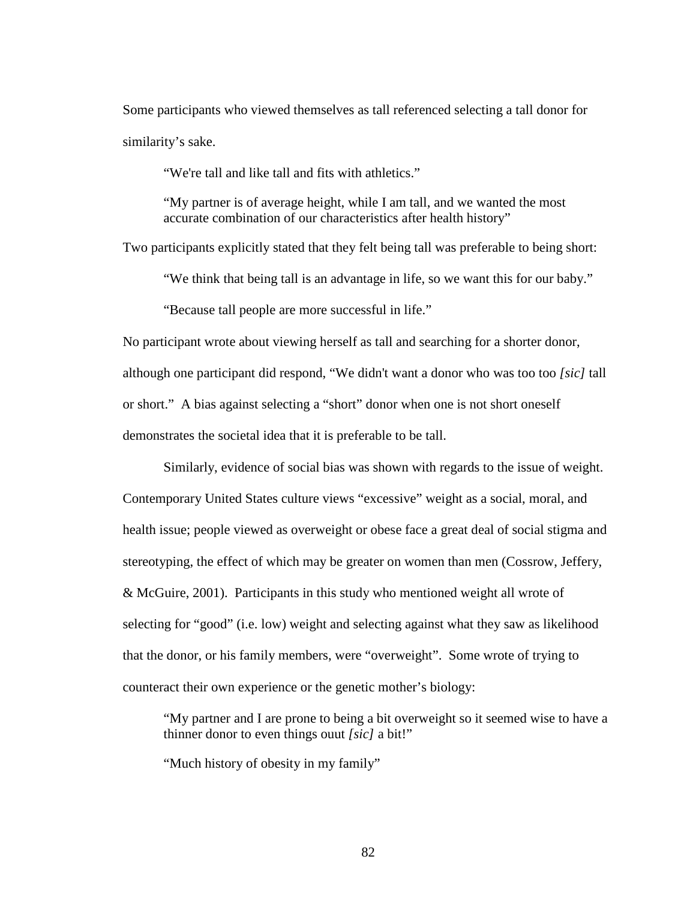Some participants who viewed themselves as tall referenced selecting a tall donor for similarity's sake.

"We're tall and like tall and fits with athletics."

"My partner is of average height, while I am tall, and we wanted the most accurate combination of our characteristics after health history"

Two participants explicitly stated that they felt being tall was preferable to being short:

"We think that being tall is an advantage in life, so we want this for our baby."

"Because tall people are more successful in life."

No participant wrote about viewing herself as tall and searching for a shorter donor, although one participant did respond, "We didn't want a donor who was too too *[sic]* tall or short." A bias against selecting a "short" donor when one is not short oneself demonstrates the societal idea that it is preferable to be tall.

Similarly, evidence of social bias was shown with regards to the issue of weight. Contemporary United States culture views "excessive" weight as a social, moral, and health issue; people viewed as overweight or obese face a great deal of social stigma and stereotyping, the effect of which may be greater on women than men (Cossrow, Jeffery, & McGuire, 2001). Participants in this study who mentioned weight all wrote of selecting for "good" (i.e. low) weight and selecting against what they saw as likelihood that the donor, or his family members, were "overweight". Some wrote of trying to counteract their own experience or the genetic mother's biology:

"My partner and I are prone to being a bit overweight so it seemed wise to have a thinner donor to even things ouut *[sic]* a bit!"

"Much history of obesity in my family"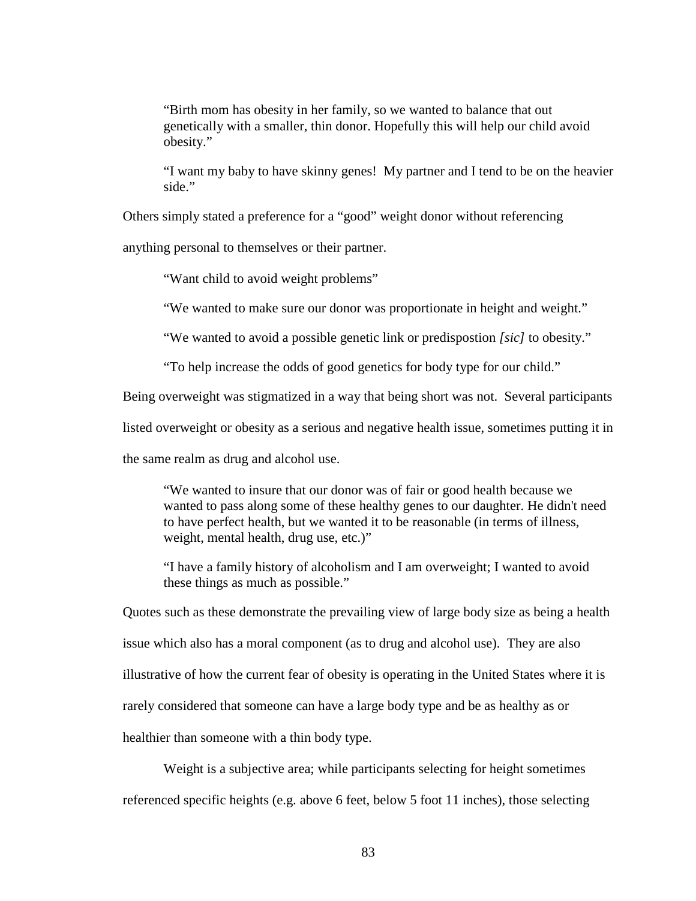"Birth mom has obesity in her family, so we wanted to balance that out genetically with a smaller, thin donor. Hopefully this will help our child avoid obesity."

"I want my baby to have skinny genes! My partner and I tend to be on the heavier side."

Others simply stated a preference for a "good" weight donor without referencing

anything personal to themselves or their partner.

"Want child to avoid weight problems"

"We wanted to make sure our donor was proportionate in height and weight."

"We wanted to avoid a possible genetic link or predispostion *[sic]* to obesity."

"To help increase the odds of good genetics for body type for our child."

Being overweight was stigmatized in a way that being short was not. Several participants

listed overweight or obesity as a serious and negative health issue, sometimes putting it in

the same realm as drug and alcohol use.

"We wanted to insure that our donor was of fair or good health because we wanted to pass along some of these healthy genes to our daughter. He didn't need to have perfect health, but we wanted it to be reasonable (in terms of illness, weight, mental health, drug use, etc.)"

"I have a family history of alcoholism and I am overweight; I wanted to avoid these things as much as possible."

Quotes such as these demonstrate the prevailing view of large body size as being a health issue which also has a moral component (as to drug and alcohol use). They are also illustrative of how the current fear of obesity is operating in the United States where it is rarely considered that someone can have a large body type and be as healthy as or healthier than someone with a thin body type.

Weight is a subjective area; while participants selecting for height sometimes referenced specific heights (e.g. above 6 feet, below 5 foot 11 inches), those selecting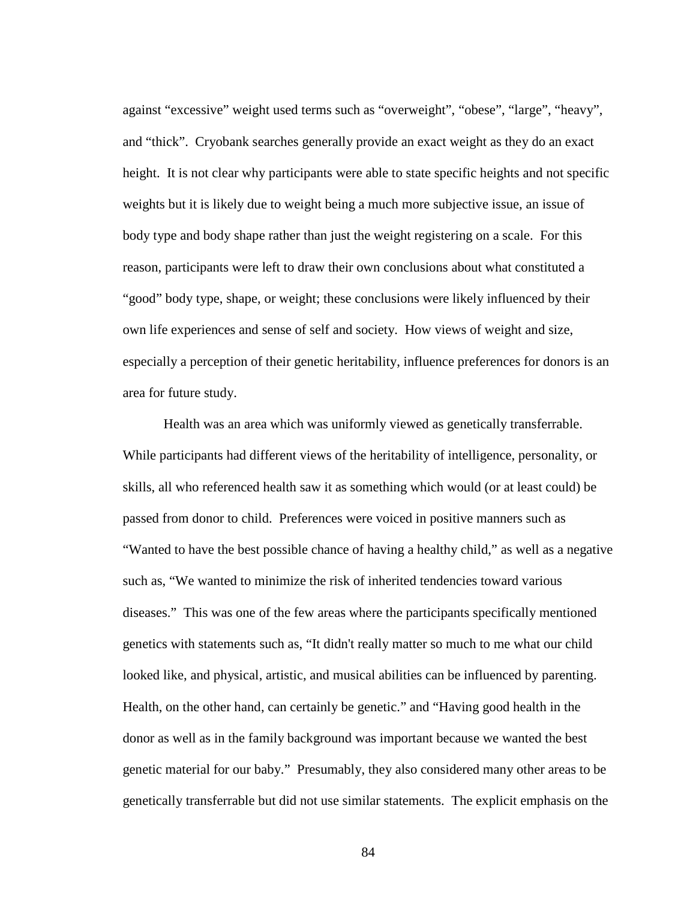against "excessive" weight used terms such as "overweight", "obese", "large", "heavy", and "thick". Cryobank searches generally provide an exact weight as they do an exact height. It is not clear why participants were able to state specific heights and not specific weights but it is likely due to weight being a much more subjective issue, an issue of body type and body shape rather than just the weight registering on a scale. For this reason, participants were left to draw their own conclusions about what constituted a "good" body type, shape, or weight; these conclusions were likely influenced by their own life experiences and sense of self and society. How views of weight and size, especially a perception of their genetic heritability, influence preferences for donors is an area for future study.

Health was an area which was uniformly viewed as genetically transferrable. While participants had different views of the heritability of intelligence, personality, or skills, all who referenced health saw it as something which would (or at least could) be passed from donor to child. Preferences were voiced in positive manners such as "Wanted to have the best possible chance of having a healthy child," as well as a negative such as, "We wanted to minimize the risk of inherited tendencies toward various diseases." This was one of the few areas where the participants specifically mentioned genetics with statements such as, "It didn't really matter so much to me what our child looked like, and physical, artistic, and musical abilities can be influenced by parenting. Health, on the other hand, can certainly be genetic." and "Having good health in the donor as well as in the family background was important because we wanted the best genetic material for our baby." Presumably, they also considered many other areas to be genetically transferrable but did not use similar statements. The explicit emphasis on the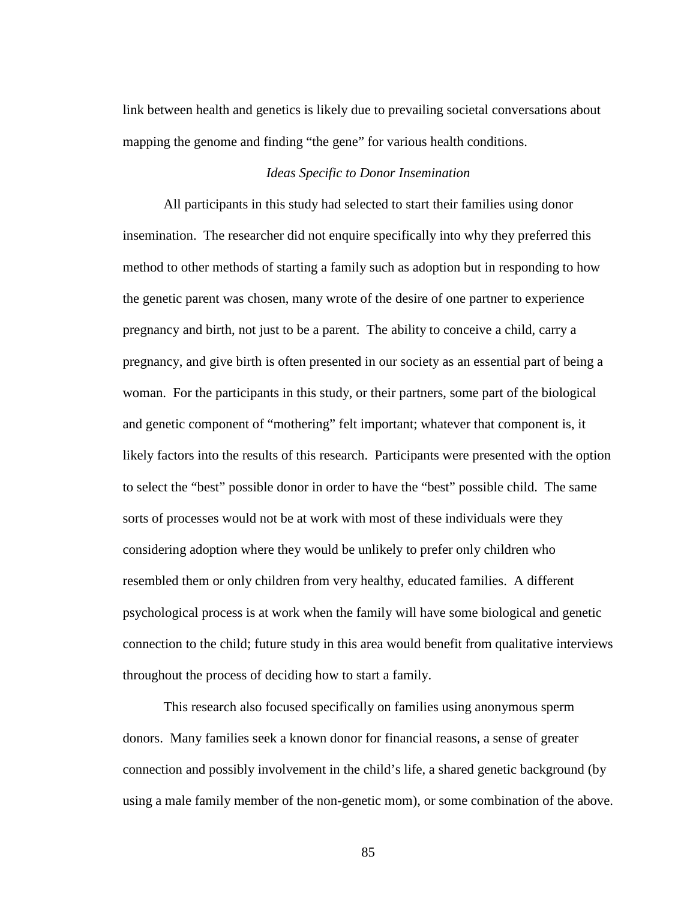link between health and genetics is likely due to prevailing societal conversations about mapping the genome and finding "the gene" for various health conditions.

#### *Ideas Specific to Donor Insemination*

All participants in this study had selected to start their families using donor insemination. The researcher did not enquire specifically into why they preferred this method to other methods of starting a family such as adoption but in responding to how the genetic parent was chosen, many wrote of the desire of one partner to experience pregnancy and birth, not just to be a parent. The ability to conceive a child, carry a pregnancy, and give birth is often presented in our society as an essential part of being a woman. For the participants in this study, or their partners, some part of the biological and genetic component of "mothering" felt important; whatever that component is, it likely factors into the results of this research. Participants were presented with the option to select the "best" possible donor in order to have the "best" possible child. The same sorts of processes would not be at work with most of these individuals were they considering adoption where they would be unlikely to prefer only children who resembled them or only children from very healthy, educated families. A different psychological process is at work when the family will have some biological and genetic connection to the child; future study in this area would benefit from qualitative interviews throughout the process of deciding how to start a family.

This research also focused specifically on families using anonymous sperm donors. Many families seek a known donor for financial reasons, a sense of greater connection and possibly involvement in the child's life, a shared genetic background (by using a male family member of the non-genetic mom), or some combination of the above.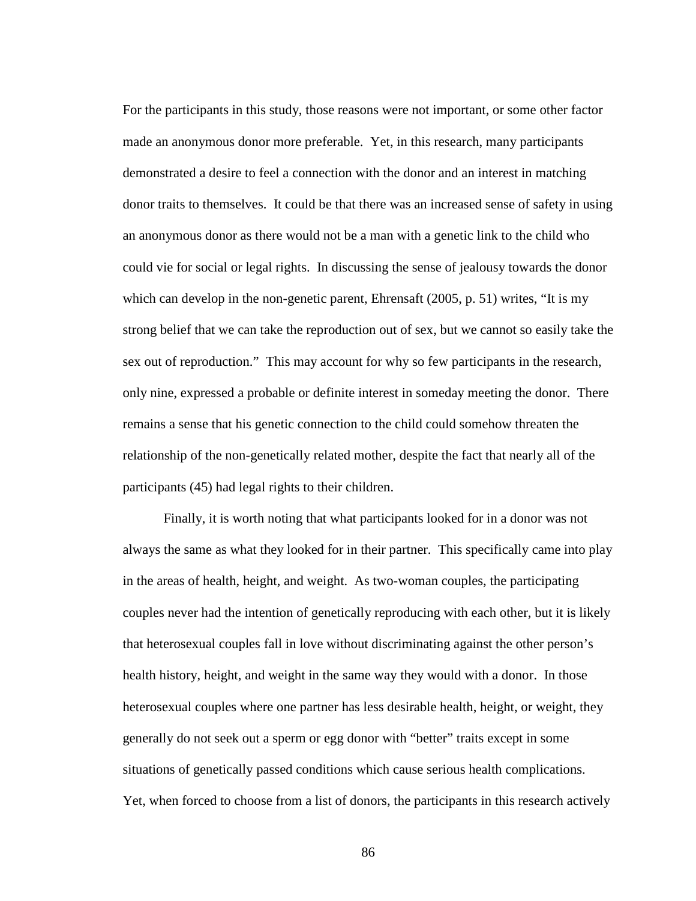For the participants in this study, those reasons were not important, or some other factor made an anonymous donor more preferable. Yet, in this research, many participants demonstrated a desire to feel a connection with the donor and an interest in matching donor traits to themselves. It could be that there was an increased sense of safety in using an anonymous donor as there would not be a man with a genetic link to the child who could vie for social or legal rights. In discussing the sense of jealousy towards the donor which can develop in the non-genetic parent, Ehrensaft (2005, p. 51) writes, "It is my strong belief that we can take the reproduction out of sex, but we cannot so easily take the sex out of reproduction." This may account for why so few participants in the research, only nine, expressed a probable or definite interest in someday meeting the donor. There remains a sense that his genetic connection to the child could somehow threaten the relationship of the non-genetically related mother, despite the fact that nearly all of the participants (45) had legal rights to their children.

Finally, it is worth noting that what participants looked for in a donor was not always the same as what they looked for in their partner. This specifically came into play in the areas of health, height, and weight. As two-woman couples, the participating couples never had the intention of genetically reproducing with each other, but it is likely that heterosexual couples fall in love without discriminating against the other person's health history, height, and weight in the same way they would with a donor. In those heterosexual couples where one partner has less desirable health, height, or weight, they generally do not seek out a sperm or egg donor with "better" traits except in some situations of genetically passed conditions which cause serious health complications. Yet, when forced to choose from a list of donors, the participants in this research actively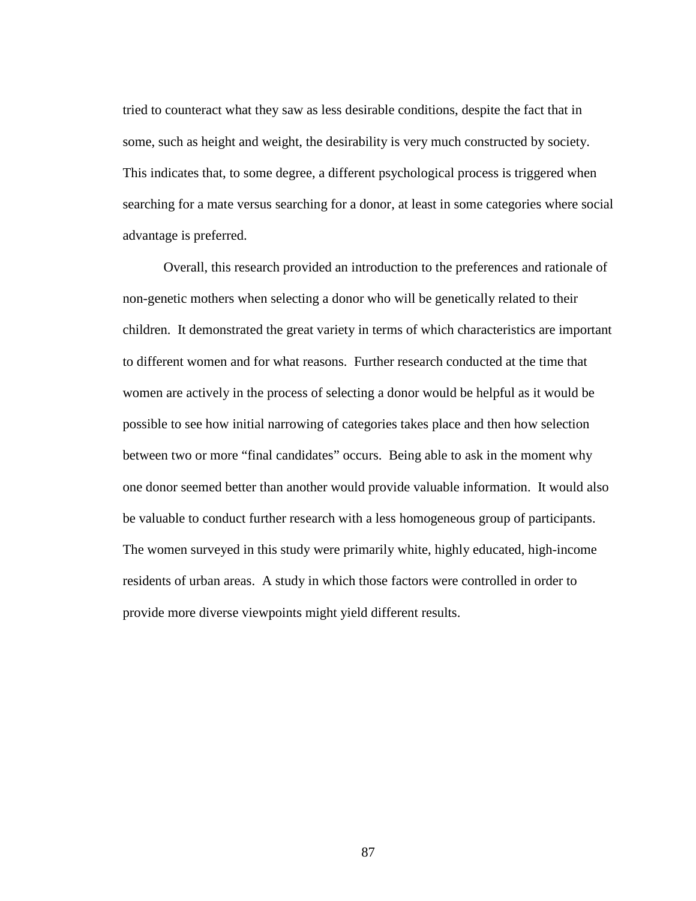tried to counteract what they saw as less desirable conditions, despite the fact that in some, such as height and weight, the desirability is very much constructed by society. This indicates that, to some degree, a different psychological process is triggered when searching for a mate versus searching for a donor, at least in some categories where social advantage is preferred.

Overall, this research provided an introduction to the preferences and rationale of non-genetic mothers when selecting a donor who will be genetically related to their children. It demonstrated the great variety in terms of which characteristics are important to different women and for what reasons. Further research conducted at the time that women are actively in the process of selecting a donor would be helpful as it would be possible to see how initial narrowing of categories takes place and then how selection between two or more "final candidates" occurs. Being able to ask in the moment why one donor seemed better than another would provide valuable information. It would also be valuable to conduct further research with a less homogeneous group of participants. The women surveyed in this study were primarily white, highly educated, high-income residents of urban areas. A study in which those factors were controlled in order to provide more diverse viewpoints might yield different results.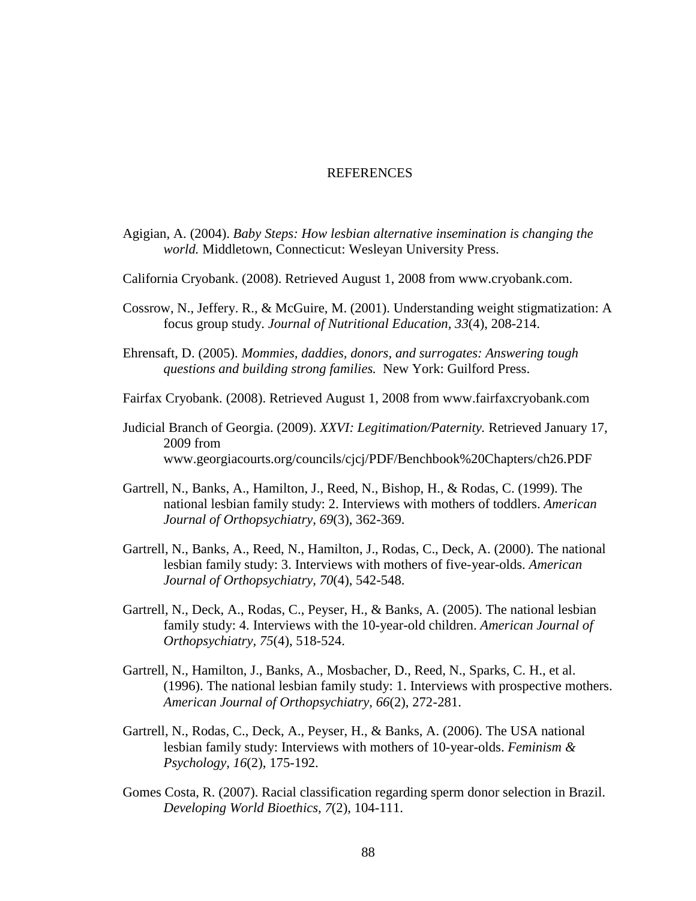#### REFERENCES

- Agigian, A. (2004). *Baby Steps: How lesbian alternative insemination is changing the world.* Middletown, Connecticut: Wesleyan University Press.
- California Cryobank. (2008). Retrieved August 1, 2008 from www.cryobank.com.
- Cossrow, N., Jeffery. R., & McGuire, M. (2001). Understanding weight stigmatization: A focus group study. *Journal of Nutritional Education, 33*(4), 208-214.
- Ehrensaft, D. (2005). *Mommies, daddies, donors, and surrogates: Answering tough questions and building strong families.* New York: Guilford Press.
- Fairfax Cryobank. (2008). Retrieved August 1, 2008 from www.fairfaxcryobank.com
- Judicial Branch of Georgia. (2009). *XXVI: Legitimation/Paternity.* Retrieved January 17, 2009 from www.georgiacourts.org/councils/cjcj/PDF/Benchbook%20Chapters/ch26.PDF
- Gartrell, N., Banks, A., Hamilton, J., Reed, N., Bishop, H., & Rodas, C. (1999). The national lesbian family study: 2. Interviews with mothers of toddlers. *American Journal of Orthopsychiatry, 69*(3), 362-369.
- Gartrell, N., Banks, A., Reed, N., Hamilton, J., Rodas, C., Deck, A. (2000). The national lesbian family study: 3. Interviews with mothers of five-year-olds. *American Journal of Orthopsychiatry, 70*(4), 542-548.
- Gartrell, N., Deck, A., Rodas, C., Peyser, H., & Banks, A. (2005). The national lesbian family study: 4. Interviews with the 10-year-old children. *American Journal of Orthopsychiatry, 75*(4), 518-524.
- Gartrell, N., Hamilton, J., Banks, A., Mosbacher, D., Reed, N., Sparks, C. H., et al. (1996). The national lesbian family study: 1. Interviews with prospective mothers. *American Journal of Orthopsychiatry, 66*(2), 272-281.
- Gartrell, N., Rodas, C., Deck, A., Peyser, H., & Banks, A. (2006). The USA national lesbian family study: Interviews with mothers of 10-year-olds. *Feminism & Psychology, 16*(2), 175-192.
- Gomes Costa, R. (2007). Racial classification regarding sperm donor selection in Brazil. *Developing World Bioethics, 7*(2), 104-111.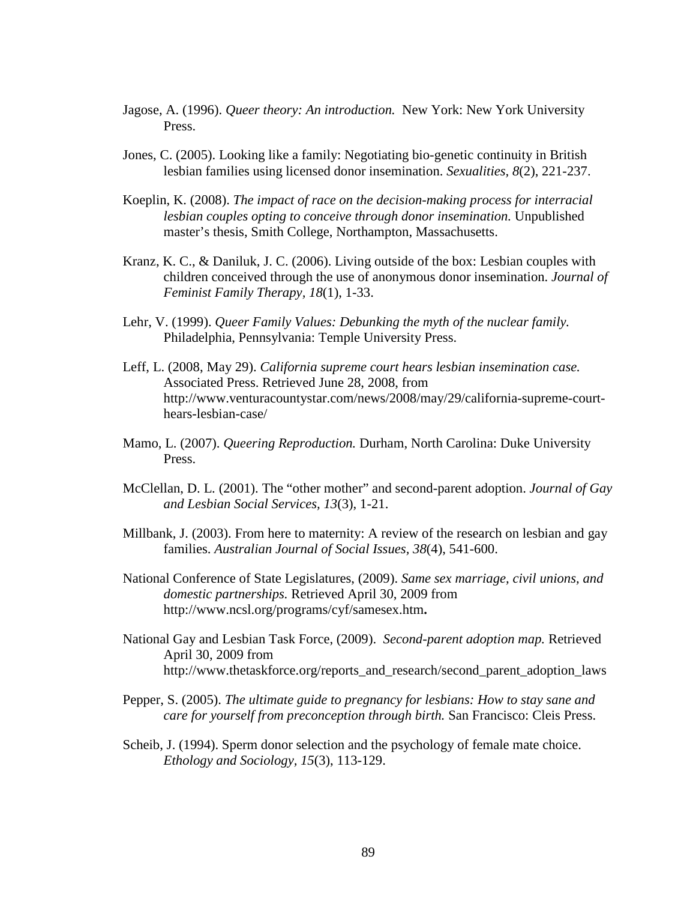- Jagose, A. (1996). *Queer theory: An introduction.* New York: New York University Press.
- Jones, C. (2005). Looking like a family: Negotiating bio-genetic continuity in British lesbian families using licensed donor insemination. *Sexualities, 8*(2), 221-237.
- Koeplin, K. (2008). *The impact of race on the decision-making process for interracial lesbian couples opting to conceive through donor insemination.* Unpublished master's thesis, Smith College, Northampton, Massachusetts.
- Kranz, K. C., & Daniluk, J. C. (2006). Living outside of the box: Lesbian couples with children conceived through the use of anonymous donor insemination. *Journal of Feminist Family Therapy, 18*(1), 1-33.
- Lehr, V. (1999). *Queer Family Values: Debunking the myth of the nuclear family.* Philadelphia, Pennsylvania: Temple University Press.
- Leff, L. (2008, May 29). *California supreme court hears lesbian insemination case.* Associated Press. Retrieved June 28, 2008, from http://www.venturacountystar.com/news/2008/may/29/california-supreme-courthears-lesbian-case/
- Mamo, L. (2007). *Queering Reproduction.* Durham, North Carolina: Duke University Press.
- McClellan, D. L. (2001). The "other mother" and second-parent adoption. *Journal of Gay and Lesbian Social Services, 13*(3), 1-21.
- Millbank, J. (2003). From here to maternity: A review of the research on lesbian and gay families. *Australian Journal of Social Issues, 38*(4), 541-600.
- National Conference of State Legislatures, (2009). *Same sex marriage, civil unions, and domestic partnerships.* Retrieved April 30, 2009 from http://www.ncsl.org/programs/cyf/samesex.htm**.**
- National Gay and Lesbian Task Force, (2009). *Second-parent adoption map.* Retrieved April 30, 2009 from http://www.thetaskforce.org/reports\_and\_research/second\_parent\_adoption\_laws
- Pepper, S. (2005). *The ultimate guide to pregnancy for lesbians: How to stay sane and care for yourself from preconception through birth.* San Francisco: Cleis Press.
- Scheib, J. (1994). Sperm donor selection and the psychology of female mate choice. *Ethology and Sociology, 15*(3), 113-129.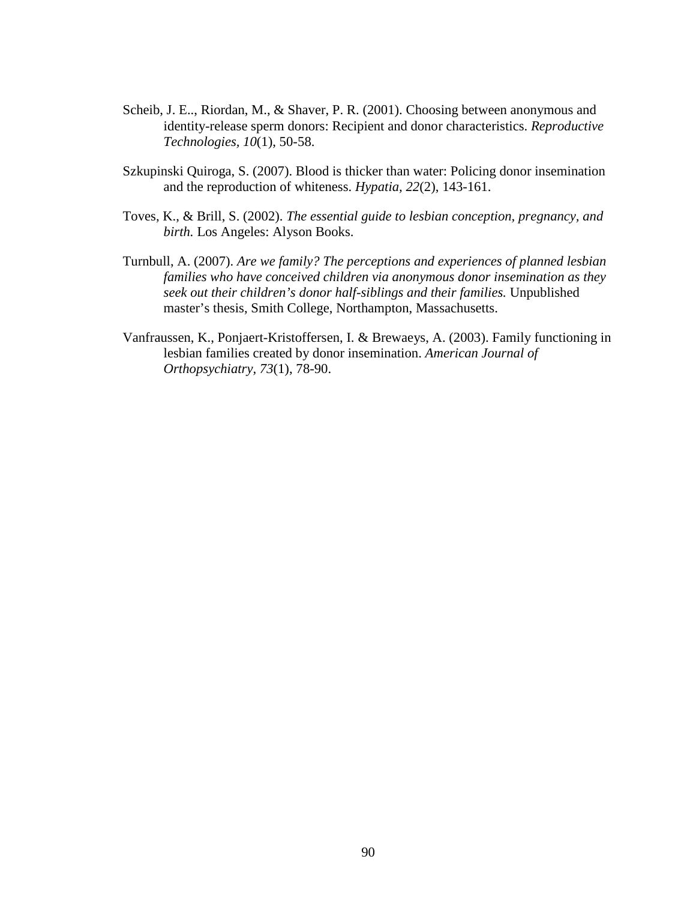- Scheib, J. E.., Riordan, M., & Shaver, P. R. (2001). Choosing between anonymous and identity-release sperm donors: Recipient and donor characteristics. *Reproductive Technologies, 10*(1), 50-58.
- Szkupinski Quiroga, S. (2007). Blood is thicker than water: Policing donor insemination and the reproduction of whiteness. *Hypatia, 22*(2), 143-161.
- Toves, K., & Brill, S. (2002). *The essential guide to lesbian conception, pregnancy, and birth.* Los Angeles: Alyson Books.
- Turnbull, A. (2007). *Are we family? The perceptions and experiences of planned lesbian families who have conceived children via anonymous donor insemination as they seek out their children's donor half-siblings and their families.* Unpublished master's thesis, Smith College, Northampton, Massachusetts.
- Vanfraussen, K., Ponjaert-Kristoffersen, I. & Brewaeys, A. (2003). Family functioning in lesbian families created by donor insemination. *American Journal of Orthopsychiatry, 73*(1), 78-90.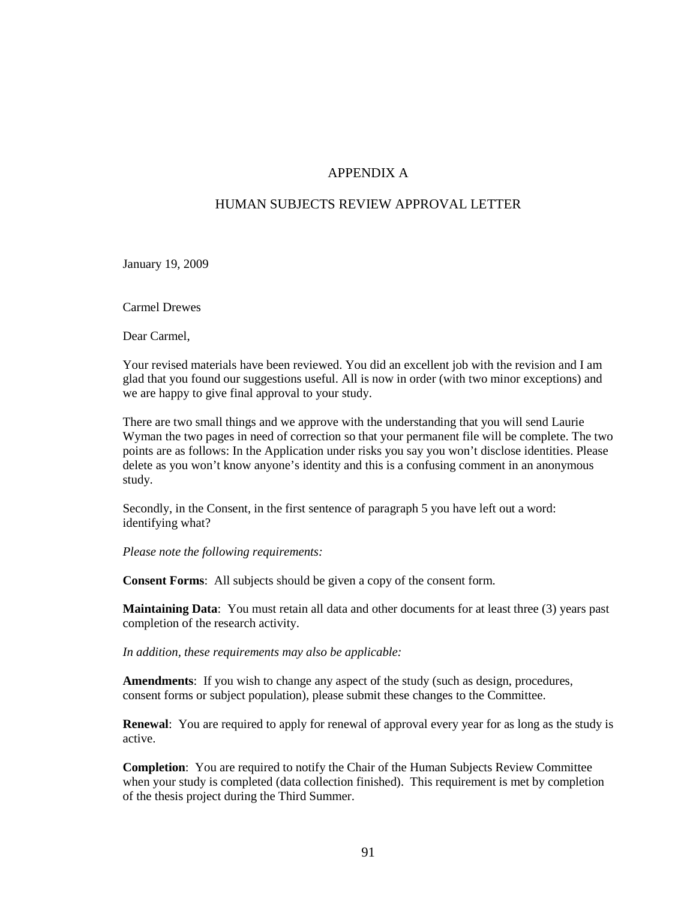#### APPENDIX A

#### HUMAN SUBJECTS REVIEW APPROVAL LETTER

January 19, 2009

Carmel Drewes

Dear Carmel,

Your revised materials have been reviewed. You did an excellent job with the revision and I am glad that you found our suggestions useful. All is now in order (with two minor exceptions) and we are happy to give final approval to your study.

There are two small things and we approve with the understanding that you will send Laurie Wyman the two pages in need of correction so that your permanent file will be complete. The two points are as follows: In the Application under risks you say you won't disclose identities. Please delete as you won't know anyone's identity and this is a confusing comment in an anonymous study.

Secondly, in the Consent, in the first sentence of paragraph 5 you have left out a word: identifying what?

*Please note the following requirements:*

**Consent Forms**: All subjects should be given a copy of the consent form.

**Maintaining Data**: You must retain all data and other documents for at least three (3) years past completion of the research activity.

*In addition, these requirements may also be applicable:*

**Amendments**: If you wish to change any aspect of the study (such as design, procedures, consent forms or subject population), please submit these changes to the Committee.

**Renewal**: You are required to apply for renewal of approval every year for as long as the study is active.

**Completion**: You are required to notify the Chair of the Human Subjects Review Committee when your study is completed (data collection finished). This requirement is met by completion of the thesis project during the Third Summer.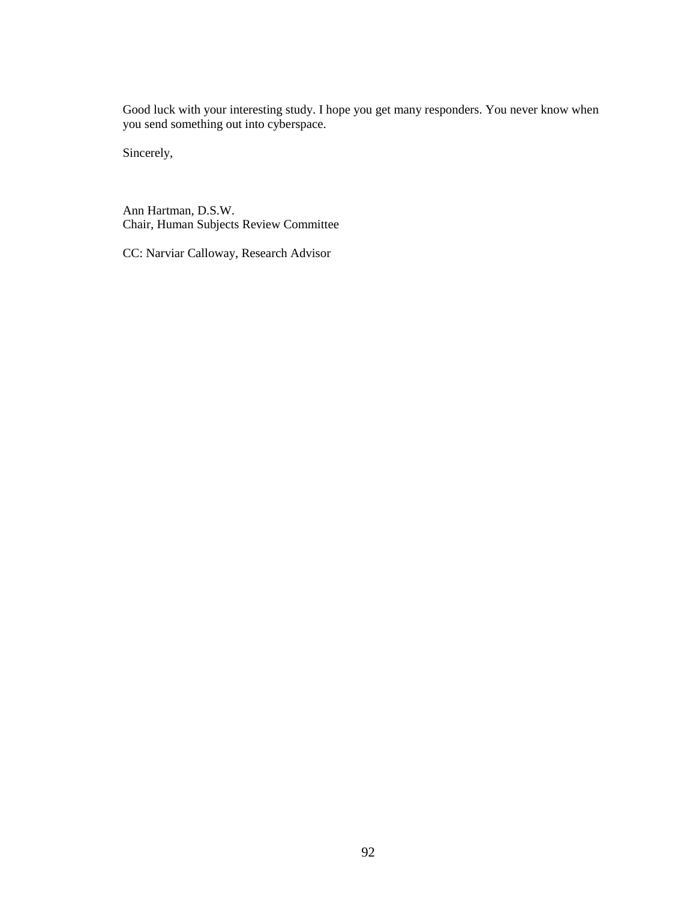Good luck with your interesting study. I hope you get many responders. You never know when you send something out into cyberspace.

Sincerely,

Ann Hartman, D.S.W. Chair, Human Subjects Review Committee

CC: Narviar Calloway, Research Advisor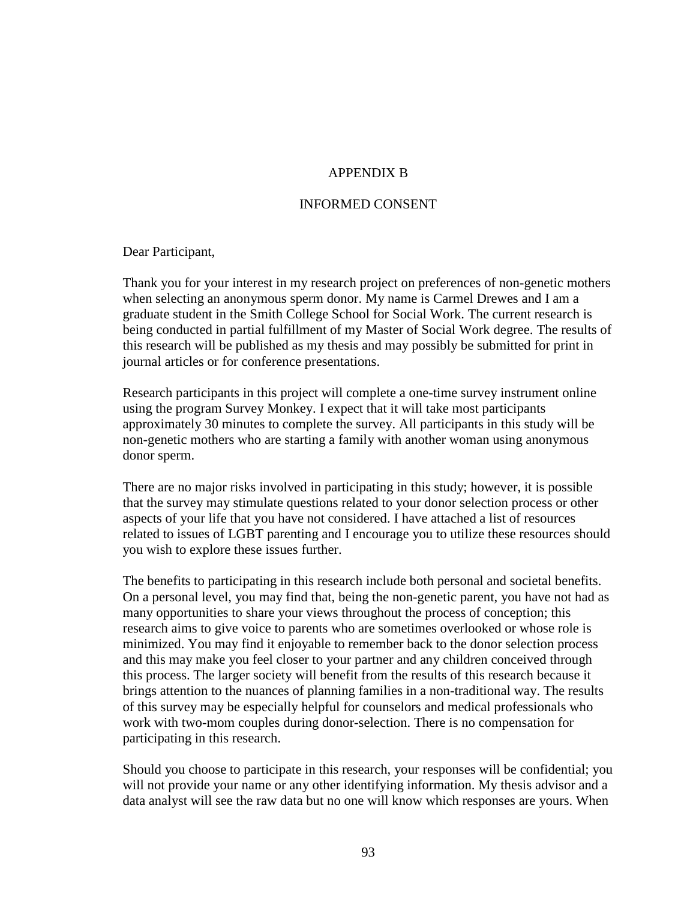## APPENDIX B

## INFORMED CONSENT

Dear Participant,

Thank you for your interest in my research project on preferences of non-genetic mothers when selecting an anonymous sperm donor. My name is Carmel Drewes and I am a graduate student in the Smith College School for Social Work. The current research is being conducted in partial fulfillment of my Master of Social Work degree. The results of this research will be published as my thesis and may possibly be submitted for print in journal articles or for conference presentations.

Research participants in this project will complete a one-time survey instrument online using the program Survey Monkey. I expect that it will take most participants approximately 30 minutes to complete the survey. All participants in this study will be non-genetic mothers who are starting a family with another woman using anonymous donor sperm.

There are no major risks involved in participating in this study; however, it is possible that the survey may stimulate questions related to your donor selection process or other aspects of your life that you have not considered. I have attached a list of resources related to issues of LGBT parenting and I encourage you to utilize these resources should you wish to explore these issues further.

The benefits to participating in this research include both personal and societal benefits. On a personal level, you may find that, being the non-genetic parent, you have not had as many opportunities to share your views throughout the process of conception; this research aims to give voice to parents who are sometimes overlooked or whose role is minimized. You may find it enjoyable to remember back to the donor selection process and this may make you feel closer to your partner and any children conceived through this process. The larger society will benefit from the results of this research because it brings attention to the nuances of planning families in a non-traditional way. The results of this survey may be especially helpful for counselors and medical professionals who work with two-mom couples during donor-selection. There is no compensation for participating in this research.

Should you choose to participate in this research, your responses will be confidential; you will not provide your name or any other identifying information. My thesis advisor and a data analyst will see the raw data but no one will know which responses are yours. When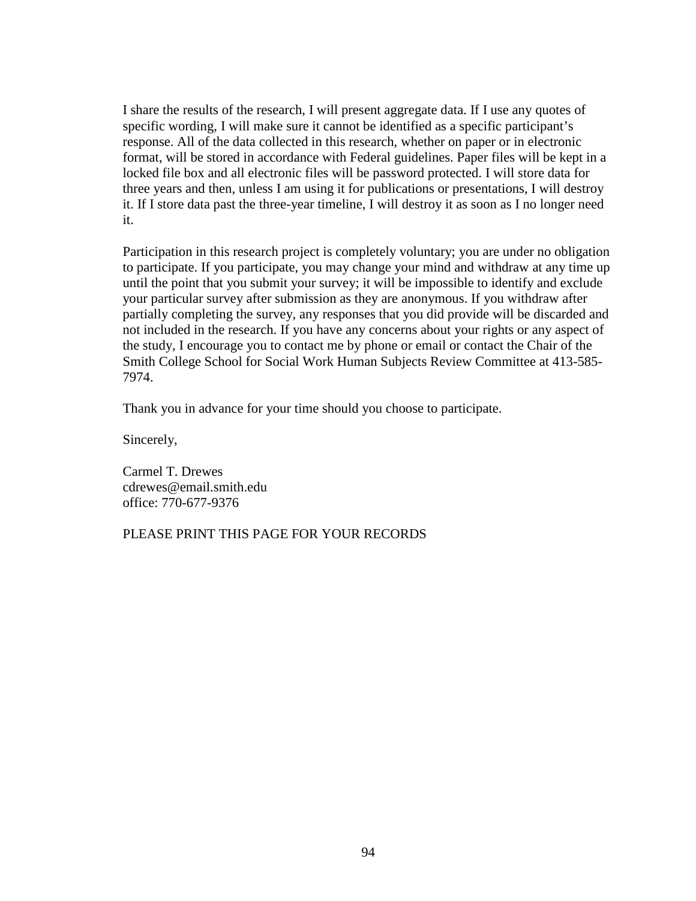I share the results of the research, I will present aggregate data. If I use any quotes of specific wording, I will make sure it cannot be identified as a specific participant's response. All of the data collected in this research, whether on paper or in electronic format, will be stored in accordance with Federal guidelines. Paper files will be kept in a locked file box and all electronic files will be password protected. I will store data for three years and then, unless I am using it for publications or presentations, I will destroy it. If I store data past the three-year timeline, I will destroy it as soon as I no longer need it.

Participation in this research project is completely voluntary; you are under no obligation to participate. If you participate, you may change your mind and withdraw at any time up until the point that you submit your survey; it will be impossible to identify and exclude your particular survey after submission as they are anonymous. If you withdraw after partially completing the survey, any responses that you did provide will be discarded and not included in the research. If you have any concerns about your rights or any aspect of the study, I encourage you to contact me by phone or email or contact the Chair of the Smith College School for Social Work Human Subjects Review Committee at 413-585- 7974.

Thank you in advance for your time should you choose to participate.

Sincerely,

Carmel T. Drewes cdrewes@email.smith.edu office: 770-677-9376

## PLEASE PRINT THIS PAGE FOR YOUR RECORDS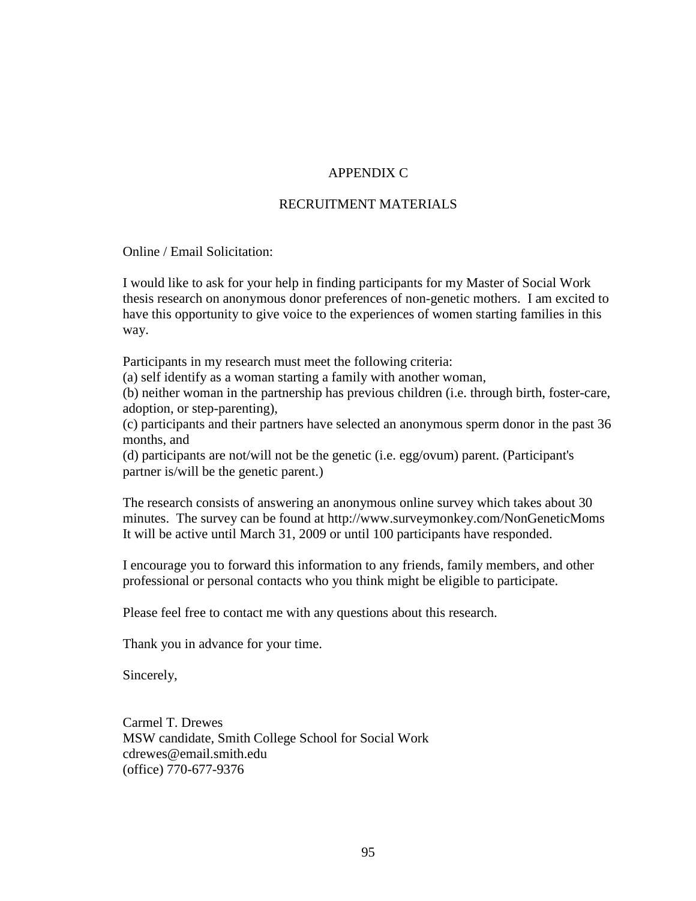# APPENDIX C

#### RECRUITMENT MATERIALS

Online / Email Solicitation:

I would like to ask for your help in finding participants for my Master of Social Work thesis research on anonymous donor preferences of non-genetic mothers. I am excited to have this opportunity to give voice to the experiences of women starting families in this way.

Participants in my research must meet the following criteria:

(a) self identify as a woman starting a family with another woman,

(b) neither woman in the partnership has previous children (i.e. through birth, foster-care, adoption, or step-parenting),

(c) participants and their partners have selected an anonymous sperm donor in the past 36 months, and

(d) participants are not/will not be the genetic (i.e. egg/ovum) parent. (Participant's partner is/will be the genetic parent.)

The research consists of answering an anonymous online survey which takes about 30 minutes. The survey can be found at http://www.surveymonkey.com/NonGeneticMoms It will be active until March 31, 2009 or until 100 participants have responded.

I encourage you to forward this information to any friends, family members, and other professional or personal contacts who you think might be eligible to participate.

Please feel free to contact me with any questions about this research.

Thank you in advance for your time.

Sincerely,

Carmel T. Drewes MSW candidate, Smith College School for Social Work cdrewes@email.smith.edu (office) 770-677-9376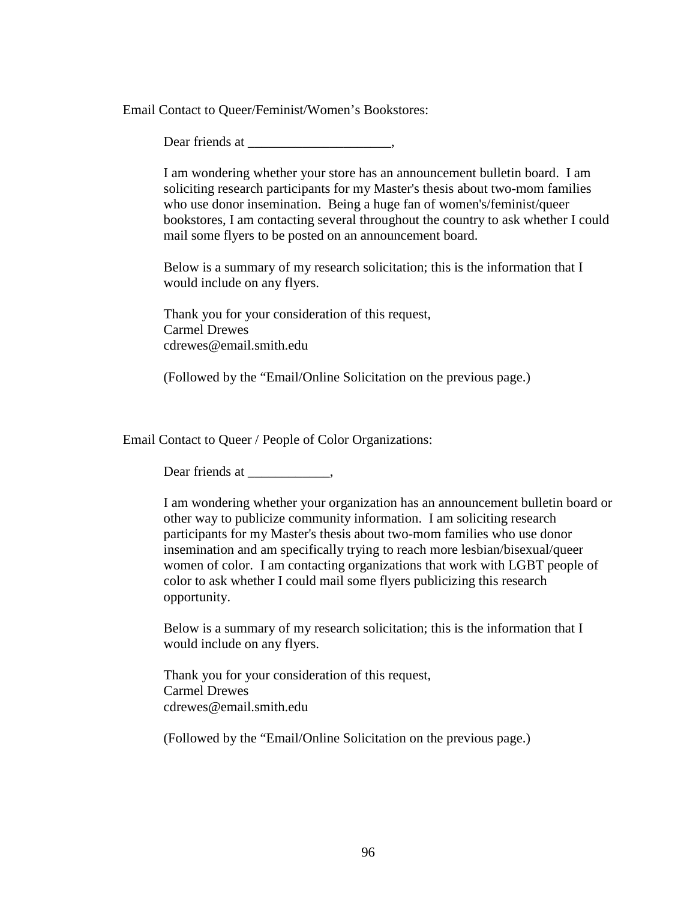Email Contact to Queer/Feminist/Women's Bookstores:

Dear friends at  $\qquad \qquad$ 

I am wondering whether your store has an announcement bulletin board. I am soliciting research participants for my Master's thesis about two-mom families who use donor insemination. Being a huge fan of women's/feminist/queer bookstores, I am contacting several throughout the country to ask whether I could mail some flyers to be posted on an announcement board.

Below is a summary of my research solicitation; this is the information that I would include on any flyers.

Thank you for your consideration of this request, Carmel Drewes cdrewes@email.smith.edu

(Followed by the "Email/Online Solicitation on the previous page.)

Email Contact to Queer / People of Color Organizations:

Dear friends at \_\_\_\_\_\_\_\_\_\_,

I am wondering whether your organization has an announcement bulletin board or other way to publicize community information. I am soliciting research participants for my Master's thesis about two-mom families who use donor insemination and am specifically trying to reach more lesbian/bisexual/queer women of color. I am contacting organizations that work with LGBT people of color to ask whether I could mail some flyers publicizing this research opportunity.

Below is a summary of my research solicitation; this is the information that I would include on any flyers.

Thank you for your consideration of this request, Carmel Drewes cdrewes@email.smith.edu

(Followed by the "Email/Online Solicitation on the previous page.)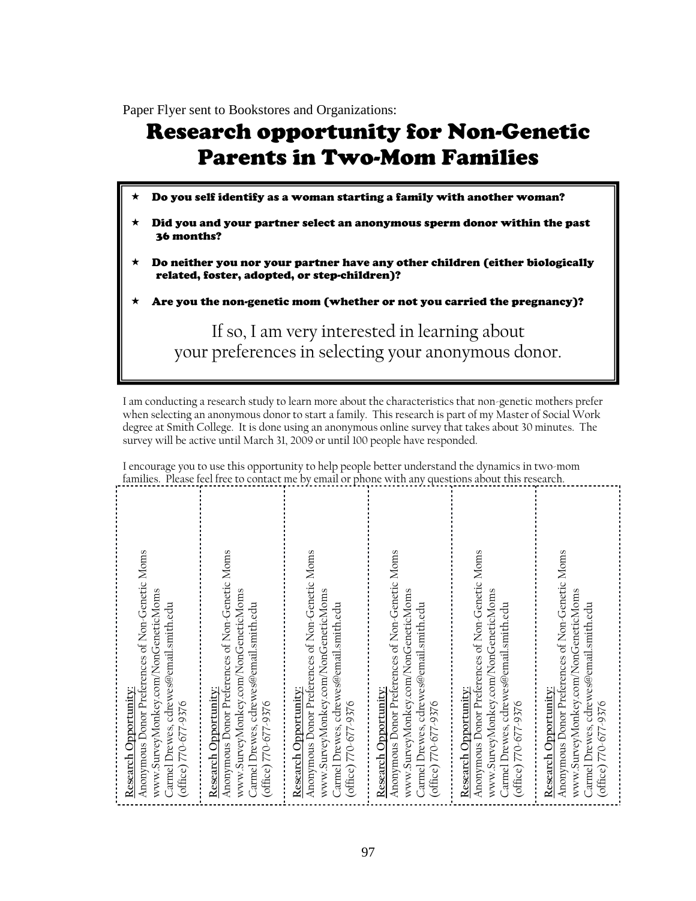Paper Flyer sent to Bookstores and Organizations:

# Research opportunity for Non-Genetic Parents in Two-Mom Families

- Do you self identify as a woman starting a family with another woman?
- Did you and your partner select an anonymous sperm donor within the past 36 months?
- Do neither you nor your partner have any other children (either biologically related, foster, adopted, or step-children)?
- Are you the non-genetic mom (whether or not you carried the pregnancy)?

If so, I am very interested in learning about your preferences in selecting your anonymous donor.

I am conducting a research study to learn more about the characteristics that non-genetic mothers prefer when selecting an anonymous donor to start a family. This research is part of my Master of Social Work degree at Smith College. It is done using an anonymous online survey that takes about 30 minutes. The survey will be active until March 31, 2009 or until 100 people have responded.

I encourage you to use this opportunity to help people better understand the dynamics in two-mom families. Please feel free to contact me by email or phone with any questions about this research.

| Anonymous Donor Preferences of Non-Genetic Moms<br>www.SurveyMonkey.com/NonGeneticMoms<br>Carmel Drewes, cdrewes@email.smith.edu<br>Research Opportunity:<br>office) 770-677-9376 |
|-----------------------------------------------------------------------------------------------------------------------------------------------------------------------------------|
| Anonymous Donor Preferences of Non-Genetic Moms<br>www.SurveyMonkey.com/NonGeneticMoms<br>Carmel Drewes, cdrewes@email.smith.edu<br>Research Opportunity:<br>office) 770-677-9376 |
| Anonymous Donor Preferences of Non-Genetic Moms<br>www.SurveyMonkey.com/NonGeneticMoms<br>Carmel Drewes, cdrewes@email.smith.edu<br>Research Opportunity:<br>office) 770-677-9376 |
| Anonymous Donor Preferences of Non-Genetic Moms<br>www.SurveyMonkey.com/NonGeneticMoms<br>Jarmel Drewes, cdrewes@email.smith.edu<br>Research Opportunity:<br>office) 770-677-9376 |
| Anonymous Donor Preferences of Non-Genetic Moms<br>www.SurveyMonkey.com/NonGeneticMoms<br>Carmel Drewes, cdrewes@email.smith.edu<br>Research Opportunity:<br>office) 770-677-9376 |
| Anonymous Donor Preferences of Non-Genetic Moms<br>www.SurveyMonkey.com/NonGeneticMoms<br>Carmel Drewes, cdrewes@email.smith.edu<br>Research Opportunity:<br>office) 770-677-9376 |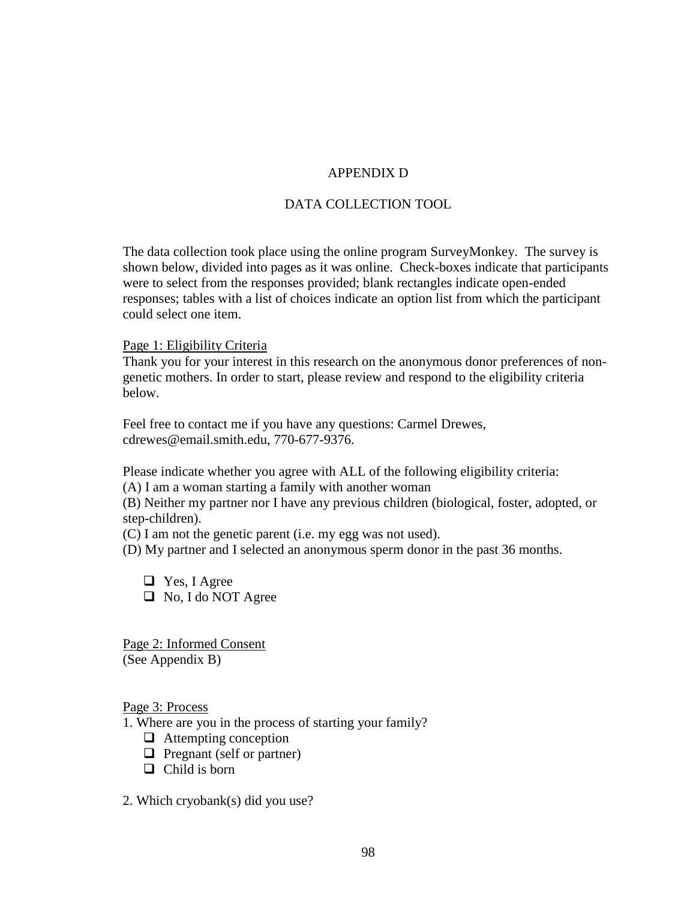# APPENDIX D

## DATA COLLECTION TOOL

The data collection took place using the online program SurveyMonkey. The survey is shown below, divided into pages as it was online. Check-boxes indicate that participants were to select from the responses provided; blank rectangles indicate open-ended responses; tables with a list of choices indicate an option list from which the participant could select one item.

Page 1: Eligibility Criteria

Thank you for your interest in this research on the anonymous donor preferences of nongenetic mothers. In order to start, please review and respond to the eligibility criteria below.

Feel free to contact me if you have any questions: Carmel Drewes, cdrewes@email.smith.edu, 770-677-9376.

Please indicate whether you agree with ALL of the following eligibility criteria:

(A) I am a woman starting a family with another woman

(B) Neither my partner nor I have any previous children (biological, foster, adopted, or step-children).

(C) I am not the genetic parent (i.e. my egg was not used).

(D) My partner and I selected an anonymous sperm donor in the past 36 months.

 $\Box$  Yes, I Agree  $\Box$  No, I do NOT Agree

Page 2: Informed Consent (See Appendix B)

Page 3: Process

1. Where are you in the process of starting your family?

- $\Box$  Attempting conception
- $\Box$  Pregnant (self or partner)
- $\Box$  Child is born
- 2. Which cryobank(s) did you use?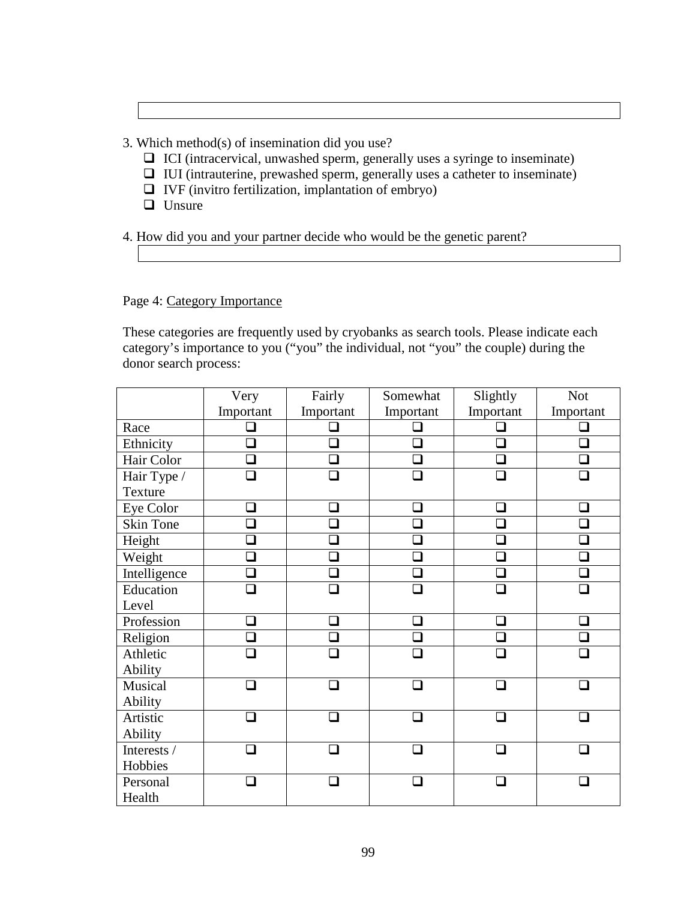3. Which method(s) of insemination did you use?

- $\Box$  ICI (intracervical, unwashed sperm, generally uses a syringe to inseminate)
- $\Box$  IUI (intrauterine, prewashed sperm, generally uses a catheter to inseminate)
- $\Box$  IVF (invitro fertilization, implantation of embryo)
- **U**nsure

4. How did you and your partner decide who would be the genetic parent?

Page 4: Category Importance

These categories are frequently used by cryobanks as search tools. Please indicate each category's importance to you ("you" the individual, not "you" the couple) during the donor search process:

|                  | Very                        | Fairly                      | Somewhat      | Slightly  |                          |
|------------------|-----------------------------|-----------------------------|---------------|-----------|--------------------------|
|                  | Important                   | Important                   | Important     | Important |                          |
| Race             | $\Box$                      | $\Box$                      |               | $\Box$    | $\overline{\phantom{a}}$ |
| Ethnicity        | ❏                           | $\Box$                      | П             | □         | $\Box$                   |
| Hair Color       | ❏                           | ❏                           | └             | □         | $\Box$                   |
| Hair Type /      | ❏                           | $\Box$                      | $\Box$        | $\Box$    | П                        |
| <b>Texture</b>   |                             |                             |               |           |                          |
| Eye Color        | $\mathcal{L}_{\mathcal{A}}$ | $\mathcal{L}_{\mathcal{A}}$ | $\Box$        | ◻         | $\Box$                   |
| <b>Skin Tone</b> | $\Box$                      | $\Box$                      | ❏             | $\Box$    | $\Box$                   |
| Height           | ⊒                           | ❏                           | $\Box$        | ❏         | ❏                        |
| Weight           | $\Box$                      | $\Box$                      | $\Box$        | $\Box$    | $\Box$                   |
| Intelligence     | $\Box$                      | $\Box$                      |               | П         | $\Box$                   |
| Education        | ר                           | □                           | □             | П         | $\mathbf{I}$             |
| Level            |                             |                             |               |           |                          |
| Profession       | ❏                           | $\Box$                      |               | $\Box$    |                          |
| Religion         | $\Box$                      | $\Box$                      | $\Box$        | $\Box$    | $\Box$                   |
| Athletic         | □                           | П                           | П             | П         | П                        |
| Ability          |                             |                             |               |           |                          |
| Musical          | □                           | П                           |               | П         |                          |
| Ability          |                             |                             |               |           |                          |
| Artistic         | ר                           | П                           | ⊓             | ∩         |                          |
| Ability          |                             |                             |               |           |                          |
| Interests /      | ∩                           | ⊓                           | ⊓             | ∩         | ⊓                        |
| Hobbies          |                             |                             |               |           |                          |
| Personal         | ┓                           | П                           | $\mathcal{L}$ | ⊓         |                          |
| Health           |                             |                             |               |           |                          |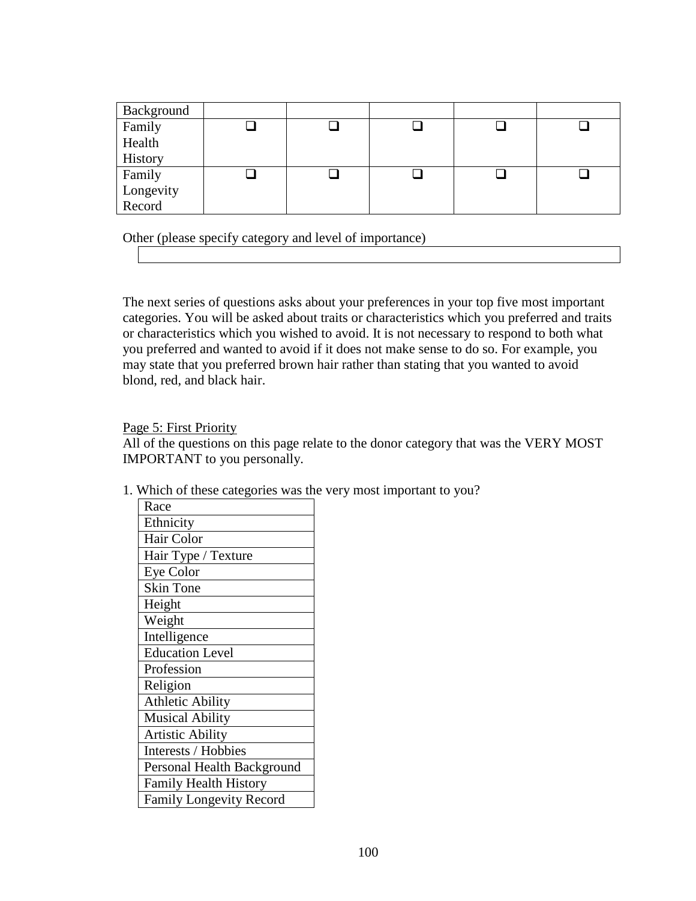| Background          |  |  |  |
|---------------------|--|--|--|
| Family              |  |  |  |
| Health              |  |  |  |
| History             |  |  |  |
| Family              |  |  |  |
| Longevity<br>Record |  |  |  |
|                     |  |  |  |

Other (please specify category and level of importance)

The next series of questions asks about your preferences in your top five most important categories. You will be asked about traits or characteristics which you preferred and traits or characteristics which you wished to avoid. It is not necessary to respond to both what you preferred and wanted to avoid if it does not make sense to do so. For example, you may state that you preferred brown hair rather than stating that you wanted to avoid blond, red, and black hair.

Page 5: First Priority

All of the questions on this page relate to the donor category that was the VERY MOST IMPORTANT to you personally.

1. Which of these categories was the very most important to you?

| Race                           |
|--------------------------------|
| Ethnicity                      |
| Hair Color                     |
| Hair Type / Texture            |
| <b>Eye Color</b>               |
| <b>Skin Tone</b>               |
| Height                         |
| Weight                         |
| Intelligence                   |
| <b>Education Level</b>         |
| Profession                     |
| Religion                       |
| <b>Athletic Ability</b>        |
| <b>Musical Ability</b>         |
| <b>Artistic Ability</b>        |
| Interests / Hobbies            |
| Personal Health Background     |
| <b>Family Health History</b>   |
| <b>Family Longevity Record</b> |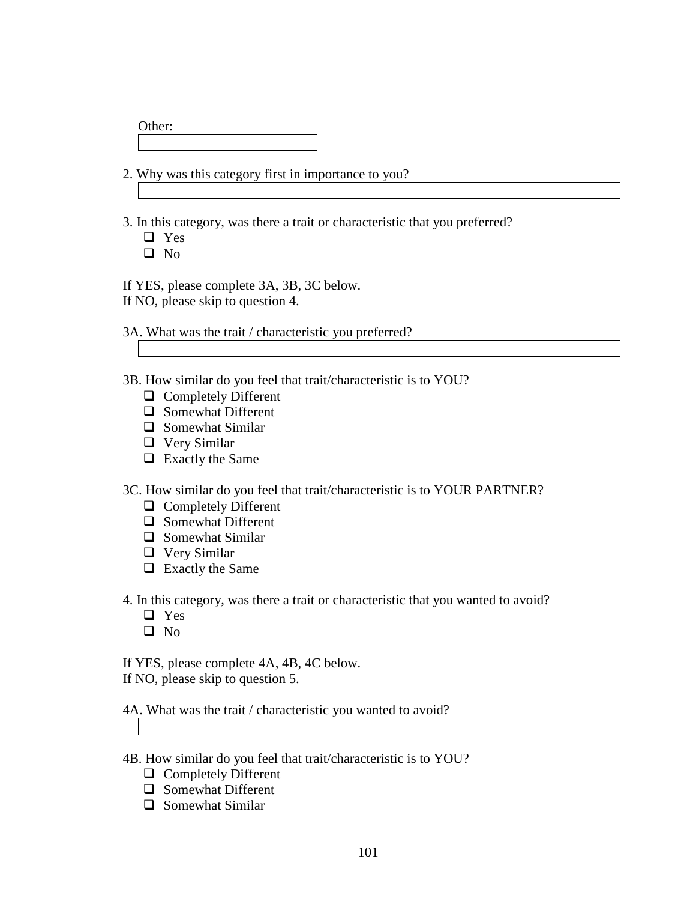| Other: |  |  |  |
|--------|--|--|--|
|        |  |  |  |

2. Why was this category first in importance to you?

3. In this category, was there a trait or characteristic that you preferred?

- □ Yes
- $\Box$  No

If YES, please complete 3A, 3B, 3C below.

If NO, please skip to question 4.

3A. What was the trait / characteristic you preferred?

- 3B. How similar do you feel that trait/characteristic is to YOU?
	- **Q** Completely Different
	- □ Somewhat Different
	- $\Box$  Somewhat Similar
	- Very Similar
	- $\Box$  Exactly the Same

3C. How similar do you feel that trait/characteristic is to YOUR PARTNER?

- **Q** Completely Different
- $\Box$  Somewhat Different
- $\Box$  Somewhat Similar
- Very Similar
- $\Box$  Exactly the Same

4. In this category, was there a trait or characteristic that you wanted to avoid?

- □ Yes
- $\Box$  No

If YES, please complete 4A, 4B, 4C below.

If NO, please skip to question 5.

4A. What was the trait / characteristic you wanted to avoid?

- 
- 4B. How similar do you feel that trait/characteristic is to YOU?
	- **Q** Completely Different
	- Somewhat Different
	- $\Box$  Somewhat Similar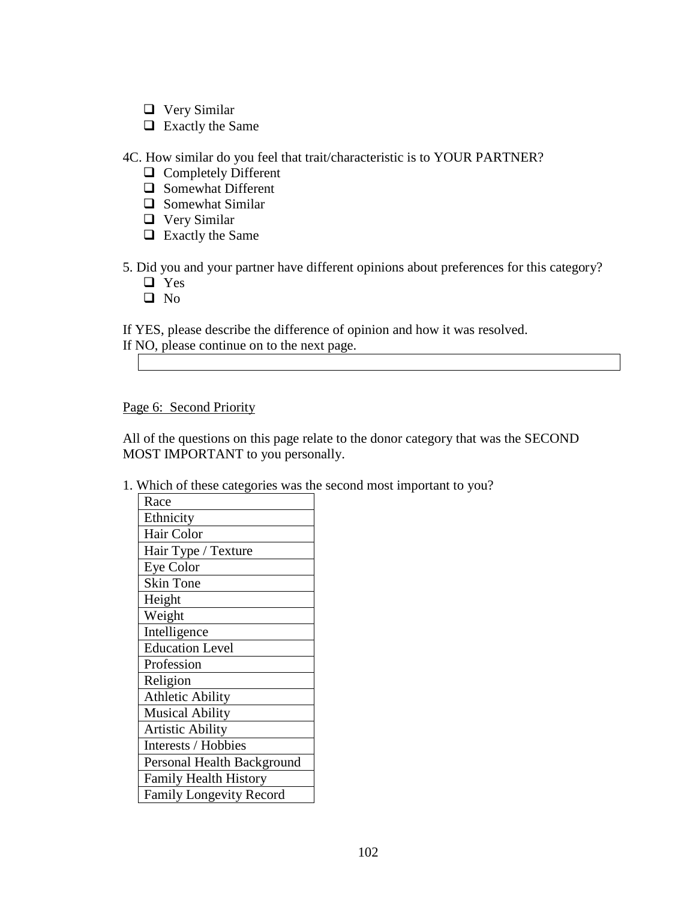- Very Similar
- $\Box$  Exactly the Same

4C. How similar do you feel that trait/characteristic is to YOUR PARTNER?

- **Q** Completely Different
- Somewhat Different
- $\Box$  Somewhat Similar
- □ Very Similar
- $\Box$  Exactly the Same

5. Did you and your partner have different opinions about preferences for this category?

- □ Yes
- $\Box$  No

If YES, please describe the difference of opinion and how it was resolved. If NO, please continue on to the next page.

## Page 6: Second Priority

All of the questions on this page relate to the donor category that was the SECOND MOST IMPORTANT to you personally.

1. Which of these categories was the second most important to you?

| Race                           |
|--------------------------------|
| Ethnicity                      |
| Hair Color                     |
| Hair Type / Texture            |
| <b>Eye Color</b>               |
| <b>Skin Tone</b>               |
| Height                         |
| Weight                         |
| Intelligence                   |
| <b>Education Level</b>         |
| Profession                     |
| Religion                       |
| <b>Athletic Ability</b>        |
| <b>Musical Ability</b>         |
| <b>Artistic Ability</b>        |
| Interests / Hobbies            |
| Personal Health Background     |
| <b>Family Health History</b>   |
| <b>Family Longevity Record</b> |
|                                |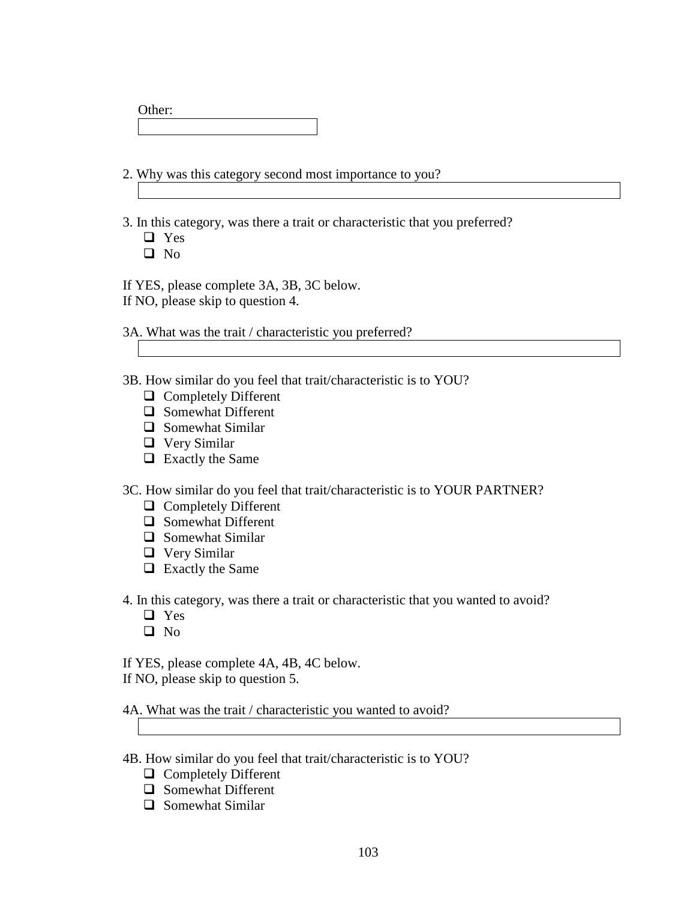| Other: |  |  |  |
|--------|--|--|--|
|        |  |  |  |

2. Why was this category second most importance to you?

3. In this category, was there a trait or characteristic that you preferred?

- □ Yes
- $\Box$  No

If YES, please complete 3A, 3B, 3C below.

If NO, please skip to question 4.

3A. What was the trait / characteristic you preferred?

- 3B. How similar do you feel that trait/characteristic is to YOU?
	- **Q** Completely Different
	- □ Somewhat Different
	- $\Box$  Somewhat Similar
	- □ Very Similar
	- $\Box$  Exactly the Same

3C. How similar do you feel that trait/characteristic is to YOUR PARTNER?

- **Q** Completely Different
- $\Box$  Somewhat Different
- $\Box$  Somewhat Similar
- Very Similar
- $\Box$  Exactly the Same

4. In this category, was there a trait or characteristic that you wanted to avoid?

- □ Yes
- $\Box$  No

If YES, please complete 4A, 4B, 4C below.

If NO, please skip to question 5.

4A. What was the trait / characteristic you wanted to avoid?

- 4B. How similar do you feel that trait/characteristic is to YOU?
	- **Q** Completely Different
	- Somewhat Different
	- $\Box$  Somewhat Similar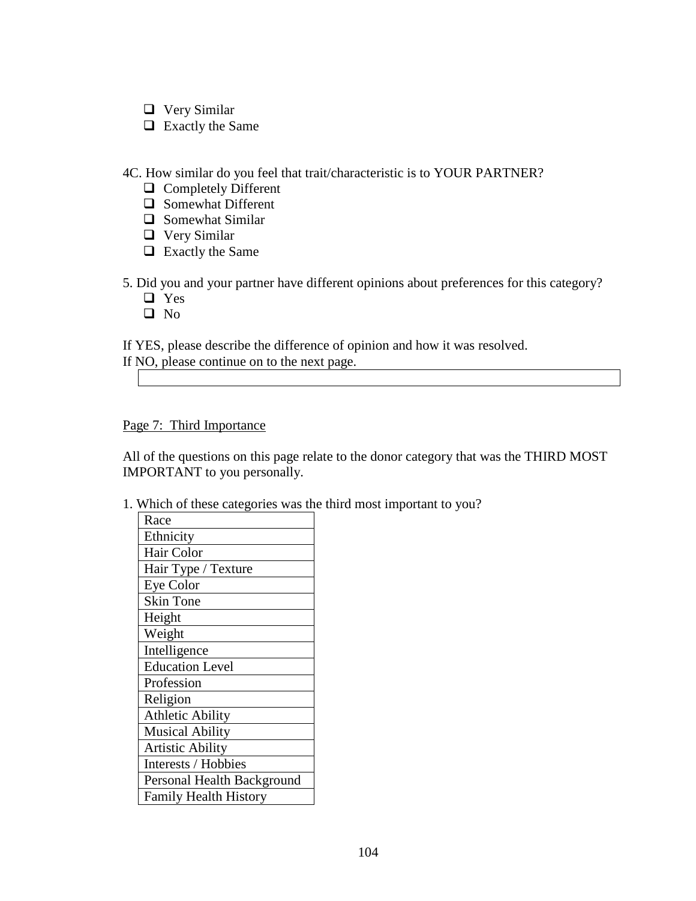- □ Very Similar
- $\Box$  Exactly the Same

4C. How similar do you feel that trait/characteristic is to YOUR PARTNER?

- **Q** Completely Different
- $\Box$  Somewhat Different
- $\Box$  Somewhat Similar
- Very Similar
- $\Box$  Exactly the Same

5. Did you and your partner have different opinions about preferences for this category?

- □ Yes
- □ No

If YES, please describe the difference of opinion and how it was resolved.

| If NO, please continue on to the next page. |
|---------------------------------------------|
|---------------------------------------------|

# Page 7: Third Importance

All of the questions on this page relate to the donor category that was the THIRD MOST IMPORTANT to you personally.

1. Which of these categories was the third most important to you?

| Race                         |
|------------------------------|
| Ethnicity                    |
| Hair Color                   |
| Hair Type / Texture          |
| <b>Eye Color</b>             |
| <b>Skin Tone</b>             |
| Height                       |
| Weight                       |
| Intelligence                 |
| <b>Education Level</b>       |
| Profession                   |
| Religion                     |
| <b>Athletic Ability</b>      |
| <b>Musical Ability</b>       |
| <b>Artistic Ability</b>      |
| Interests / Hobbies          |
| Personal Health Background   |
| <b>Family Health History</b> |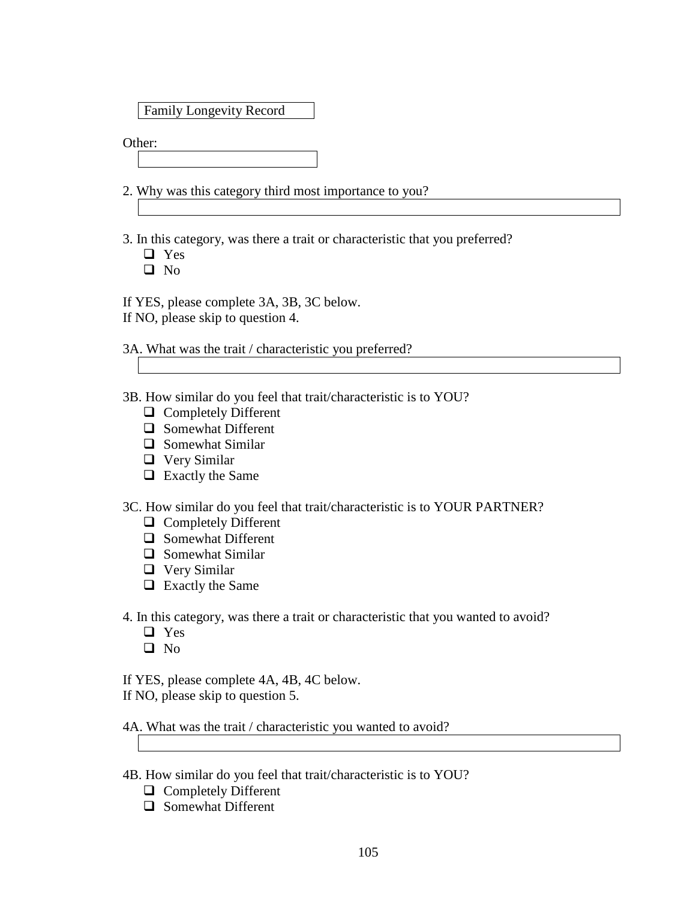Family Longevity Record

Other:

2. Why was this category third most importance to you?

3. In this category, was there a trait or characteristic that you preferred?

□ Yes

 $\Box$  No

If YES, please complete 3A, 3B, 3C below.

If NO, please skip to question 4.

3A. What was the trait / characteristic you preferred?

- 3B. How similar do you feel that trait/characteristic is to YOU?
	- □ Completely Different
	- □ Somewhat Different
	- $\Box$  Somewhat Similar
	- Very Similar
	- $\Box$  Exactly the Same

3C. How similar do you feel that trait/characteristic is to YOUR PARTNER?

- **Q** Completely Different
- $\Box$  Somewhat Different
- $\Box$  Somewhat Similar
- □ Very Similar
- $\Box$  Exactly the Same

4. In this category, was there a trait or characteristic that you wanted to avoid?

- **Q** Yes
- $\Box$  No

If YES, please complete 4A, 4B, 4C below.

If NO, please skip to question 5.

4A. What was the trait / characteristic you wanted to avoid?

- 4B. How similar do you feel that trait/characteristic is to YOU?
	- **Q** Completely Different
	- **Q** Somewhat Different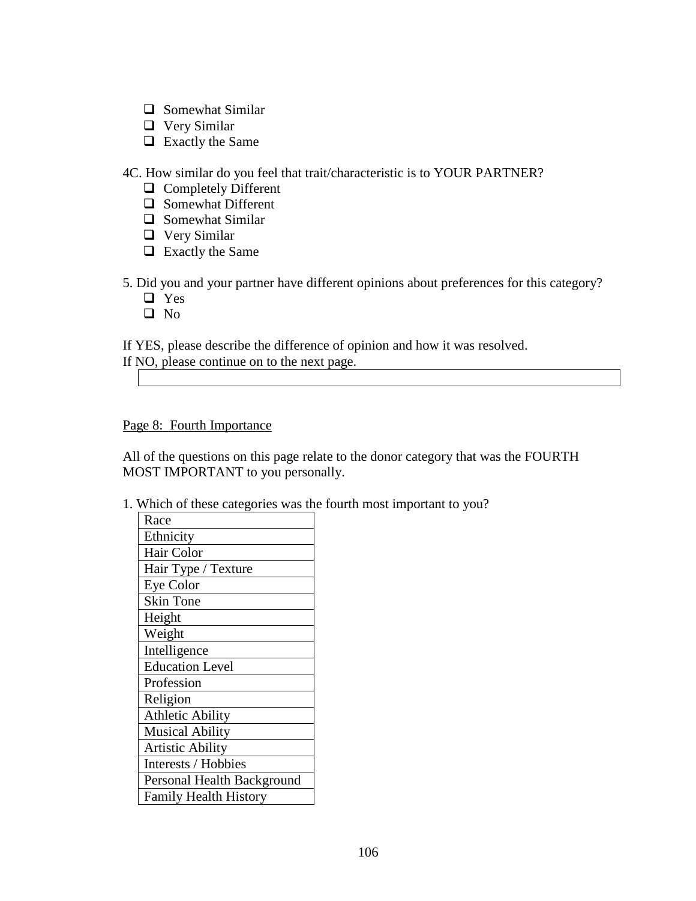- $\Box$  Somewhat Similar
- Very Similar
- $\Box$  Exactly the Same

4C. How similar do you feel that trait/characteristic is to YOUR PARTNER?

- **Q** Completely Different
- $\Box$  Somewhat Different
- $\Box$  Somewhat Similar
- Very Similar
- $\Box$  Exactly the Same

5. Did you and your partner have different opinions about preferences for this category?

- □ Yes
- □ No

If YES, please describe the difference of opinion and how it was resolved.

|  | If NO, please continue on to the next page. |  |  |
|--|---------------------------------------------|--|--|
|  |                                             |  |  |

Page 8: Fourth Importance

All of the questions on this page relate to the donor category that was the FOURTH MOST IMPORTANT to you personally.

1. Which of these categories was the fourth most important to you?

| Race                         |
|------------------------------|
| Ethnicity                    |
| Hair Color                   |
| Hair Type / Texture          |
| <b>Eye Color</b>             |
| <b>Skin Tone</b>             |
| Height                       |
| Weight                       |
| Intelligence                 |
| <b>Education Level</b>       |
| Profession                   |
| Religion                     |
| <b>Athletic Ability</b>      |
| <b>Musical Ability</b>       |
| <b>Artistic Ability</b>      |
| Interests / Hobbies          |
| Personal Health Background   |
| <b>Family Health History</b> |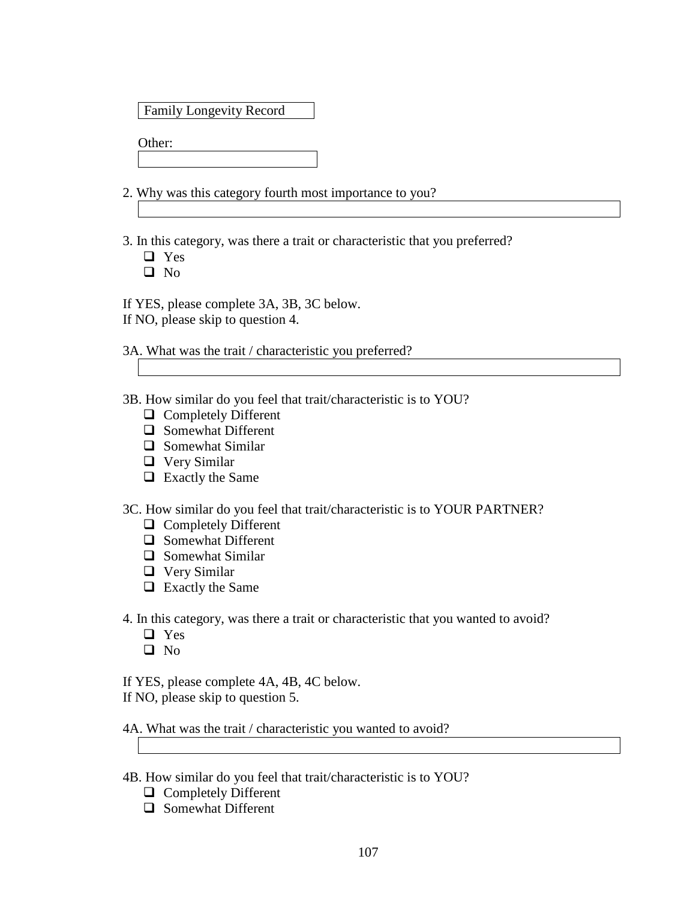### Family Longevity Record

Other:

2. Why was this category fourth most importance to you?

3. In this category, was there a trait or characteristic that you preferred?

Yes

 $\Box$  No

If YES, please complete 3A, 3B, 3C below.

If NO, please skip to question 4.

3A. What was the trait / characteristic you preferred?

3B. How similar do you feel that trait/characteristic is to YOU?

- □ Completely Different
- □ Somewhat Different
- $\Box$  Somewhat Similar
- Very Similar
- $\Box$  Exactly the Same

3C. How similar do you feel that trait/characteristic is to YOUR PARTNER?

- **Q** Completely Different
- $\Box$  Somewhat Different
- $\Box$  Somewhat Similar
- Very Similar
- $\Box$  Exactly the Same

4. In this category, was there a trait or characteristic that you wanted to avoid?

- □ Yes
- No
- If YES, please complete 4A, 4B, 4C below.

If NO, please skip to question 5.

4A. What was the trait / characteristic you wanted to avoid?

- 4B. How similar do you feel that trait/characteristic is to YOU?
	- □ Completely Different
	- □ Somewhat Different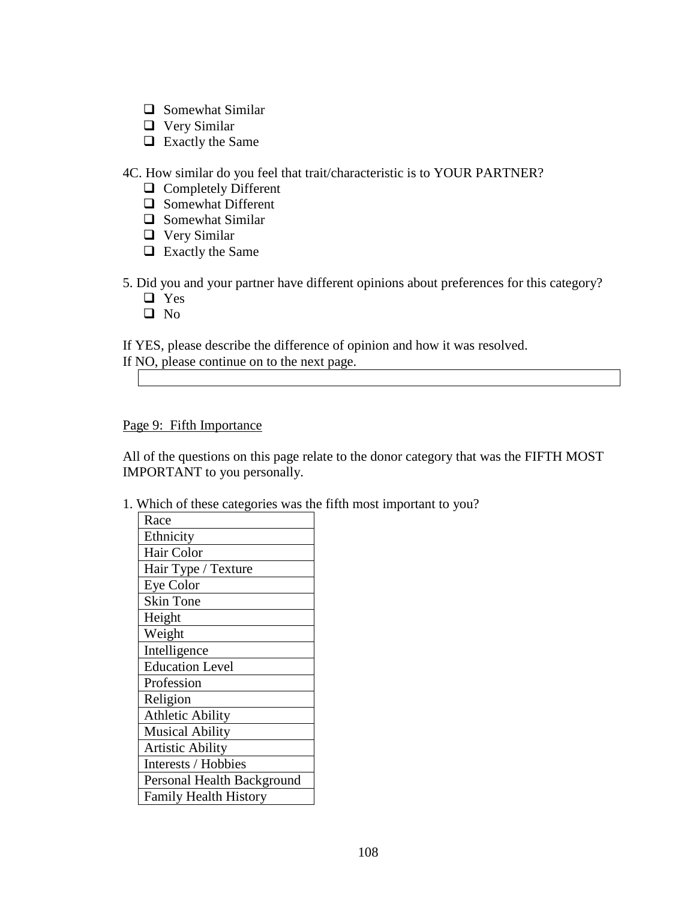- $\Box$  Somewhat Similar
- Very Similar
- $\Box$  Exactly the Same

4C. How similar do you feel that trait/characteristic is to YOUR PARTNER?

- **Q** Completely Different
- $\Box$  Somewhat Different
- $\Box$  Somewhat Similar
- Very Similar
- $\Box$  Exactly the Same

5. Did you and your partner have different opinions about preferences for this category?

- □ Yes
- □ No

If YES, please describe the difference of opinion and how it was resolved.

|  | If NO, please continue on to the next page. |  |  |
|--|---------------------------------------------|--|--|
|  |                                             |  |  |

Page 9: Fifth Importance

All of the questions on this page relate to the donor category that was the FIFTH MOST IMPORTANT to you personally.

1. Which of these categories was the fifth most important to you?

| Race                         |  |  |  |  |
|------------------------------|--|--|--|--|
| Ethnicity                    |  |  |  |  |
| Hair Color                   |  |  |  |  |
| Hair Type / Texture          |  |  |  |  |
| <b>Eye Color</b>             |  |  |  |  |
| <b>Skin Tone</b>             |  |  |  |  |
| Height                       |  |  |  |  |
| Weight                       |  |  |  |  |
| Intelligence                 |  |  |  |  |
| <b>Education Level</b>       |  |  |  |  |
| Profession                   |  |  |  |  |
| Religion                     |  |  |  |  |
| <b>Athletic Ability</b>      |  |  |  |  |
| <b>Musical Ability</b>       |  |  |  |  |
| Artistic Ability             |  |  |  |  |
| Interests / Hobbies          |  |  |  |  |
| Personal Health Background   |  |  |  |  |
| <b>Family Health History</b> |  |  |  |  |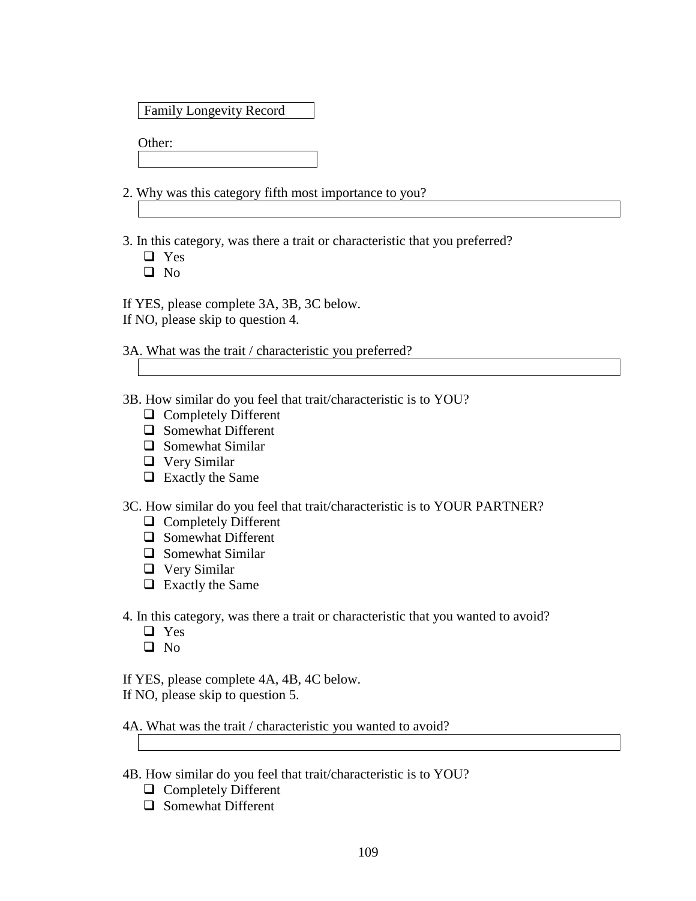### Family Longevity Record

Other:

2. Why was this category fifth most importance to you?

3. In this category, was there a trait or characteristic that you preferred?

Yes

 $\Box$  No

If YES, please complete 3A, 3B, 3C below.

If NO, please skip to question 4.

3A. What was the trait / characteristic you preferred?

3B. How similar do you feel that trait/characteristic is to YOU?

- □ Completely Different
- □ Somewhat Different
- $\Box$  Somewhat Similar
- Very Similar
- □ Exactly the Same

3C. How similar do you feel that trait/characteristic is to YOUR PARTNER?

- □ Completely Different
- $\Box$  Somewhat Different
- $\Box$  Somewhat Similar
- Very Similar
- □ Exactly the Same

4. In this category, was there a trait or characteristic that you wanted to avoid?

- □ Yes
- $\Box$  No
- If YES, please complete 4A, 4B, 4C below.

If NO, please skip to question 5.

4A. What was the trait / characteristic you wanted to avoid?

- 4B. How similar do you feel that trait/characteristic is to YOU?
	- **Q** Completely Different
	- Somewhat Different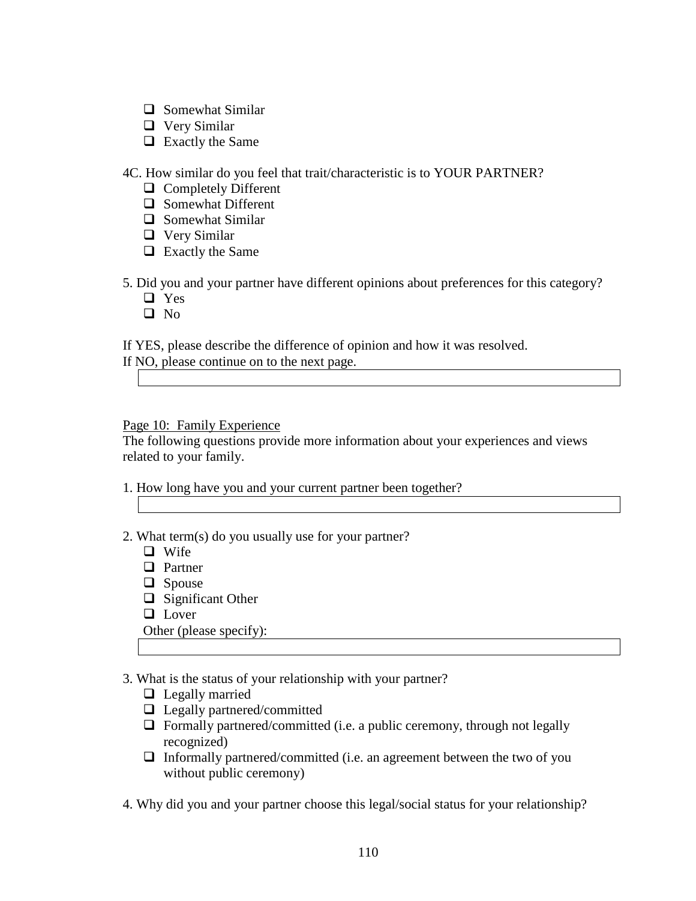- $\Box$  Somewhat Similar
- Very Similar
- $\Box$  Exactly the Same

4C. How similar do you feel that trait/characteristic is to YOUR PARTNER?

- **Q** Completely Different
- $\Box$  Somewhat Different
- $\Box$  Somewhat Similar
- Very Similar
- $\Box$  Exactly the Same
- 5. Did you and your partner have different opinions about preferences for this category?
	- □ Yes
	- □ No

If YES, please describe the difference of opinion and how it was resolved.

Page 10: Family Experience

The following questions provide more information about your experiences and views related to your family.

- 1. How long have you and your current partner been together?
- 2. What term(s) do you usually use for your partner?
	- **Q** Wife
	- **D** Partner
	- $\Box$  Spouse
	- $\Box$  Significant Other
	- **Lover**

Other (please specify):

- 3. What is the status of your relationship with your partner?
	- $\Box$  Legally married
	- $\Box$  Legally partnered/committed
	- $\Box$  Formally partnered/committed (i.e. a public ceremony, through not legally recognized)
	- $\Box$  Informally partnered/committed (i.e. an agreement between the two of you without public ceremony)
- 4. Why did you and your partner choose this legal/social status for your relationship?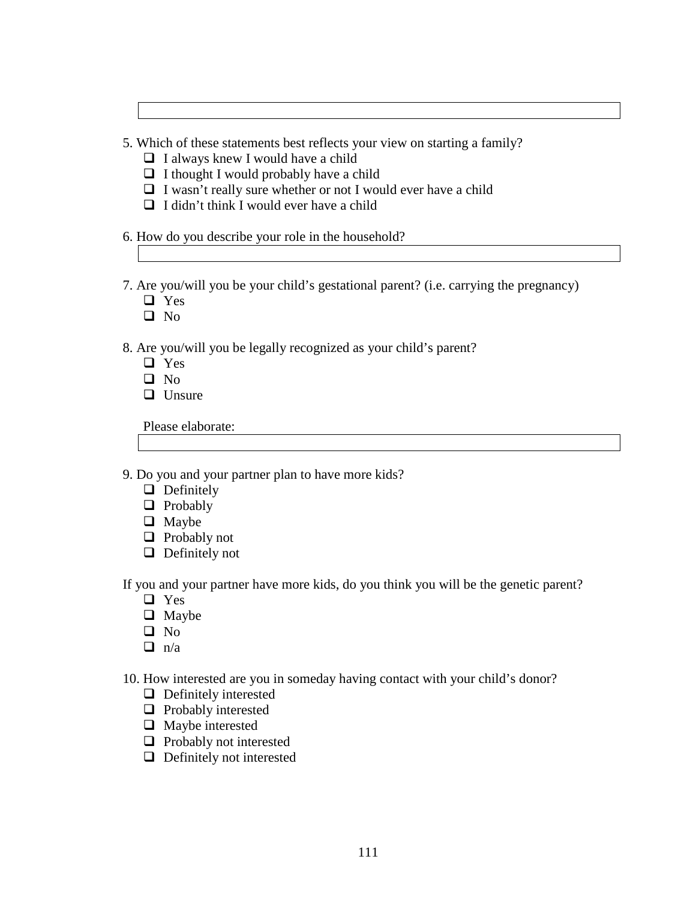5. Which of these statements best reflects your view on starting a family?

- $\Box$  I always knew I would have a child
- $\Box$  I thought I would probably have a child
- $\Box$  I wasn't really sure whether or not I would ever have a child
- $\Box$  I didn't think I would ever have a child

6. How do you describe your role in the household?

7. Are you/will you be your child's gestational parent? (i.e. carrying the pregnancy)

- □ Yes
- $\Box$  No

8. Are you/will you be legally recognized as your child's parent?

- **D** Yes
- $\Box$  No
- $\Box$  Unsure

Please elaborate:

9. Do you and your partner plan to have more kids?

- $\Box$  Definitely
- **D** Probably
- $\Box$  Maybe
- $\Box$  Probably not
- $\Box$  Definitely not

If you and your partner have more kids, do you think you will be the genetic parent?

- □ Yes
- **O** Maybe
- □ No
- $\Box$  n/a
- 10. How interested are you in someday having contact with your child's donor?
	- **Definitely interested**
	- $\Box$  Probably interested
	- $\Box$  Maybe interested
	- $\Box$  Probably not interested
	- $\Box$  Definitely not interested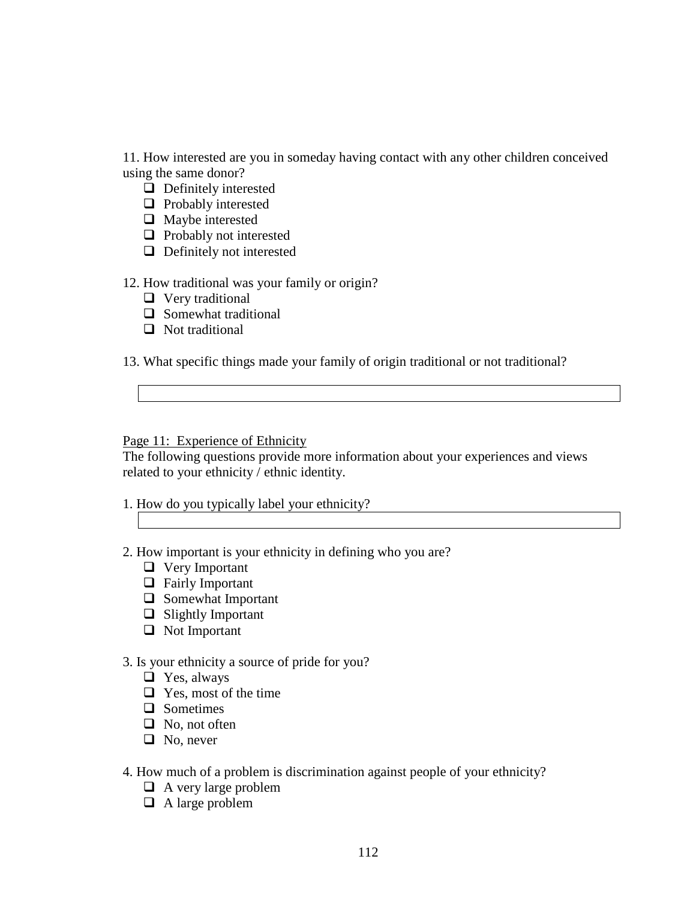11. How interested are you in someday having contact with any other children conceived using the same donor?

- $\Box$  Definitely interested
- $\Box$  Probably interested
- $\Box$  Maybe interested
- $\Box$  Probably not interested
- $\Box$  Definitely not interested

# 12. How traditional was your family or origin?

- **U** Very traditional
- $\Box$  Somewhat traditional
- $\Box$  Not traditional

13. What specific things made your family of origin traditional or not traditional?

## Page 11: Experience of Ethnicity

The following questions provide more information about your experiences and views related to your ethnicity / ethnic identity.

- 1. How do you typically label your ethnicity?
	-
- 2. How important is your ethnicity in defining who you are?
	- Very Important
	- **Example 3** Fairly Important
	- $\Box$  Somewhat Important
	- $\Box$  Slightly Important
	- □ Not Important

# 3. Is your ethnicity a source of pride for you?

- $\Box$  Yes, always
- $\Box$  Yes, most of the time
- **Q** Sometimes
- $\Box$  No, not often
- $\Box$  No, never

# 4. How much of a problem is discrimination against people of your ethnicity?

- $\Box$  A very large problem
- $\Box$  A large problem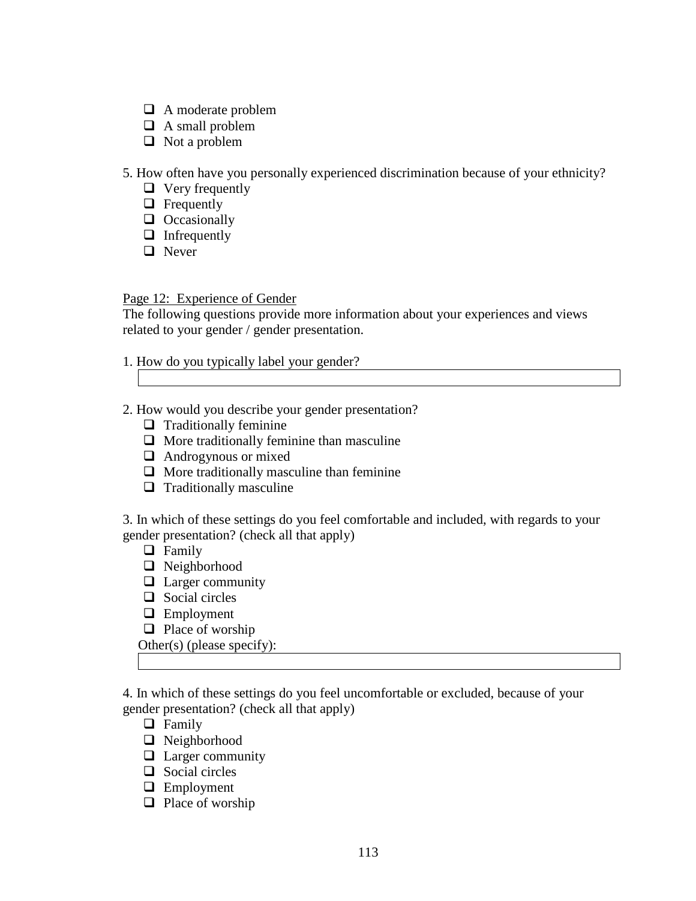- A moderate problem
- $\Box$  A small problem
- $\Box$  Not a problem

5. How often have you personally experienced discrimination because of your ethnicity?

- $\Box$  Very frequently
- $\Box$  Frequently
- $\Box$  Occasionally
- $\Box$  Infrequently
- **Q** Never

Page 12: Experience of Gender

The following questions provide more information about your experiences and views related to your gender / gender presentation.

- 1. How do you typically label your gender?
- 2. How would you describe your gender presentation?
	- $\Box$  Traditionally feminine
	- $\Box$  More traditionally feminine than masculine
	- **Androgynous or mixed**
	- $\Box$  More traditionally masculine than feminine
	- $\Box$  Traditionally masculine

3. In which of these settings do you feel comfortable and included, with regards to your gender presentation? (check all that apply)

- **D** Family
- □ Neighborhood
- $\Box$  Larger community
- $\Box$  Social circles
- **Employment**
- $\Box$  Place of worship

Other(s) (please specify):

4. In which of these settings do you feel uncomfortable or excluded, because of your gender presentation? (check all that apply)

- **D** Family
- □ Neighborhood
- $\Box$  Larger community
- $\Box$  Social circles
- **Employment**
- $\Box$  Place of worship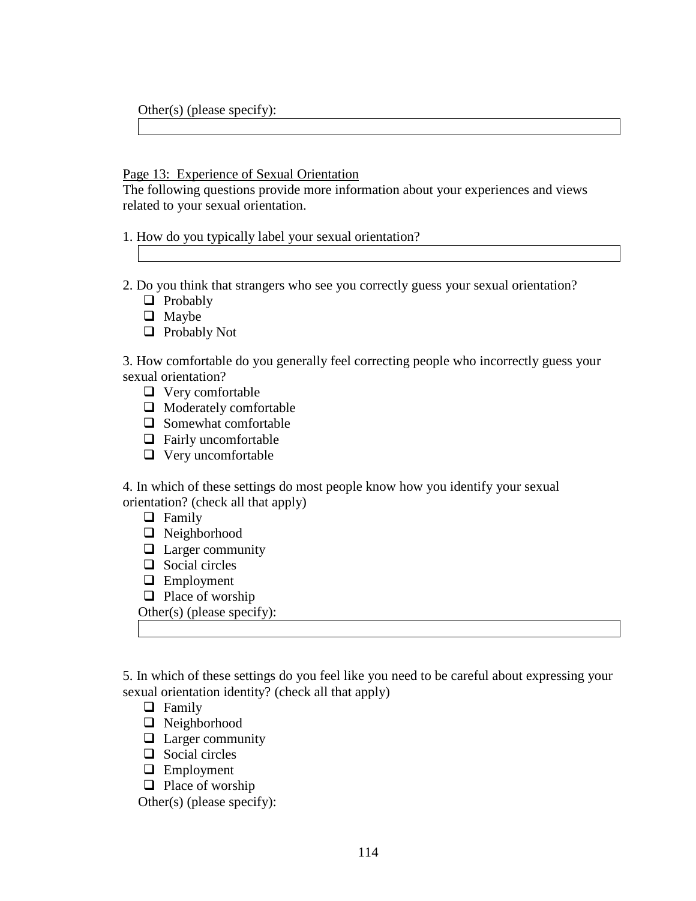Other(s) (please specify):

#### Page 13: Experience of Sexual Orientation

The following questions provide more information about your experiences and views related to your sexual orientation.

1. How do you typically label your sexual orientation?

- 2. Do you think that strangers who see you correctly guess your sexual orientation?
	- **Q** Probably
	- **Q** Maybe
	- **Probably Not**

3. How comfortable do you generally feel correcting people who incorrectly guess your sexual orientation?

- $\Box$  Very comfortable
- $\Box$  Moderately comfortable
- $\Box$  Somewhat comfortable
- $\Box$  Fairly uncomfortable
- □ Very uncomfortable

4. In which of these settings do most people know how you identify your sexual orientation? (check all that apply)

- **D** Family
- Neighborhood
- **Larger community**
- $\Box$  Social circles
- **Employment**
- $\Box$  Place of worship
- Other(s) (please specify):

5. In which of these settings do you feel like you need to be careful about expressing your sexual orientation identity? (check all that apply)

- **D** Family
- Neighborhood
- $\Box$  Larger community
- $\Box$  Social circles
- **Employment**
- $\Box$  Place of worship

Other(s) (please specify):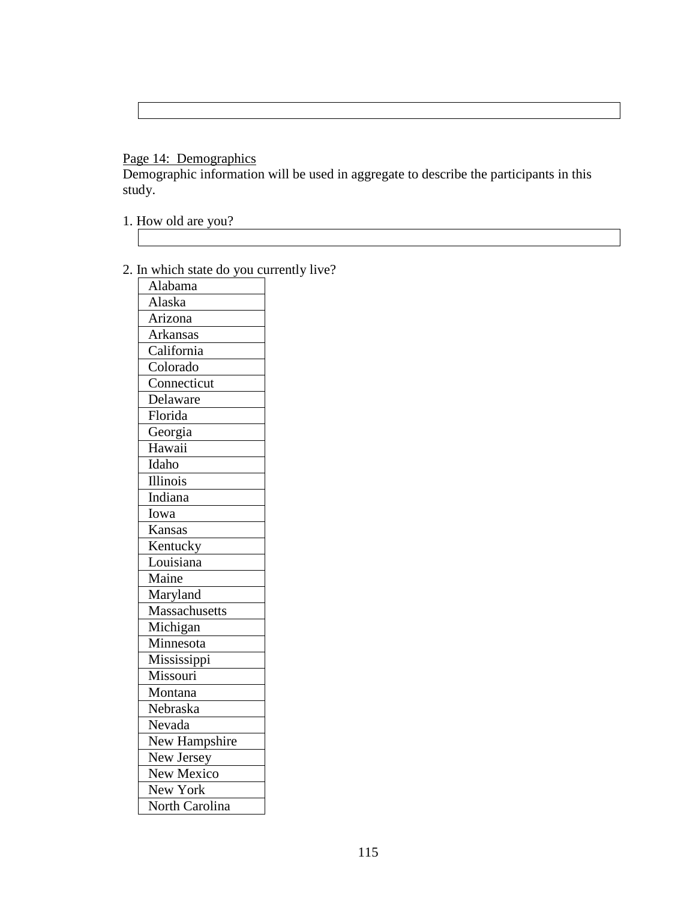# Page 14: Demographics

Demographic information will be used in aggregate to describe the participants in this study.

- 1. How old are you?
- 2. In which state do you currently live?

| 111<br>WIILUI<br>siaic<br><u>uv</u><br>yvu | u |
|--------------------------------------------|---|
| Alabama                                    |   |
| Alaska                                     |   |
| Arizona                                    |   |
| Arkansas                                   |   |
| $\overline{\mathrm{C}}$ alifornia          |   |
| Colorado                                   |   |
| $\overline{\mathrm{Connecticut}}$          |   |
| Delaware                                   |   |
| Florida                                    |   |
| Georgia                                    |   |
| Hawaii                                     |   |
| Idaho                                      |   |
| Illinois                                   |   |
| Indiana                                    |   |
| Iowa                                       |   |
| Kansas                                     |   |
| Kentucky                                   |   |
| Louisiana                                  |   |
| Maine                                      |   |
| Maryland                                   |   |
| Massachusetts                              |   |
| Michigan                                   |   |
| Minnesota                                  |   |
| Mississippi                                |   |
| Missouri                                   |   |
| Montana                                    |   |
| Nebraska                                   |   |
| Nevada                                     |   |
| New Hampshire                              |   |
| New Jersey                                 |   |
| New Mexico                                 |   |
| New York                                   |   |
| North Carolina                             |   |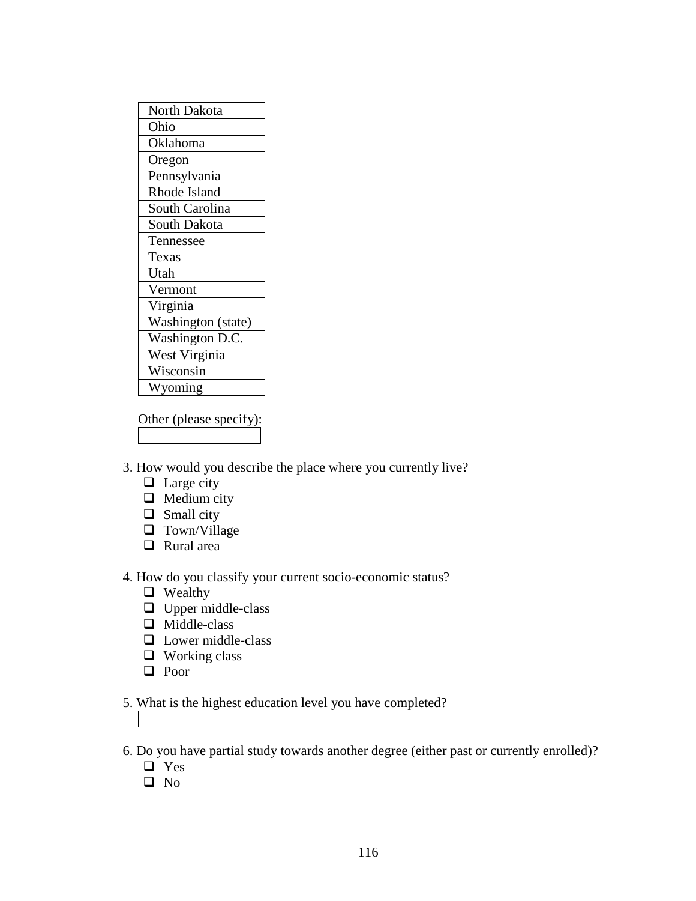Other (please specify):

3. How would you describe the place where you currently live?

- $\Box$  Large city
- $\Box$  Medium city
- $\Box$  Small city
- $\Box$  Town/Village
- □ Rural area

4. How do you classify your current socio-economic status?

- **Q** Wealthy
- **u** Upper middle-class
- Middle-class
- **Lower middle-class**
- $\Box$  Working class
- □ Poor

5. What is the highest education level you have completed?

6. Do you have partial study towards another degree (either past or currently enrolled)?

- □ Yes
- $\square$  No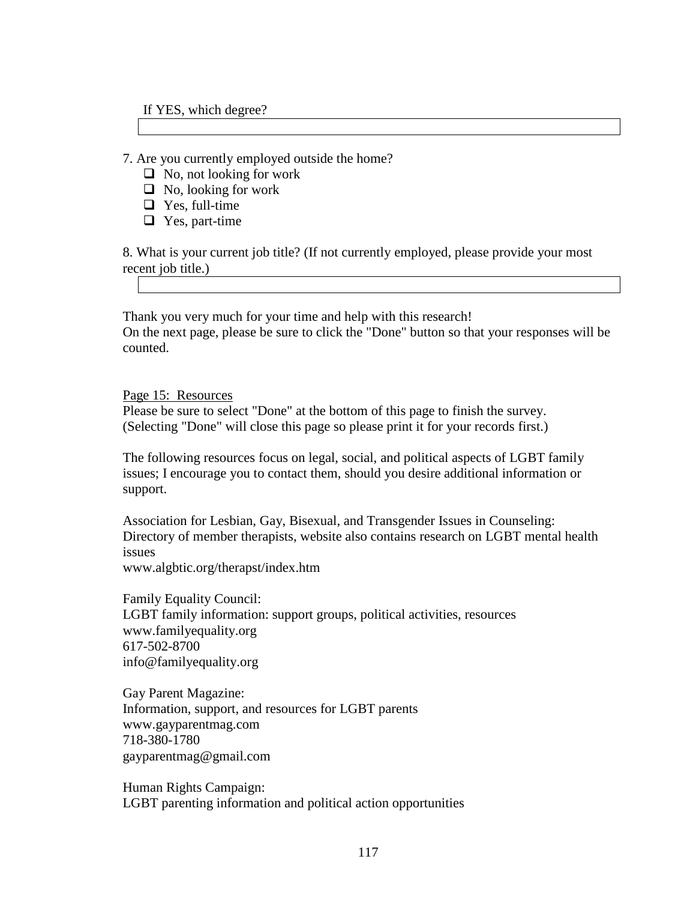#### If YES, which degree?

7. Are you currently employed outside the home?

- $\Box$  No, not looking for work
- $\Box$  No, looking for work
- $\Box$  Yes, full-time
- $\Box$  Yes, part-time

8. What is your current job title? (If not currently employed, please provide your most recent job title.)

Thank you very much for your time and help with this research! On the next page, please be sure to click the "Done" button so that your responses will be counted.

Page 15: Resources

Please be sure to select "Done" at the bottom of this page to finish the survey. (Selecting "Done" will close this page so please print it for your records first.)

The following resources focus on legal, social, and political aspects of LGBT family issues; I encourage you to contact them, should you desire additional information or support.

Association for Lesbian, Gay, Bisexual, and Transgender Issues in Counseling: Directory of member therapists, website also contains research on LGBT mental health issues

www.algbtic.org/therapst/index.htm

Family Equality Council: LGBT family information: support groups, political activities, resources www.familyequality.org 617-502-8700 info@familyequality.org

Gay Parent Magazine: Information, support, and resources for LGBT parents www.gayparentmag.com 718-380-1780 gayparentmag@gmail.com

Human Rights Campaign: LGBT parenting information and political action opportunities